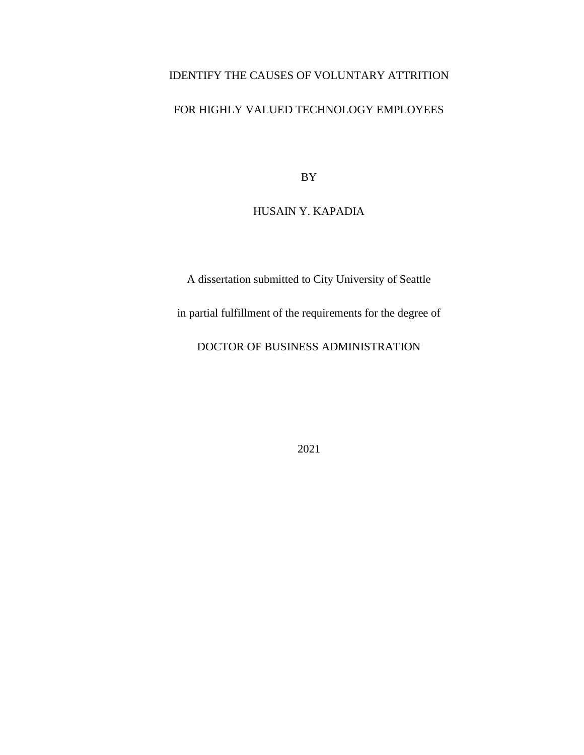# IDENTIFY THE CAUSES OF VOLUNTARY ATTRITION

## FOR HIGHLY VALUED TECHNOLOGY EMPLOYEES

BY

## HUSAIN Y. KAPADIA

A dissertation submitted to City University of Seattle

in partial fulfillment of the requirements for the degree of

DOCTOR OF BUSINESS ADMINISTRATION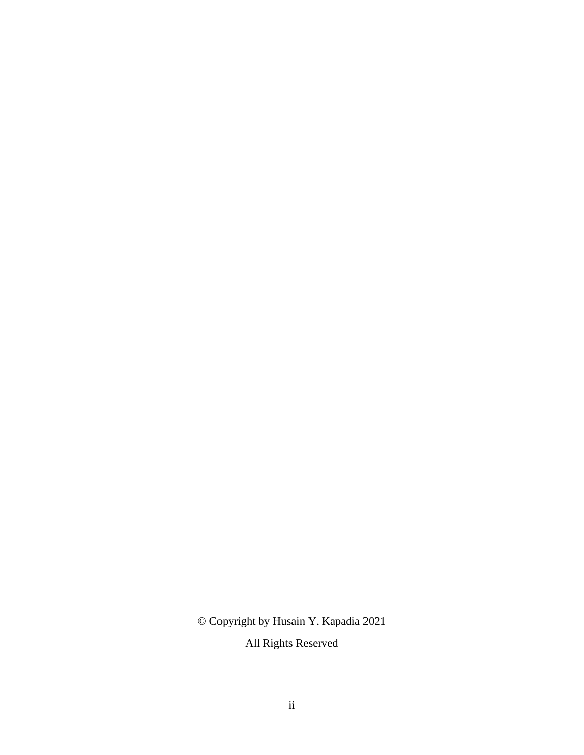© Copyright by Husain Y. Kapadia 2021

All Rights Reserved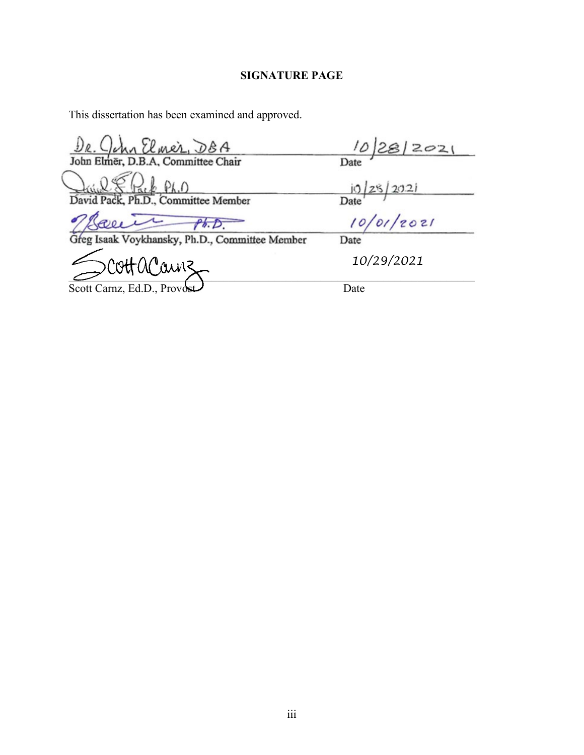## **SIGNATURE PAGE**

This dissertation has been examined and approved.

 $D_{R}$ ,  $Q_{M}$   $U_{M}$   $\Omega_{L}$ ,  $D_{B}$   $A$ <br>John Elmer, D.B.A, Committee Chair

 $PLO$  $\frac{\sum_{i} \sum_{i} P_{h,i}}{\sum_{i} P_{h,i}}$  Committee Member David Pac

Love Ph.D.<br>g Isaak Voykhansky, Ph.D., Committee Member

 $10/28/2021$ <br>Date<br> $10/25/2021$ <br>Date<br> $10/01/2021$ 

 $\sim$ 

Scott Carnz, Ed.D., Provost

 *10/29/2021*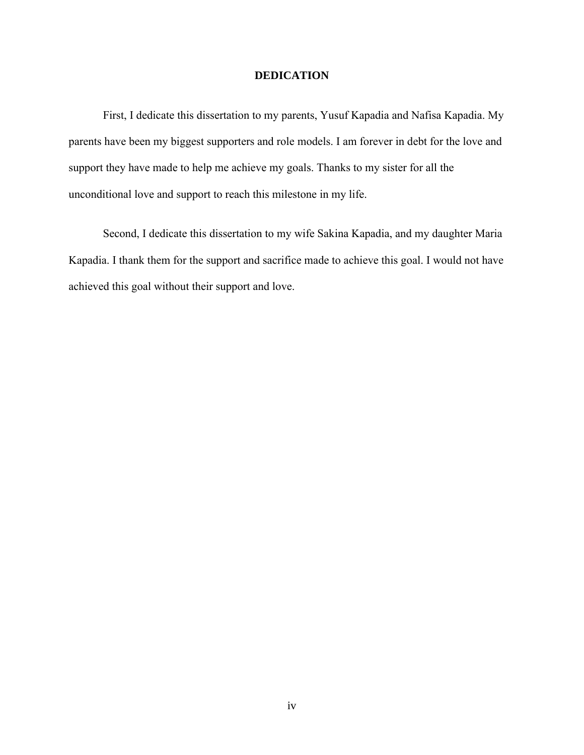### **DEDICATION**

First, I dedicate this dissertation to my parents, Yusuf Kapadia and Nafisa Kapadia. My parents have been my biggest supporters and role models. I am forever in debt for the love and support they have made to help me achieve my goals. Thanks to my sister for all the unconditional love and support to reach this milestone in my life.

Second, I dedicate this dissertation to my wife Sakina Kapadia, and my daughter Maria Kapadia. I thank them for the support and sacrifice made to achieve this goal. I would not have achieved this goal without their support and love.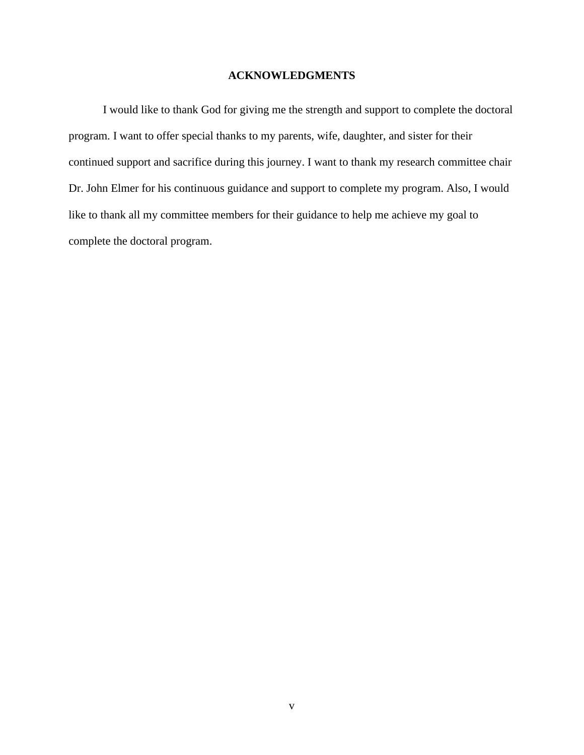### **ACKNOWLEDGMENTS**

I would like to thank God for giving me the strength and support to complete the doctoral program. I want to offer special thanks to my parents, wife, daughter, and sister for their continued support and sacrifice during this journey. I want to thank my research committee chair Dr. John Elmer for his continuous guidance and support to complete my program. Also, I would like to thank all my committee members for their guidance to help me achieve my goal to complete the doctoral program.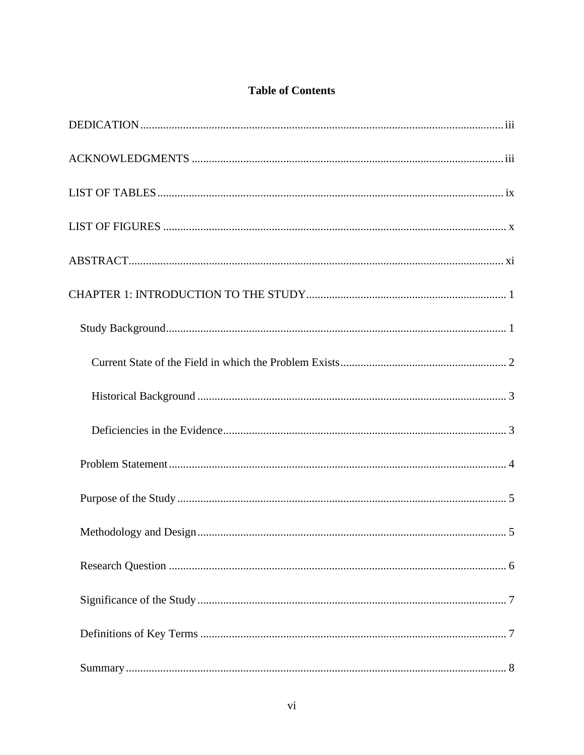## **Table of Contents**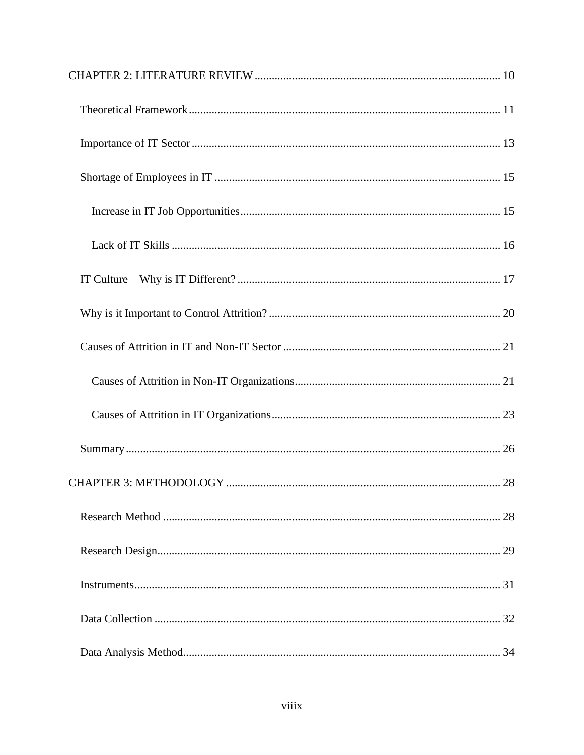| 28 |
|----|
|    |
|    |
|    |
|    |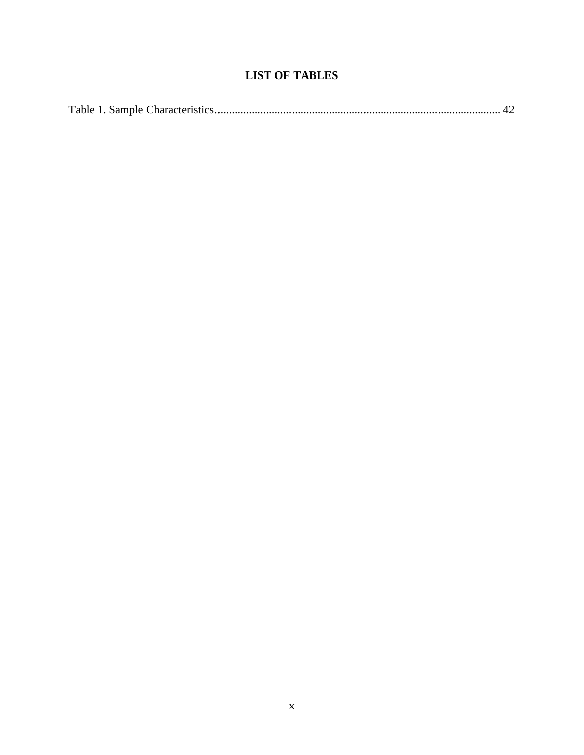# **LIST OF TABLES**

|--|--|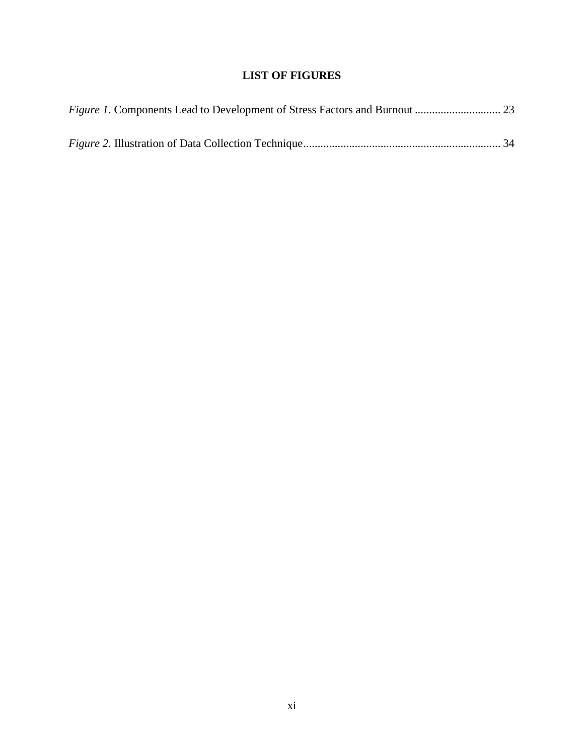## **LIST OF FIGURES**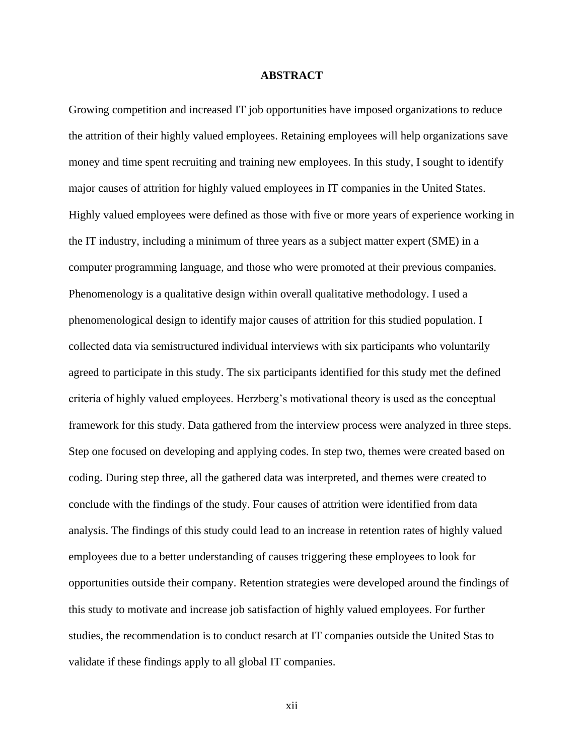#### **ABSTRACT**

Growing competition and increased IT job opportunities have imposed organizations to reduce the attrition of their highly valued employees. Retaining employees will help organizations save money and time spent recruiting and training new employees. In this study, I sought to identify major causes of attrition for highly valued employees in IT companies in the United States. Highly valued employees were defined as those with five or more years of experience working in the IT industry, including a minimum of three years as a subject matter expert (SME) in a computer programming language, and those who were promoted at their previous companies. Phenomenology is a qualitative design within overall qualitative methodology. I used a phenomenological design to identify major causes of attrition for this studied population. I collected data via semistructured individual interviews with six participants who voluntarily agreed to participate in this study. The six participants identified for this study met the defined criteria of highly valued employees. Herzberg's motivational theory is used as the conceptual framework for this study. Data gathered from the interview process were analyzed in three steps. Step one focused on developing and applying codes. In step two, themes were created based on coding. During step three, all the gathered data was interpreted, and themes were created to conclude with the findings of the study. Four causes of attrition were identified from data analysis. The findings of this study could lead to an increase in retention rates of highly valued employees due to a better understanding of causes triggering these employees to look for opportunities outside their company. Retention strategies were developed around the findings of this study to motivate and increase job satisfaction of highly valued employees. For further studies, the recommendation is to conduct resarch at IT companies outside the United Stas to validate if these findings apply to all global IT companies.

xii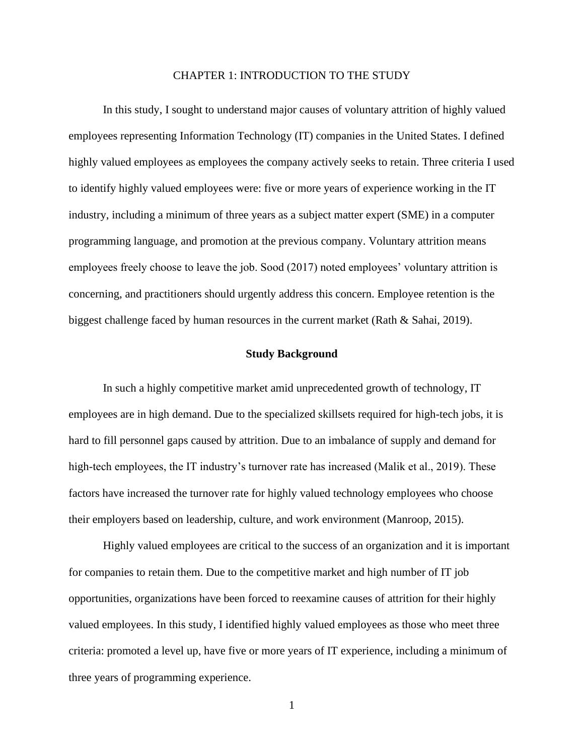#### CHAPTER 1: INTRODUCTION TO THE STUDY

In this study, I sought to understand major causes of voluntary attrition of highly valued employees representing Information Technology (IT) companies in the United States. I defined highly valued employees as employees the company actively seeks to retain. Three criteria I used to identify highly valued employees were: five or more years of experience working in the IT industry, including a minimum of three years as a subject matter expert (SME) in a computer programming language, and promotion at the previous company. Voluntary attrition means employees freely choose to leave the job. Sood (2017) noted employees' voluntary attrition is concerning, and practitioners should urgently address this concern. Employee retention is the biggest challenge faced by human resources in the current market (Rath & Sahai, 2019).

#### **Study Background**

In such a highly competitive market amid unprecedented growth of technology, IT employees are in high demand. Due to the specialized skillsets required for high-tech jobs, it is hard to fill personnel gaps caused by attrition. Due to an imbalance of supply and demand for high-tech employees, the IT industry's turnover rate has increased (Malik et al., 2019). These factors have increased the turnover rate for highly valued technology employees who choose their employers based on leadership, culture, and work environment (Manroop, 2015).

Highly valued employees are critical to the success of an organization and it is important for companies to retain them. Due to the competitive market and high number of IT job opportunities, organizations have been forced to reexamine causes of attrition for their highly valued employees. In this study, I identified highly valued employees as those who meet three criteria: promoted a level up, have five or more years of IT experience, including a minimum of three years of programming experience.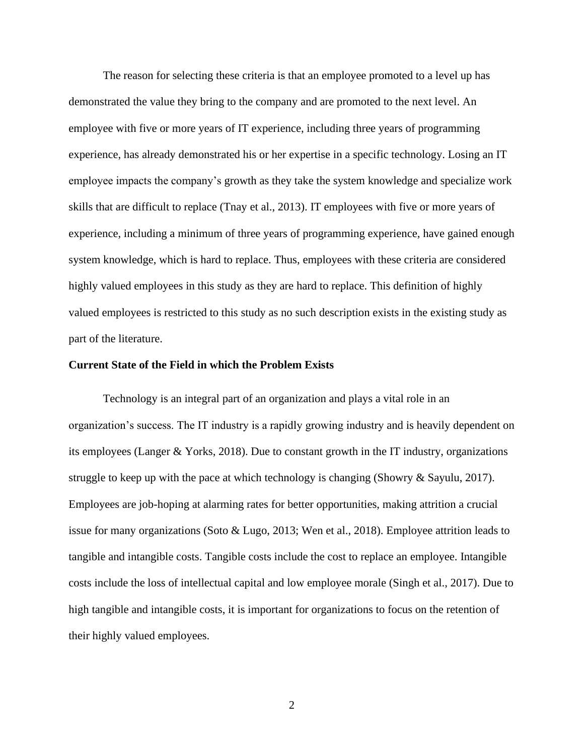The reason for selecting these criteria is that an employee promoted to a level up has demonstrated the value they bring to the company and are promoted to the next level. An employee with five or more years of IT experience, including three years of programming experience, has already demonstrated his or her expertise in a specific technology. Losing an IT employee impacts the company's growth as they take the system knowledge and specialize work skills that are difficult to replace (Tnay et al., 2013). IT employees with five or more years of experience, including a minimum of three years of programming experience, have gained enough system knowledge, which is hard to replace. Thus, employees with these criteria are considered highly valued employees in this study as they are hard to replace. This definition of highly valued employees is restricted to this study as no such description exists in the existing study as part of the literature.

#### **Current State of the Field in which the Problem Exists**

Technology is an integral part of an organization and plays a vital role in an organization's success. The IT industry is a rapidly growing industry and is heavily dependent on its employees (Langer & Yorks, 2018). Due to constant growth in the IT industry, organizations struggle to keep up with the pace at which technology is changing (Showry & Sayulu, 2017). Employees are job-hoping at alarming rates for better opportunities, making attrition a crucial issue for many organizations (Soto & Lugo, 2013; Wen et al., 2018). Employee attrition leads to tangible and intangible costs. Tangible costs include the cost to replace an employee. Intangible costs include the loss of intellectual capital and low employee morale (Singh et al., 2017). Due to high tangible and intangible costs, it is important for organizations to focus on the retention of their highly valued employees.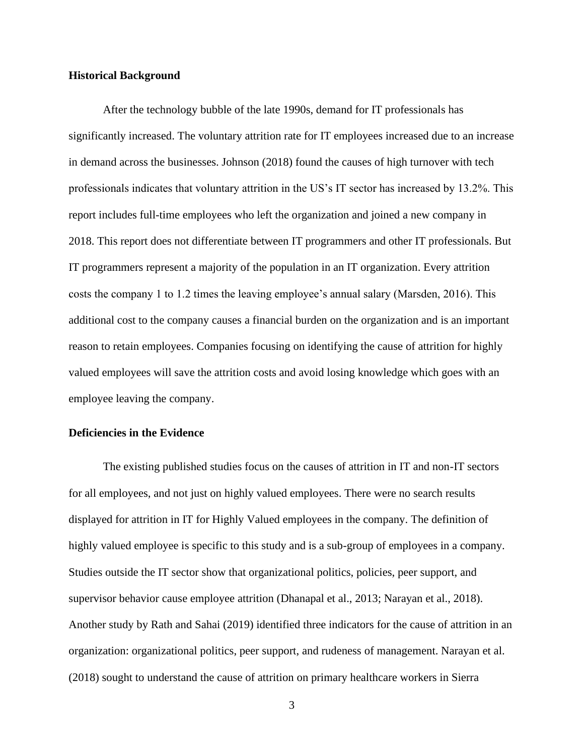#### **Historical Background**

After the technology bubble of the late 1990s, demand for IT professionals has significantly increased. The voluntary attrition rate for IT employees increased due to an increase in demand across the businesses. Johnson (2018) found the causes of high turnover with tech professionals indicates that voluntary attrition in the US's IT sector has increased by 13.2%. This report includes full-time employees who left the organization and joined a new company in 2018. This report does not differentiate between IT programmers and other IT professionals. But IT programmers represent a majority of the population in an IT organization. Every attrition costs the company 1 to 1.2 times the leaving employee's annual salary (Marsden, 2016). This additional cost to the company causes a financial burden on the organization and is an important reason to retain employees. Companies focusing on identifying the cause of attrition for highly valued employees will save the attrition costs and avoid losing knowledge which goes with an employee leaving the company.

#### **Deficiencies in the Evidence**

The existing published studies focus on the causes of attrition in IT and non-IT sectors for all employees, and not just on highly valued employees. There were no search results displayed for attrition in IT for Highly Valued employees in the company. The definition of highly valued employee is specific to this study and is a sub-group of employees in a company. Studies outside the IT sector show that organizational politics, policies, peer support, and supervisor behavior cause employee attrition (Dhanapal et al., 2013; Narayan et al., 2018). Another study by Rath and Sahai (2019) identified three indicators for the cause of attrition in an organization: organizational politics, peer support, and rudeness of management. Narayan et al. (2018) sought to understand the cause of attrition on primary healthcare workers in Sierra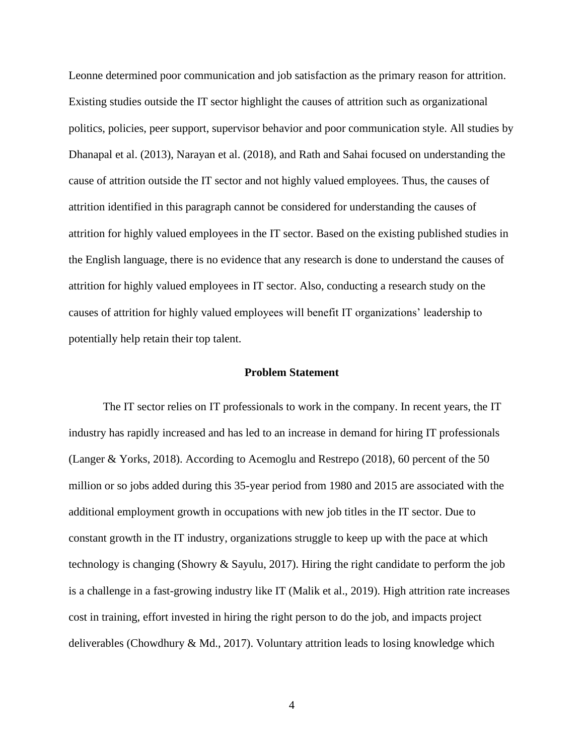Leonne determined poor communication and job satisfaction as the primary reason for attrition. Existing studies outside the IT sector highlight the causes of attrition such as organizational politics, policies, peer support, supervisor behavior and poor communication style. All studies by Dhanapal et al. (2013), Narayan et al. (2018), and Rath and Sahai focused on understanding the cause of attrition outside the IT sector and not highly valued employees. Thus, the causes of attrition identified in this paragraph cannot be considered for understanding the causes of attrition for highly valued employees in the IT sector. Based on the existing published studies in the English language, there is no evidence that any research is done to understand the causes of attrition for highly valued employees in IT sector. Also, conducting a research study on the causes of attrition for highly valued employees will benefit IT organizations' leadership to potentially help retain their top talent.

#### **Problem Statement**

The IT sector relies on IT professionals to work in the company. In recent years, the IT industry has rapidly increased and has led to an increase in demand for hiring IT professionals (Langer & Yorks, 2018). According to Acemoglu and Restrepo (2018), 60 percent of the 50 million or so jobs added during this 35-year period from 1980 and 2015 are associated with the additional employment growth in occupations with new job titles in the IT sector. Due to constant growth in the IT industry, organizations struggle to keep up with the pace at which technology is changing (Showry & Sayulu, 2017). Hiring the right candidate to perform the job is a challenge in a fast-growing industry like IT (Malik et al., 2019). High attrition rate increases cost in training, effort invested in hiring the right person to do the job, and impacts project deliverables (Chowdhury & Md., 2017). Voluntary attrition leads to losing knowledge which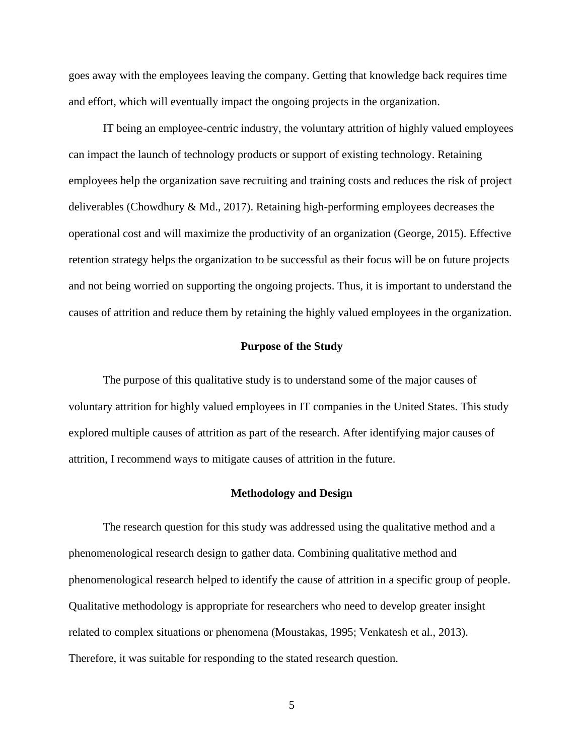goes away with the employees leaving the company. Getting that knowledge back requires time and effort, which will eventually impact the ongoing projects in the organization.

IT being an employee-centric industry, the voluntary attrition of highly valued employees can impact the launch of technology products or support of existing technology. Retaining employees help the organization save recruiting and training costs and reduces the risk of project deliverables (Chowdhury & Md., 2017). Retaining high-performing employees decreases the operational cost and will maximize the productivity of an organization (George, 2015). Effective retention strategy helps the organization to be successful as their focus will be on future projects and not being worried on supporting the ongoing projects. Thus, it is important to understand the causes of attrition and reduce them by retaining the highly valued employees in the organization.

#### **Purpose of the Study**

The purpose of this qualitative study is to understand some of the major causes of voluntary attrition for highly valued employees in IT companies in the United States. This study explored multiple causes of attrition as part of the research. After identifying major causes of attrition, I recommend ways to mitigate causes of attrition in the future.

#### **Methodology and Design**

The research question for this study was addressed using the qualitative method and a phenomenological research design to gather data. Combining qualitative method and phenomenological research helped to identify the cause of attrition in a specific group of people. Qualitative methodology is appropriate for researchers who need to develop greater insight related to complex situations or phenomena (Moustakas, 1995; Venkatesh et al., 2013). Therefore, it was suitable for responding to the stated research question.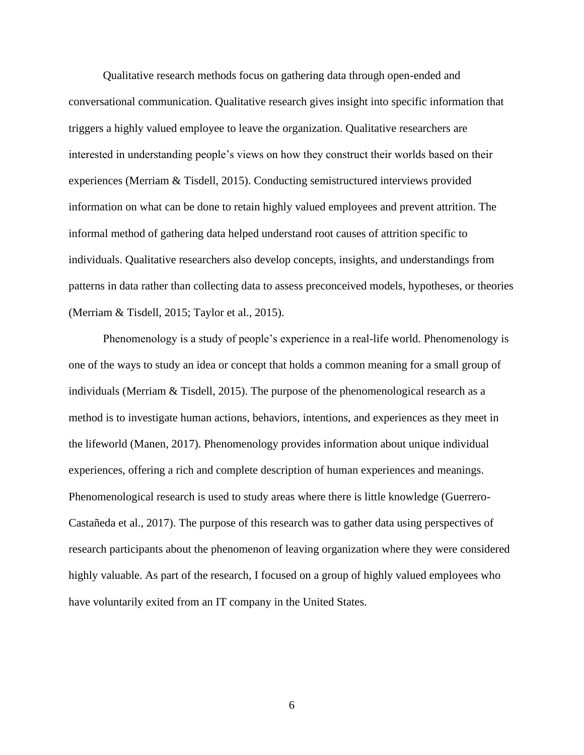Qualitative research methods focus on gathering data through open-ended and conversational communication. Qualitative research gives insight into specific information that triggers a highly valued employee to leave the organization. Qualitative researchers are interested in understanding people's views on how they construct their worlds based on their experiences (Merriam & Tisdell, 2015). Conducting semistructured interviews provided information on what can be done to retain highly valued employees and prevent attrition. The informal method of gathering data helped understand root causes of attrition specific to individuals. Qualitative researchers also develop concepts, insights, and understandings from patterns in data rather than collecting data to assess preconceived models, hypotheses, or theories (Merriam & Tisdell, 2015; Taylor et al., 2015).

Phenomenology is a study of people's experience in a real-life world. Phenomenology is one of the ways to study an idea or concept that holds a common meaning for a small group of individuals (Merriam & Tisdell, 2015). The purpose of the phenomenological research as a method is to investigate human actions, behaviors, intentions, and experiences as they meet in the lifeworld (Manen, 2017). Phenomenology provides information about unique individual experiences, offering a rich and complete description of human experiences and meanings. Phenomenological research is used to study areas where there is little knowledge (Guerrero-Castañeda et al., 2017). The purpose of this research was to gather data using perspectives of research participants about the phenomenon of leaving organization where they were considered highly valuable. As part of the research, I focused on a group of highly valued employees who have voluntarily exited from an IT company in the United States.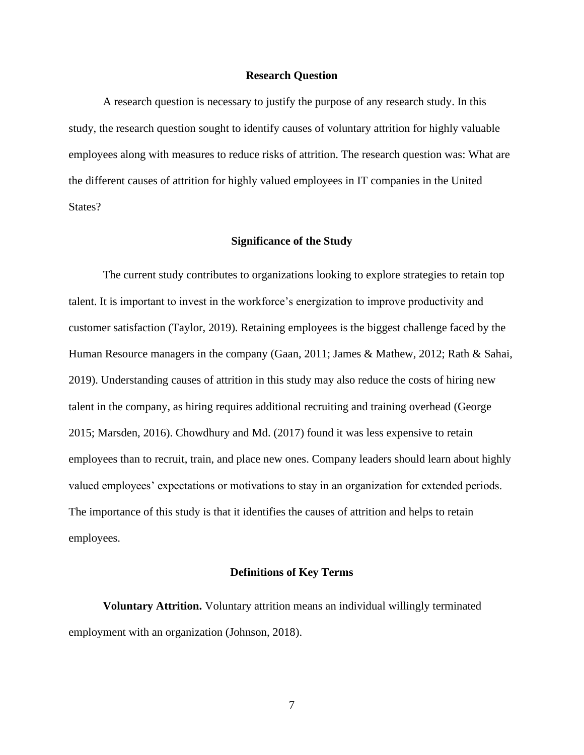#### **Research Question**

A research question is necessary to justify the purpose of any research study. In this study, the research question sought to identify causes of voluntary attrition for highly valuable employees along with measures to reduce risks of attrition. The research question was: What are the different causes of attrition for highly valued employees in IT companies in the United States?

#### **Significance of the Study**

The current study contributes to organizations looking to explore strategies to retain top talent. It is important to invest in the workforce's energization to improve productivity and customer satisfaction (Taylor, 2019). Retaining employees is the biggest challenge faced by the Human Resource managers in the company (Gaan, 2011; James & Mathew, 2012; Rath & Sahai, 2019). Understanding causes of attrition in this study may also reduce the costs of hiring new talent in the company, as hiring requires additional recruiting and training overhead (George 2015; Marsden, 2016). Chowdhury and Md. (2017) found it was less expensive to retain employees than to recruit, train, and place new ones. Company leaders should learn about highly valued employees' expectations or motivations to stay in an organization for extended periods. The importance of this study is that it identifies the causes of attrition and helps to retain employees.

#### **Definitions of Key Terms**

**Voluntary Attrition.** Voluntary attrition means an individual willingly terminated employment with an organization (Johnson, 2018).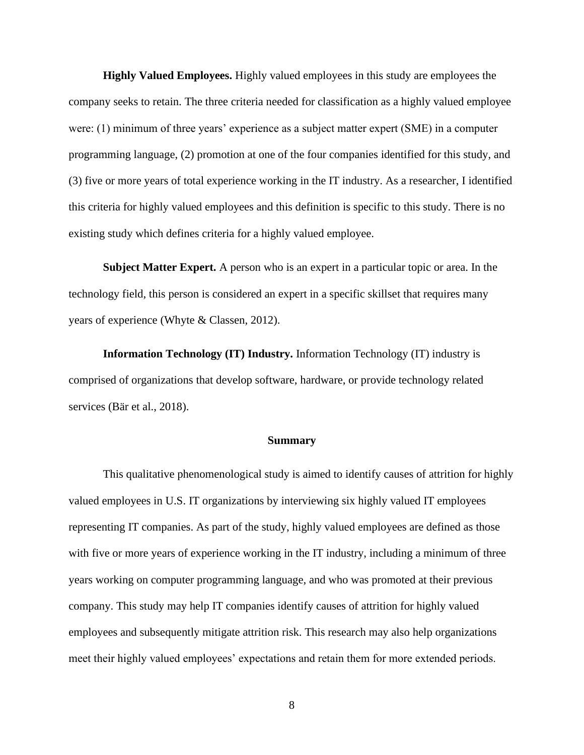**Highly Valued Employees.** Highly valued employees in this study are employees the company seeks to retain. The three criteria needed for classification as a highly valued employee were: (1) minimum of three years' experience as a subject matter expert (SME) in a computer programming language, (2) promotion at one of the four companies identified for this study, and (3) five or more years of total experience working in the IT industry. As a researcher, I identified this criteria for highly valued employees and this definition is specific to this study. There is no existing study which defines criteria for a highly valued employee.

**Subject Matter Expert.** A person who is an expert in a particular topic or area. In the technology field, this person is considered an expert in a specific skillset that requires many years of experience (Whyte & Classen, 2012).

**Information Technology (IT) Industry.** Information Technology (IT) industry is comprised of organizations that develop software, hardware, or provide technology related services (Bär et al., 2018).

#### **Summary**

This qualitative phenomenological study is aimed to identify causes of attrition for highly valued employees in U.S. IT organizations by interviewing six highly valued IT employees representing IT companies. As part of the study, highly valued employees are defined as those with five or more years of experience working in the IT industry, including a minimum of three years working on computer programming language, and who was promoted at their previous company. This study may help IT companies identify causes of attrition for highly valued employees and subsequently mitigate attrition risk. This research may also help organizations meet their highly valued employees' expectations and retain them for more extended periods.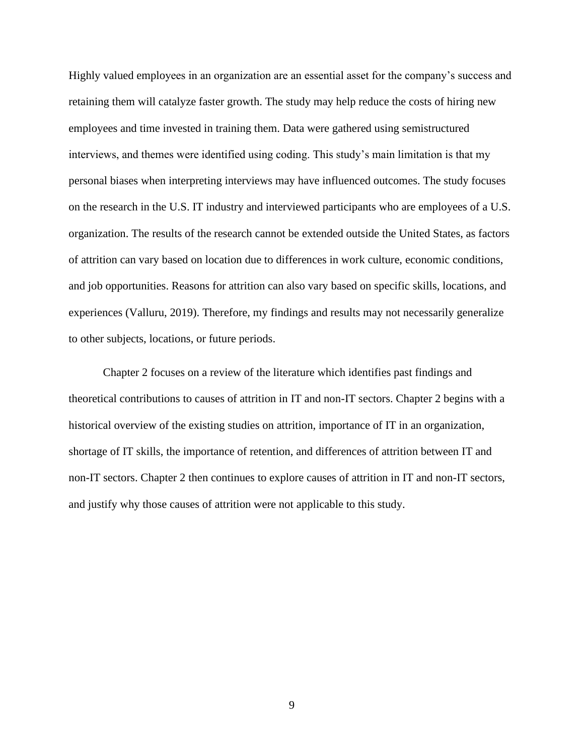Highly valued employees in an organization are an essential asset for the company's success and retaining them will catalyze faster growth. The study may help reduce the costs of hiring new employees and time invested in training them. Data were gathered using semistructured interviews, and themes were identified using coding. This study's main limitation is that my personal biases when interpreting interviews may have influenced outcomes. The study focuses on the research in the U.S. IT industry and interviewed participants who are employees of a U.S. organization. The results of the research cannot be extended outside the United States, as factors of attrition can vary based on location due to differences in work culture, economic conditions, and job opportunities. Reasons for attrition can also vary based on specific skills, locations, and experiences (Valluru, 2019). Therefore, my findings and results may not necessarily generalize to other subjects, locations, or future periods.

Chapter 2 focuses on a review of the literature which identifies past findings and theoretical contributions to causes of attrition in IT and non-IT sectors. Chapter 2 begins with a historical overview of the existing studies on attrition, importance of IT in an organization, shortage of IT skills, the importance of retention, and differences of attrition between IT and non-IT sectors. Chapter 2 then continues to explore causes of attrition in IT and non-IT sectors, and justify why those causes of attrition were not applicable to this study.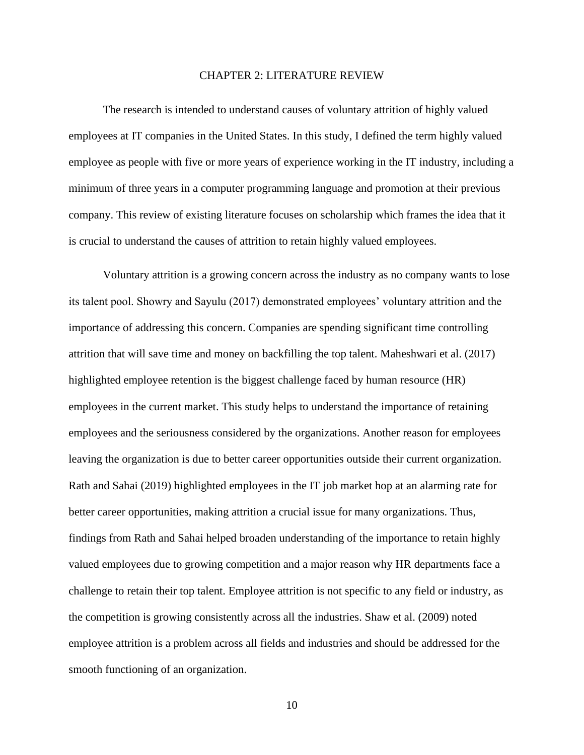#### CHAPTER 2: LITERATURE REVIEW

The research is intended to understand causes of voluntary attrition of highly valued employees at IT companies in the United States. In this study, I defined the term highly valued employee as people with five or more years of experience working in the IT industry, including a minimum of three years in a computer programming language and promotion at their previous company. This review of existing literature focuses on scholarship which frames the idea that it is crucial to understand the causes of attrition to retain highly valued employees.

Voluntary attrition is a growing concern across the industry as no company wants to lose its talent pool. Showry and Sayulu (2017) demonstrated employees' voluntary attrition and the importance of addressing this concern. Companies are spending significant time controlling attrition that will save time and money on backfilling the top talent. Maheshwari et al. (2017) highlighted employee retention is the biggest challenge faced by human resource (HR) employees in the current market. This study helps to understand the importance of retaining employees and the seriousness considered by the organizations. Another reason for employees leaving the organization is due to better career opportunities outside their current organization. Rath and Sahai (2019) highlighted employees in the IT job market hop at an alarming rate for better career opportunities, making attrition a crucial issue for many organizations. Thus, findings from Rath and Sahai helped broaden understanding of the importance to retain highly valued employees due to growing competition and a major reason why HR departments face a challenge to retain their top talent. Employee attrition is not specific to any field or industry, as the competition is growing consistently across all the industries. Shaw et al. (2009) noted employee attrition is a problem across all fields and industries and should be addressed for the smooth functioning of an organization.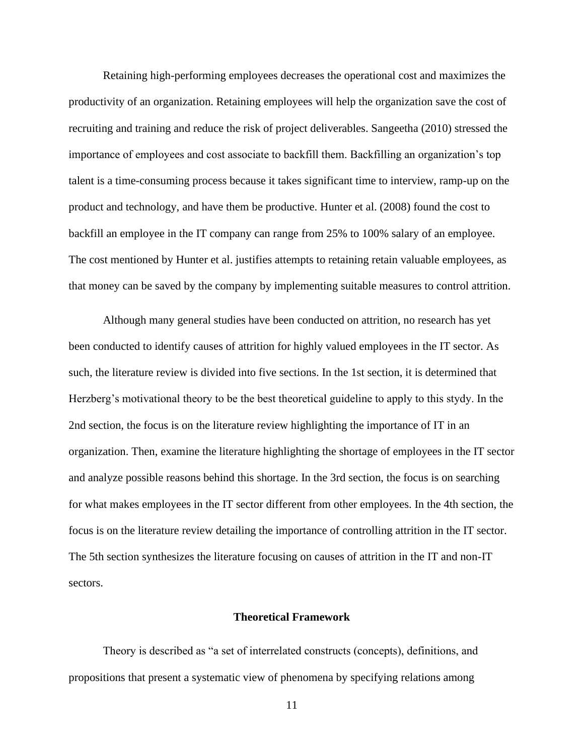Retaining high-performing employees decreases the operational cost and maximizes the productivity of an organization. Retaining employees will help the organization save the cost of recruiting and training and reduce the risk of project deliverables. Sangeetha (2010) stressed the importance of employees and cost associate to backfill them. Backfilling an organization's top talent is a time-consuming process because it takes significant time to interview, ramp-up on the product and technology, and have them be productive. Hunter et al. (2008) found the cost to backfill an employee in the IT company can range from 25% to 100% salary of an employee. The cost mentioned by Hunter et al. justifies attempts to retaining retain valuable employees, as that money can be saved by the company by implementing suitable measures to control attrition.

Although many general studies have been conducted on attrition, no research has yet been conducted to identify causes of attrition for highly valued employees in the IT sector. As such, the literature review is divided into five sections. In the 1st section, it is determined that Herzberg's motivational theory to be the best theoretical guideline to apply to this stydy. In the 2nd section, the focus is on the literature review highlighting the importance of IT in an organization. Then, examine the literature highlighting the shortage of employees in the IT sector and analyze possible reasons behind this shortage. In the 3rd section, the focus is on searching for what makes employees in the IT sector different from other employees. In the 4th section, the focus is on the literature review detailing the importance of controlling attrition in the IT sector. The 5th section synthesizes the literature focusing on causes of attrition in the IT and non-IT sectors.

#### **Theoretical Framework**

Theory is described as "a set of interrelated constructs (concepts), definitions, and propositions that present a systematic view of phenomena by specifying relations among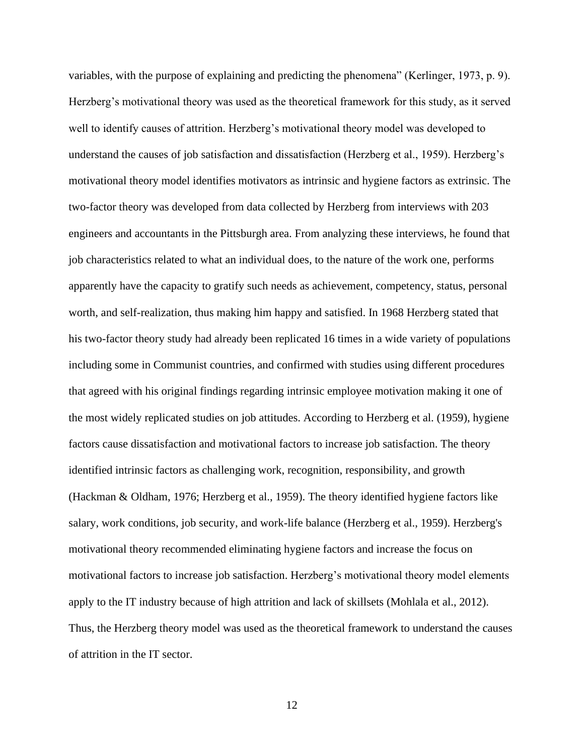variables, with the purpose of explaining and predicting the phenomena" (Kerlinger, 1973, p. 9). Herzberg's motivational theory was used as the theoretical framework for this study, as it served well to identify causes of attrition. Herzberg's motivational theory model was developed to understand the causes of job satisfaction and dissatisfaction (Herzberg et al., 1959). Herzberg's motivational theory model identifies motivators as intrinsic and hygiene factors as extrinsic. The two-factor theory was developed from data collected by Herzberg from interviews with 203 engineers and accountants in the Pittsburgh area. From analyzing these interviews, he found that job characteristics related to what an individual does, to the nature of the work one, performs apparently have the capacity to gratify such needs as achievement, competency, status, personal worth, and self-realization, thus making him happy and satisfied. In 1968 Herzberg stated that his two-factor theory study had already been replicated 16 times in a wide variety of populations including some in Communist countries, and confirmed with studies using different procedures that agreed with his original findings regarding intrinsic employee motivation making it one of the most widely replicated studies on job attitudes. According to Herzberg et al. (1959), hygiene factors cause dissatisfaction and motivational factors to increase job satisfaction. The theory identified intrinsic factors as challenging work, recognition, responsibility, and growth (Hackman & Oldham, 1976; Herzberg et al., 1959). The theory identified hygiene factors like salary, work conditions, job security, and work-life balance (Herzberg et al., 1959). Herzberg's motivational theory recommended eliminating hygiene factors and increase the focus on motivational factors to increase job satisfaction. Herzberg's motivational theory model elements apply to the IT industry because of high attrition and lack of skillsets (Mohlala et al., 2012). Thus, the Herzberg theory model was used as the theoretical framework to understand the causes of attrition in the IT sector.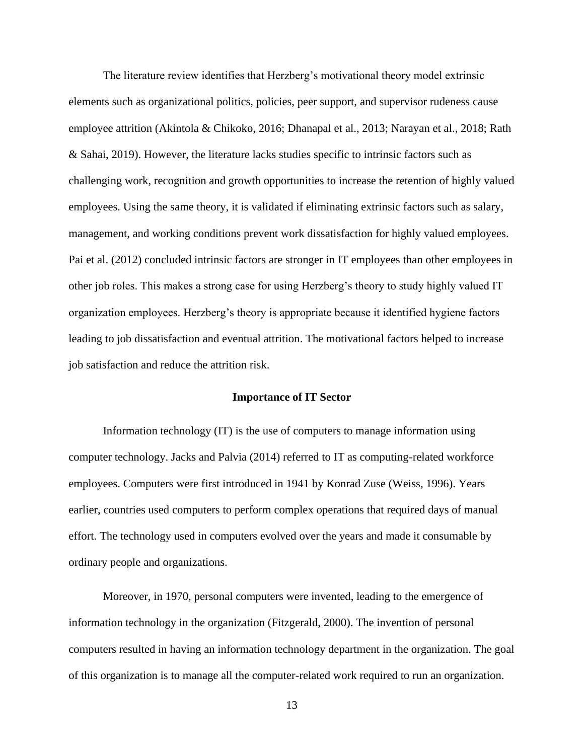The literature review identifies that Herzberg's motivational theory model extrinsic elements such as organizational politics, policies, peer support, and supervisor rudeness cause employee attrition (Akintola & Chikoko, 2016; Dhanapal et al., 2013; Narayan et al., 2018; Rath & Sahai, 2019). However, the literature lacks studies specific to intrinsic factors such as challenging work, recognition and growth opportunities to increase the retention of highly valued employees. Using the same theory, it is validated if eliminating extrinsic factors such as salary, management, and working conditions prevent work dissatisfaction for highly valued employees. Pai et al. (2012) concluded intrinsic factors are stronger in IT employees than other employees in other job roles. This makes a strong case for using Herzberg's theory to study highly valued IT organization employees. Herzberg's theory is appropriate because it identified hygiene factors leading to job dissatisfaction and eventual attrition. The motivational factors helped to increase job satisfaction and reduce the attrition risk.

#### **Importance of IT Sector**

Information technology (IT) is the use of computers to manage information using computer technology. Jacks and Palvia (2014) referred to IT as computing-related workforce employees. Computers were first introduced in 1941 by Konrad Zuse (Weiss, 1996). Years earlier, countries used computers to perform complex operations that required days of manual effort. The technology used in computers evolved over the years and made it consumable by ordinary people and organizations.

Moreover, in 1970, personal computers were invented, leading to the emergence of information technology in the organization (Fitzgerald, 2000). The invention of personal computers resulted in having an information technology department in the organization. The goal of this organization is to manage all the computer-related work required to run an organization.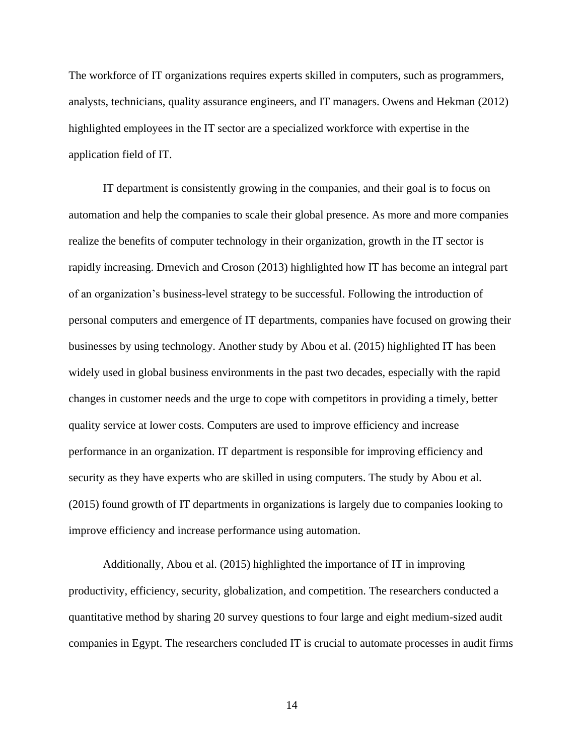The workforce of IT organizations requires experts skilled in computers, such as programmers, analysts, technicians, quality assurance engineers, and IT managers. Owens and Hekman (2012) highlighted employees in the IT sector are a specialized workforce with expertise in the application field of IT.

IT department is consistently growing in the companies, and their goal is to focus on automation and help the companies to scale their global presence. As more and more companies realize the benefits of computer technology in their organization, growth in the IT sector is rapidly increasing. Drnevich and Croson (2013) highlighted how IT has become an integral part of an organization's business-level strategy to be successful. Following the introduction of personal computers and emergence of IT departments, companies have focused on growing their businesses by using technology. Another study by Abou et al. (2015) highlighted IT has been widely used in global business environments in the past two decades, especially with the rapid changes in customer needs and the urge to cope with competitors in providing a timely, better quality service at lower costs. Computers are used to improve efficiency and increase performance in an organization. IT department is responsible for improving efficiency and security as they have experts who are skilled in using computers. The study by Abou et al. (2015) found growth of IT departments in organizations is largely due to companies looking to improve efficiency and increase performance using automation.

Additionally, Abou et al. (2015) highlighted the importance of IT in improving productivity, efficiency, security, globalization, and competition. The researchers conducted a quantitative method by sharing 20 survey questions to four large and eight medium-sized audit companies in Egypt. The researchers concluded IT is crucial to automate processes in audit firms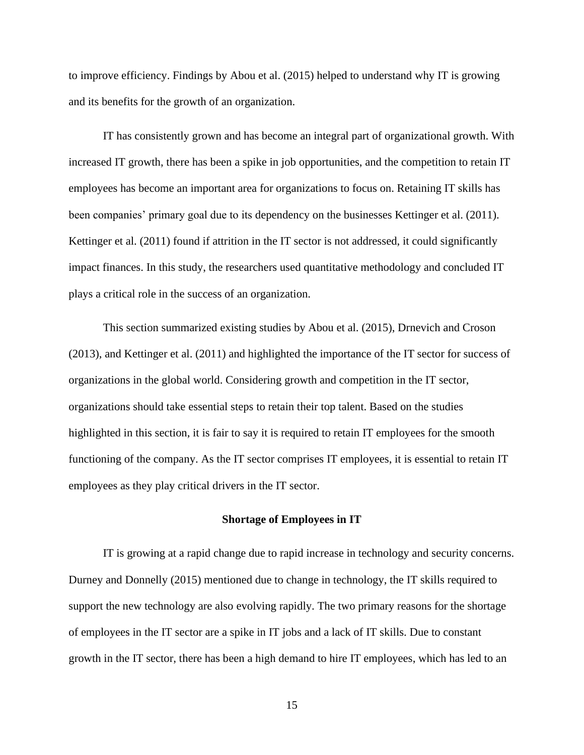to improve efficiency. Findings by Abou et al. (2015) helped to understand why IT is growing and its benefits for the growth of an organization.

IT has consistently grown and has become an integral part of organizational growth. With increased IT growth, there has been a spike in job opportunities, and the competition to retain IT employees has become an important area for organizations to focus on. Retaining IT skills has been companies' primary goal due to its dependency on the businesses Kettinger et al. (2011). Kettinger et al. (2011) found if attrition in the IT sector is not addressed, it could significantly impact finances. In this study, the researchers used quantitative methodology and concluded IT plays a critical role in the success of an organization.

This section summarized existing studies by Abou et al. (2015), Drnevich and Croson (2013), and Kettinger et al. (2011) and highlighted the importance of the IT sector for success of organizations in the global world. Considering growth and competition in the IT sector, organizations should take essential steps to retain their top talent. Based on the studies highlighted in this section, it is fair to say it is required to retain IT employees for the smooth functioning of the company. As the IT sector comprises IT employees, it is essential to retain IT employees as they play critical drivers in the IT sector.

#### **Shortage of Employees in IT**

IT is growing at a rapid change due to rapid increase in technology and security concerns. Durney and Donnelly (2015) mentioned due to change in technology, the IT skills required to support the new technology are also evolving rapidly. The two primary reasons for the shortage of employees in the IT sector are a spike in IT jobs and a lack of IT skills. Due to constant growth in the IT sector, there has been a high demand to hire IT employees, which has led to an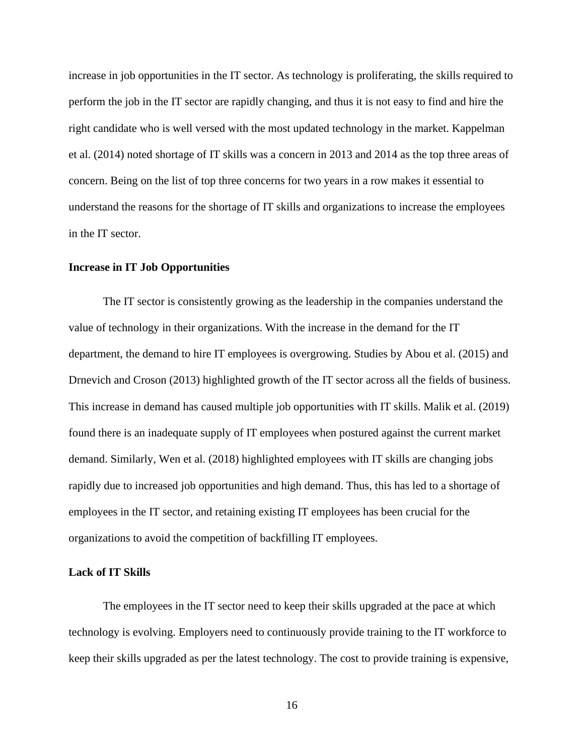increase in job opportunities in the IT sector. As technology is proliferating, the skills required to perform the job in the IT sector are rapidly changing, and thus it is not easy to find and hire the right candidate who is well versed with the most updated technology in the market. Kappelman et al. (2014) noted shortage of IT skills was a concern in 2013 and 2014 as the top three areas of concern. Being on the list of top three concerns for two years in a row makes it essential to understand the reasons for the shortage of IT skills and organizations to increase the employees in the IT sector.

#### **Increase in IT Job Opportunities**

The IT sector is consistently growing as the leadership in the companies understand the value of technology in their organizations. With the increase in the demand for the IT department, the demand to hire IT employees is overgrowing. Studies by Abou et al. (2015) and Drnevich and Croson (2013) highlighted growth of the IT sector across all the fields of business. This increase in demand has caused multiple job opportunities with IT skills. Malik et al. (2019) found there is an inadequate supply of IT employees when postured against the current market demand. Similarly, Wen et al. (2018) highlighted employees with IT skills are changing jobs rapidly due to increased job opportunities and high demand. Thus, this has led to a shortage of employees in the IT sector, and retaining existing IT employees has been crucial for the organizations to avoid the competition of backfilling IT employees.

#### **Lack of IT Skills**

The employees in the IT sector need to keep their skills upgraded at the pace at which technology is evolving. Employers need to continuously provide training to the IT workforce to keep their skills upgraded as per the latest technology. The cost to provide training is expensive,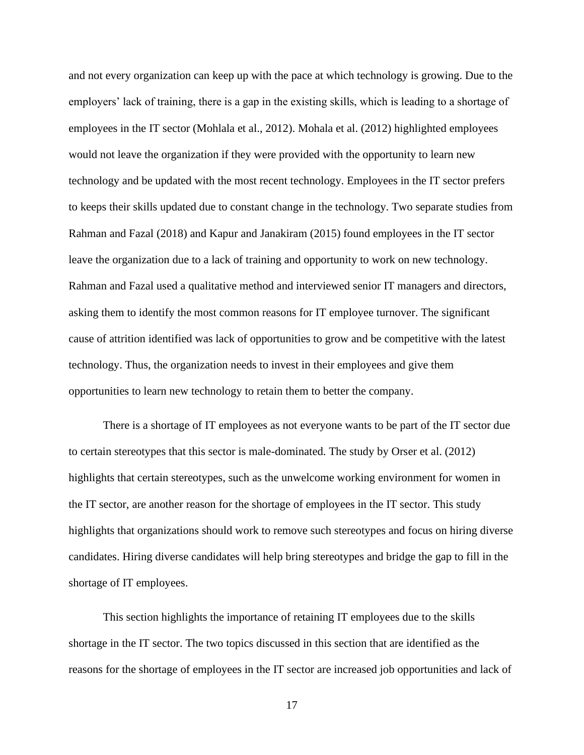and not every organization can keep up with the pace at which technology is growing. Due to the employers' lack of training, there is a gap in the existing skills, which is leading to a shortage of employees in the IT sector (Mohlala et al., 2012). Mohala et al. (2012) highlighted employees would not leave the organization if they were provided with the opportunity to learn new technology and be updated with the most recent technology. Employees in the IT sector prefers to keeps their skills updated due to constant change in the technology. Two separate studies from Rahman and Fazal (2018) and Kapur and Janakiram (2015) found employees in the IT sector leave the organization due to a lack of training and opportunity to work on new technology. Rahman and Fazal used a qualitative method and interviewed senior IT managers and directors, asking them to identify the most common reasons for IT employee turnover. The significant cause of attrition identified was lack of opportunities to grow and be competitive with the latest technology. Thus, the organization needs to invest in their employees and give them opportunities to learn new technology to retain them to better the company.

There is a shortage of IT employees as not everyone wants to be part of the IT sector due to certain stereotypes that this sector is male-dominated. The study by Orser et al. (2012) highlights that certain stereotypes, such as the unwelcome working environment for women in the IT sector, are another reason for the shortage of employees in the IT sector. This study highlights that organizations should work to remove such stereotypes and focus on hiring diverse candidates. Hiring diverse candidates will help bring stereotypes and bridge the gap to fill in the shortage of IT employees.

This section highlights the importance of retaining IT employees due to the skills shortage in the IT sector. The two topics discussed in this section that are identified as the reasons for the shortage of employees in the IT sector are increased job opportunities and lack of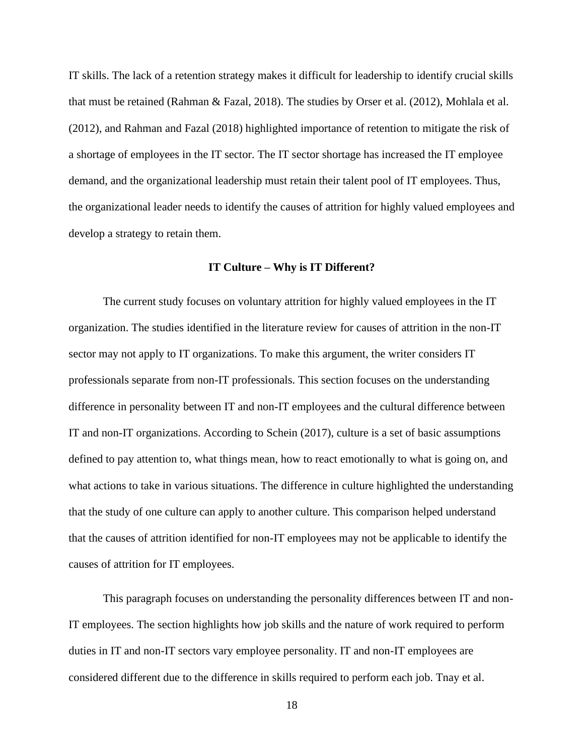IT skills. The lack of a retention strategy makes it difficult for leadership to identify crucial skills that must be retained (Rahman & Fazal, 2018). The studies by Orser et al. (2012), Mohlala et al. (2012), and Rahman and Fazal (2018) highlighted importance of retention to mitigate the risk of a shortage of employees in the IT sector. The IT sector shortage has increased the IT employee demand, and the organizational leadership must retain their talent pool of IT employees. Thus, the organizational leader needs to identify the causes of attrition for highly valued employees and develop a strategy to retain them.

#### **IT Culture – Why is IT Different?**

The current study focuses on voluntary attrition for highly valued employees in the IT organization. The studies identified in the literature review for causes of attrition in the non-IT sector may not apply to IT organizations. To make this argument, the writer considers IT professionals separate from non-IT professionals. This section focuses on the understanding difference in personality between IT and non-IT employees and the cultural difference between IT and non-IT organizations. According to Schein (2017), culture is a set of basic assumptions defined to pay attention to, what things mean, how to react emotionally to what is going on, and what actions to take in various situations. The difference in culture highlighted the understanding that the study of one culture can apply to another culture. This comparison helped understand that the causes of attrition identified for non-IT employees may not be applicable to identify the causes of attrition for IT employees.

This paragraph focuses on understanding the personality differences between IT and non-IT employees. The section highlights how job skills and the nature of work required to perform duties in IT and non-IT sectors vary employee personality. IT and non-IT employees are considered different due to the difference in skills required to perform each job. Tnay et al.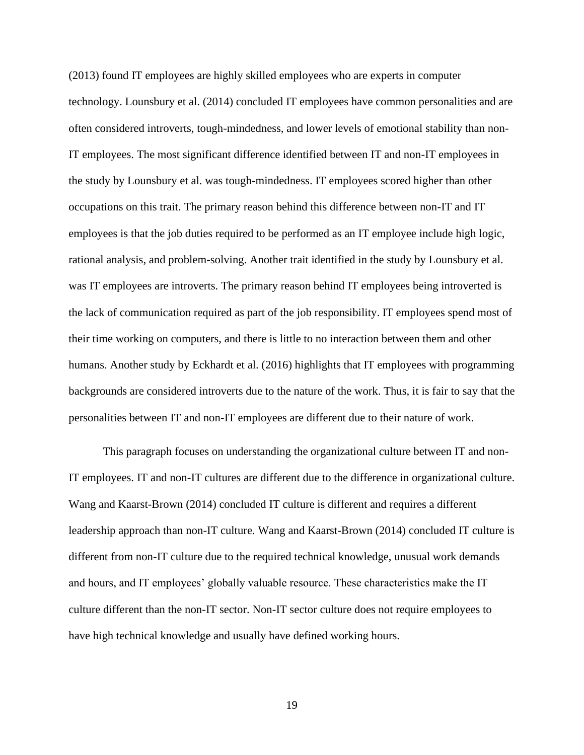(2013) found IT employees are highly skilled employees who are experts in computer technology. Lounsbury et al. (2014) concluded IT employees have common personalities and are often considered introverts, tough-mindedness, and lower levels of emotional stability than non-IT employees. The most significant difference identified between IT and non-IT employees in the study by Lounsbury et al. was tough-mindedness. IT employees scored higher than other occupations on this trait. The primary reason behind this difference between non-IT and IT employees is that the job duties required to be performed as an IT employee include high logic, rational analysis, and problem-solving. Another trait identified in the study by Lounsbury et al. was IT employees are introverts. The primary reason behind IT employees being introverted is the lack of communication required as part of the job responsibility. IT employees spend most of their time working on computers, and there is little to no interaction between them and other humans. Another study by Eckhardt et al. (2016) highlights that IT employees with programming backgrounds are considered introverts due to the nature of the work. Thus, it is fair to say that the personalities between IT and non-IT employees are different due to their nature of work.

This paragraph focuses on understanding the organizational culture between IT and non-IT employees. IT and non-IT cultures are different due to the difference in organizational culture. Wang and Kaarst-Brown (2014) concluded IT culture is different and requires a different leadership approach than non-IT culture. Wang and Kaarst-Brown (2014) concluded IT culture is different from non-IT culture due to the required technical knowledge, unusual work demands and hours, and IT employees' globally valuable resource. These characteristics make the IT culture different than the non-IT sector. Non-IT sector culture does not require employees to have high technical knowledge and usually have defined working hours.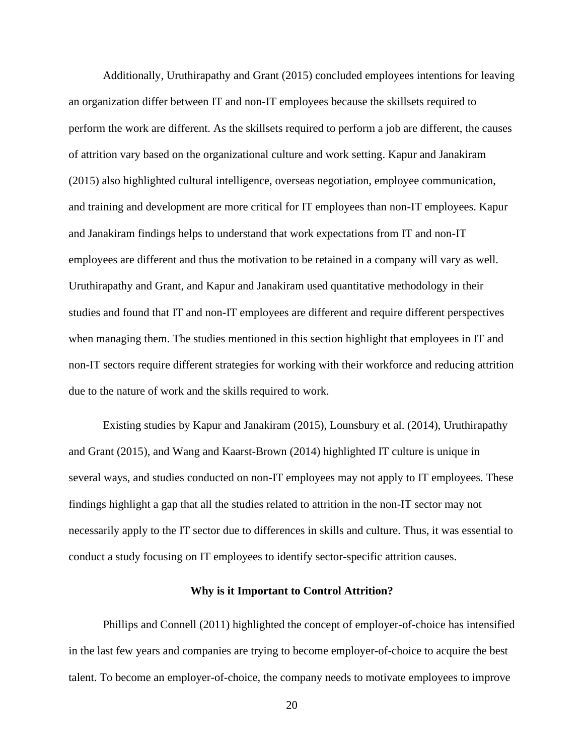Additionally, Uruthirapathy and Grant (2015) concluded employees intentions for leaving an organization differ between IT and non-IT employees because the skillsets required to perform the work are different. As the skillsets required to perform a job are different, the causes of attrition vary based on the organizational culture and work setting. Kapur and Janakiram (2015) also highlighted cultural intelligence, overseas negotiation, employee communication, and training and development are more critical for IT employees than non-IT employees. Kapur and Janakiram findings helps to understand that work expectations from IT and non-IT employees are different and thus the motivation to be retained in a company will vary as well. Uruthirapathy and Grant, and Kapur and Janakiram used quantitative methodology in their studies and found that IT and non-IT employees are different and require different perspectives when managing them. The studies mentioned in this section highlight that employees in IT and non-IT sectors require different strategies for working with their workforce and reducing attrition due to the nature of work and the skills required to work.

Existing studies by Kapur and Janakiram (2015), Lounsbury et al. (2014), Uruthirapathy and Grant (2015), and Wang and Kaarst-Brown (2014) highlighted IT culture is unique in several ways, and studies conducted on non-IT employees may not apply to IT employees. These findings highlight a gap that all the studies related to attrition in the non-IT sector may not necessarily apply to the IT sector due to differences in skills and culture. Thus, it was essential to conduct a study focusing on IT employees to identify sector-specific attrition causes.

#### **Why is it Important to Control Attrition?**

Phillips and Connell (2011) highlighted the concept of employer-of-choice has intensified in the last few years and companies are trying to become employer-of-choice to acquire the best talent. To become an employer-of-choice, the company needs to motivate employees to improve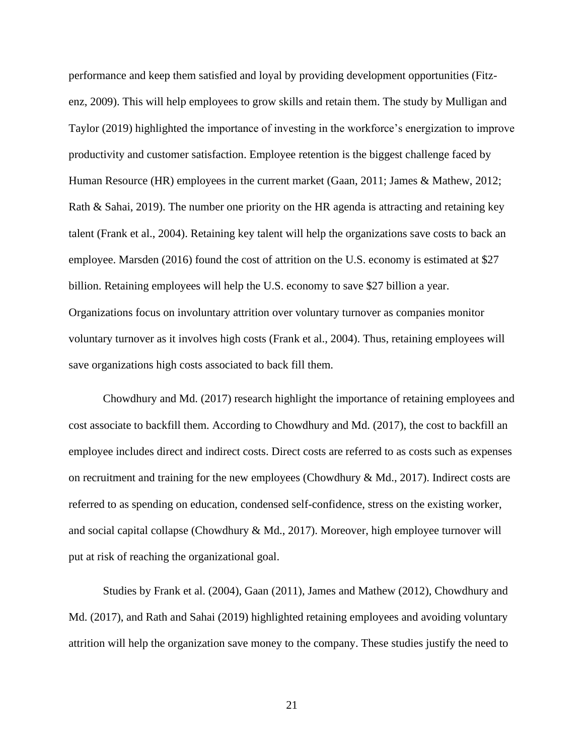performance and keep them satisfied and loyal by providing development opportunities (Fitzenz, 2009). This will help employees to grow skills and retain them. The study by Mulligan and Taylor (2019) highlighted the importance of investing in the workforce's energization to improve productivity and customer satisfaction. Employee retention is the biggest challenge faced by Human Resource (HR) employees in the current market (Gaan, 2011; James & Mathew, 2012; Rath & Sahai, 2019). The number one priority on the HR agenda is attracting and retaining key talent (Frank et al., 2004). Retaining key talent will help the organizations save costs to back an employee. Marsden (2016) found the cost of attrition on the U.S. economy is estimated at \$27 billion. Retaining employees will help the U.S. economy to save \$27 billion a year. Organizations focus on involuntary attrition over voluntary turnover as companies monitor voluntary turnover as it involves high costs (Frank et al., 2004). Thus, retaining employees will save organizations high costs associated to back fill them.

Chowdhury and Md. (2017) research highlight the importance of retaining employees and cost associate to backfill them. According to Chowdhury and Md. (2017), the cost to backfill an employee includes direct and indirect costs. Direct costs are referred to as costs such as expenses on recruitment and training for the new employees (Chowdhury & Md., 2017). Indirect costs are referred to as spending on education, condensed self-confidence, stress on the existing worker, and social capital collapse (Chowdhury & Md., 2017). Moreover, high employee turnover will put at risk of reaching the organizational goal.

Studies by Frank et al. (2004), Gaan (2011), James and Mathew (2012), Chowdhury and Md. (2017), and Rath and Sahai (2019) highlighted retaining employees and avoiding voluntary attrition will help the organization save money to the company. These studies justify the need to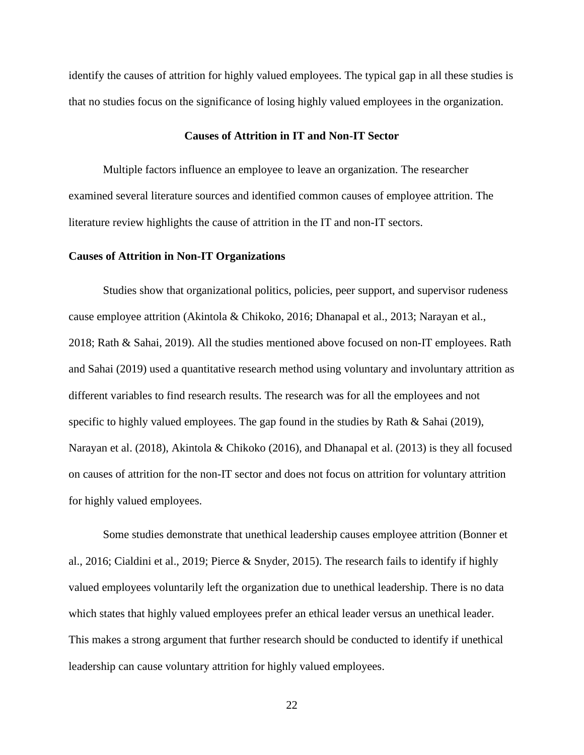identify the causes of attrition for highly valued employees. The typical gap in all these studies is that no studies focus on the significance of losing highly valued employees in the organization.

#### **Causes of Attrition in IT and Non-IT Sector**

Multiple factors influence an employee to leave an organization. The researcher examined several literature sources and identified common causes of employee attrition. The literature review highlights the cause of attrition in the IT and non-IT sectors.

#### **Causes of Attrition in Non-IT Organizations**

Studies show that organizational politics, policies, peer support, and supervisor rudeness cause employee attrition (Akintola & Chikoko, 2016; Dhanapal et al., 2013; Narayan et al., 2018; Rath & Sahai, 2019). All the studies mentioned above focused on non-IT employees. Rath and Sahai (2019) used a quantitative research method using voluntary and involuntary attrition as different variables to find research results. The research was for all the employees and not specific to highly valued employees. The gap found in the studies by Rath & Sahai (2019), Narayan et al. (2018), Akintola & Chikoko (2016), and Dhanapal et al. (2013) is they all focused on causes of attrition for the non-IT sector and does not focus on attrition for voluntary attrition for highly valued employees.

Some studies demonstrate that unethical leadership causes employee attrition (Bonner et al., 2016; Cialdini et al., 2019; Pierce & Snyder, 2015). The research fails to identify if highly valued employees voluntarily left the organization due to unethical leadership. There is no data which states that highly valued employees prefer an ethical leader versus an unethical leader. This makes a strong argument that further research should be conducted to identify if unethical leadership can cause voluntary attrition for highly valued employees.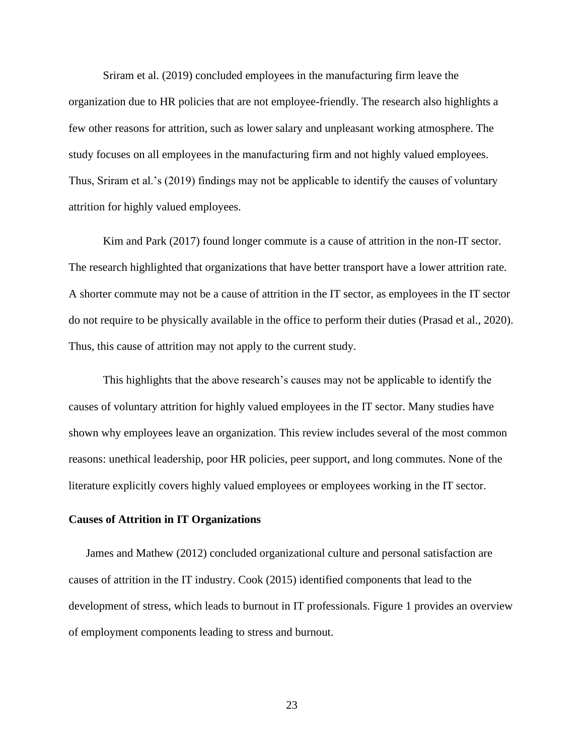Sriram et al. (2019) concluded employees in the manufacturing firm leave the organization due to HR policies that are not employee-friendly. The research also highlights a few other reasons for attrition, such as lower salary and unpleasant working atmosphere. The study focuses on all employees in the manufacturing firm and not highly valued employees. Thus, Sriram et al.'s (2019) findings may not be applicable to identify the causes of voluntary attrition for highly valued employees.

Kim and Park (2017) found longer commute is a cause of attrition in the non-IT sector. The research highlighted that organizations that have better transport have a lower attrition rate. A shorter commute may not be a cause of attrition in the IT sector, as employees in the IT sector do not require to be physically available in the office to perform their duties (Prasad et al., 2020). Thus, this cause of attrition may not apply to the current study.

This highlights that the above research's causes may not be applicable to identify the causes of voluntary attrition for highly valued employees in the IT sector. Many studies have shown why employees leave an organization. This review includes several of the most common reasons: unethical leadership, poor HR policies, peer support, and long commutes. None of the literature explicitly covers highly valued employees or employees working in the IT sector.

#### **Causes of Attrition in IT Organizations**

James and Mathew (2012) concluded organizational culture and personal satisfaction are causes of attrition in the IT industry. Cook (2015) identified components that lead to the development of stress, which leads to burnout in IT professionals. Figure 1 provides an overview of employment components leading to stress and burnout.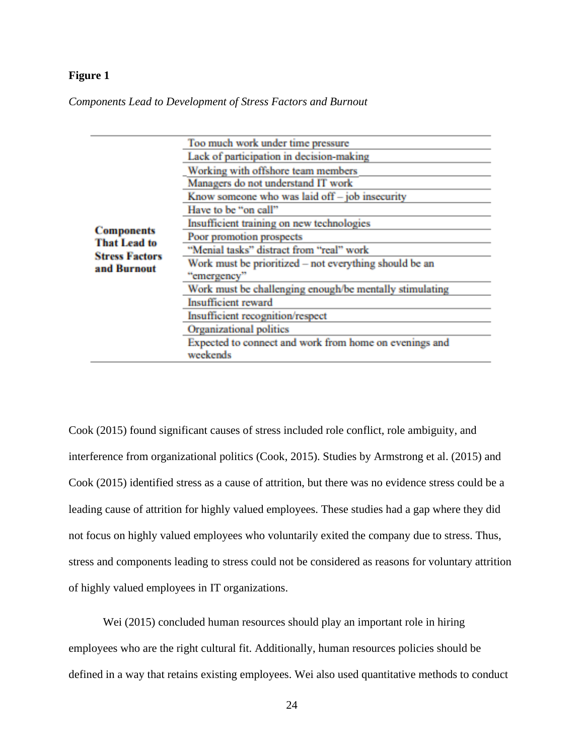## **Figure 1**

*Components Lead to Development of Stress Factors and Burnout*

| <b>Components</b><br><b>That Lead to</b><br><b>Stress Factors</b><br>and Burnout | Too much work under time pressure                                  |
|----------------------------------------------------------------------------------|--------------------------------------------------------------------|
|                                                                                  | Lack of participation in decision-making                           |
|                                                                                  | Working with offshore team members                                 |
|                                                                                  | Managers do not understand IT work                                 |
|                                                                                  | Know someone who was laid off - job insecurity                     |
|                                                                                  | Have to be "on call"                                               |
|                                                                                  | Insufficient training on new technologies                          |
|                                                                                  | Poor promotion prospects                                           |
|                                                                                  | "Menial tasks" distract from "real" work                           |
|                                                                                  | Work must be prioritized - not everything should be an             |
|                                                                                  | "emergency"                                                        |
|                                                                                  | Work must be challenging enough/be mentally stimulating            |
|                                                                                  | Insufficient reward                                                |
|                                                                                  | Insufficient recognition/respect                                   |
|                                                                                  | Organizational politics                                            |
|                                                                                  | Expected to connect and work from home on evenings and<br>weekends |
|                                                                                  |                                                                    |

Cook (2015) found significant causes of stress included role conflict, role ambiguity, and interference from organizational politics (Cook, 2015). Studies by Armstrong et al. (2015) and Cook (2015) identified stress as a cause of attrition, but there was no evidence stress could be a leading cause of attrition for highly valued employees. These studies had a gap where they did not focus on highly valued employees who voluntarily exited the company due to stress. Thus, stress and components leading to stress could not be considered as reasons for voluntary attrition of highly valued employees in IT organizations.

Wei (2015) concluded human resources should play an important role in hiring employees who are the right cultural fit. Additionally, human resources policies should be defined in a way that retains existing employees. Wei also used quantitative methods to conduct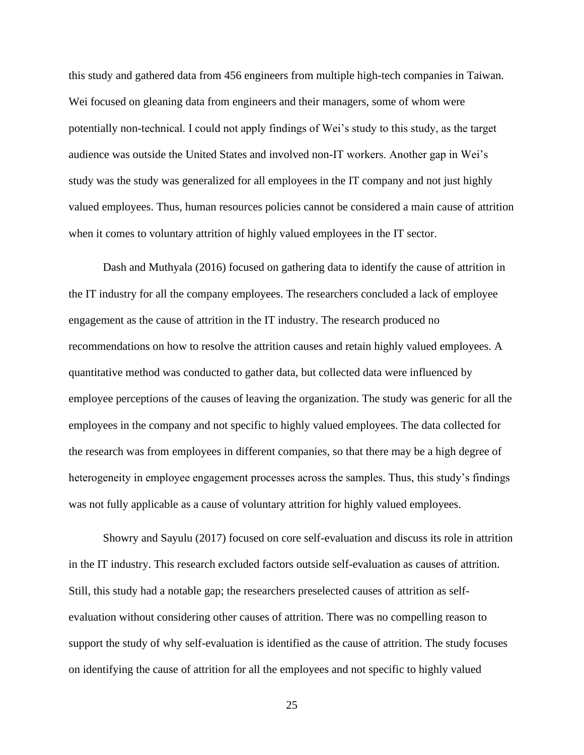this study and gathered data from 456 engineers from multiple high-tech companies in Taiwan. Wei focused on gleaning data from engineers and their managers, some of whom were potentially non-technical. I could not apply findings of Wei's study to this study, as the target audience was outside the United States and involved non-IT workers. Another gap in Wei's study was the study was generalized for all employees in the IT company and not just highly valued employees. Thus, human resources policies cannot be considered a main cause of attrition when it comes to voluntary attrition of highly valued employees in the IT sector.

Dash and Muthyala (2016) focused on gathering data to identify the cause of attrition in the IT industry for all the company employees. The researchers concluded a lack of employee engagement as the cause of attrition in the IT industry. The research produced no recommendations on how to resolve the attrition causes and retain highly valued employees. A quantitative method was conducted to gather data, but collected data were influenced by employee perceptions of the causes of leaving the organization. The study was generic for all the employees in the company and not specific to highly valued employees. The data collected for the research was from employees in different companies, so that there may be a high degree of heterogeneity in employee engagement processes across the samples. Thus, this study's findings was not fully applicable as a cause of voluntary attrition for highly valued employees.

Showry and Sayulu (2017) focused on core self-evaluation and discuss its role in attrition in the IT industry. This research excluded factors outside self-evaluation as causes of attrition. Still, this study had a notable gap; the researchers preselected causes of attrition as selfevaluation without considering other causes of attrition. There was no compelling reason to support the study of why self-evaluation is identified as the cause of attrition. The study focuses on identifying the cause of attrition for all the employees and not specific to highly valued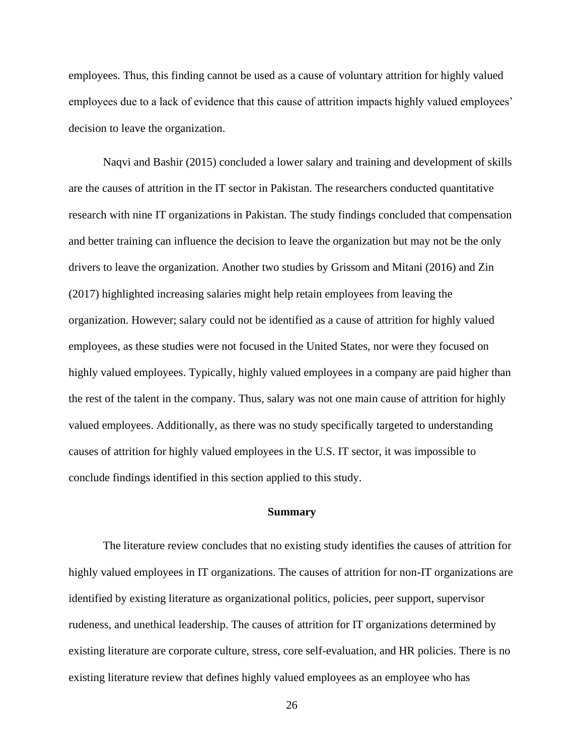employees. Thus, this finding cannot be used as a cause of voluntary attrition for highly valued employees due to a lack of evidence that this cause of attrition impacts highly valued employees' decision to leave the organization.

Naqvi and Bashir (2015) concluded a lower salary and training and development of skills are the causes of attrition in the IT sector in Pakistan. The researchers conducted quantitative research with nine IT organizations in Pakistan. The study findings concluded that compensation and better training can influence the decision to leave the organization but may not be the only drivers to leave the organization. Another two studies by Grissom and Mitani (2016) and Zin (2017) highlighted increasing salaries might help retain employees from leaving the organization. However; salary could not be identified as a cause of attrition for highly valued employees, as these studies were not focused in the United States, nor were they focused on highly valued employees. Typically, highly valued employees in a company are paid higher than the rest of the talent in the company. Thus, salary was not one main cause of attrition for highly valued employees. Additionally, as there was no study specifically targeted to understanding causes of attrition for highly valued employees in the U.S. IT sector, it was impossible to conclude findings identified in this section applied to this study.

# **Summary**

The literature review concludes that no existing study identifies the causes of attrition for highly valued employees in IT organizations. The causes of attrition for non-IT organizations are identified by existing literature as organizational politics, policies, peer support, supervisor rudeness, and unethical leadership. The causes of attrition for IT organizations determined by existing literature are corporate culture, stress, core self-evaluation, and HR policies. There is no existing literature review that defines highly valued employees as an employee who has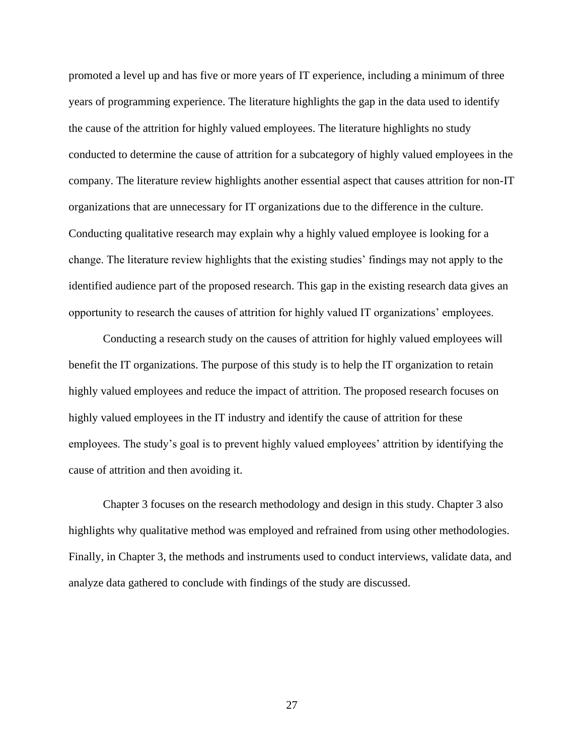promoted a level up and has five or more years of IT experience, including a minimum of three years of programming experience. The literature highlights the gap in the data used to identify the cause of the attrition for highly valued employees. The literature highlights no study conducted to determine the cause of attrition for a subcategory of highly valued employees in the company. The literature review highlights another essential aspect that causes attrition for non-IT organizations that are unnecessary for IT organizations due to the difference in the culture. Conducting qualitative research may explain why a highly valued employee is looking for a change. The literature review highlights that the existing studies' findings may not apply to the identified audience part of the proposed research. This gap in the existing research data gives an opportunity to research the causes of attrition for highly valued IT organizations' employees.

Conducting a research study on the causes of attrition for highly valued employees will benefit the IT organizations. The purpose of this study is to help the IT organization to retain highly valued employees and reduce the impact of attrition. The proposed research focuses on highly valued employees in the IT industry and identify the cause of attrition for these employees. The study's goal is to prevent highly valued employees' attrition by identifying the cause of attrition and then avoiding it.

Chapter 3 focuses on the research methodology and design in this study. Chapter 3 also highlights why qualitative method was employed and refrained from using other methodologies. Finally, in Chapter 3, the methods and instruments used to conduct interviews, validate data, and analyze data gathered to conclude with findings of the study are discussed.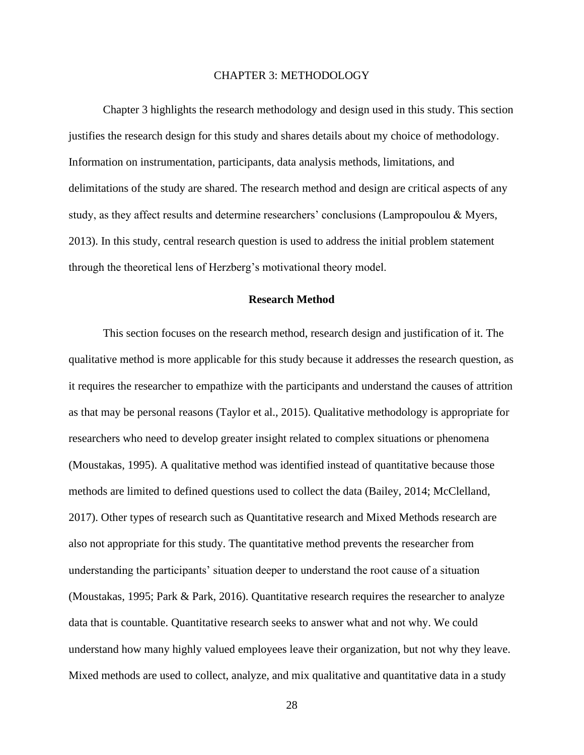#### CHAPTER 3: METHODOLOGY

Chapter 3 highlights the research methodology and design used in this study. This section justifies the research design for this study and shares details about my choice of methodology. Information on instrumentation, participants, data analysis methods, limitations, and delimitations of the study are shared. The research method and design are critical aspects of any study, as they affect results and determine researchers' conclusions (Lampropoulou & Myers, 2013). In this study, central research question is used to address the initial problem statement through the theoretical lens of Herzberg's motivational theory model.

## **Research Method**

This section focuses on the research method, research design and justification of it. The qualitative method is more applicable for this study because it addresses the research question, as it requires the researcher to empathize with the participants and understand the causes of attrition as that may be personal reasons (Taylor et al., 2015). Qualitative methodology is appropriate for researchers who need to develop greater insight related to complex situations or phenomena (Moustakas, 1995). A qualitative method was identified instead of quantitative because those methods are limited to defined questions used to collect the data (Bailey, 2014; McClelland, 2017). Other types of research such as Quantitative research and Mixed Methods research are also not appropriate for this study. The quantitative method prevents the researcher from understanding the participants' situation deeper to understand the root cause of a situation (Moustakas, 1995; Park & Park, 2016). Quantitative research requires the researcher to analyze data that is countable. Quantitative research seeks to answer what and not why. We could understand how many highly valued employees leave their organization, but not why they leave. Mixed methods are used to collect, analyze, and mix qualitative and quantitative data in a study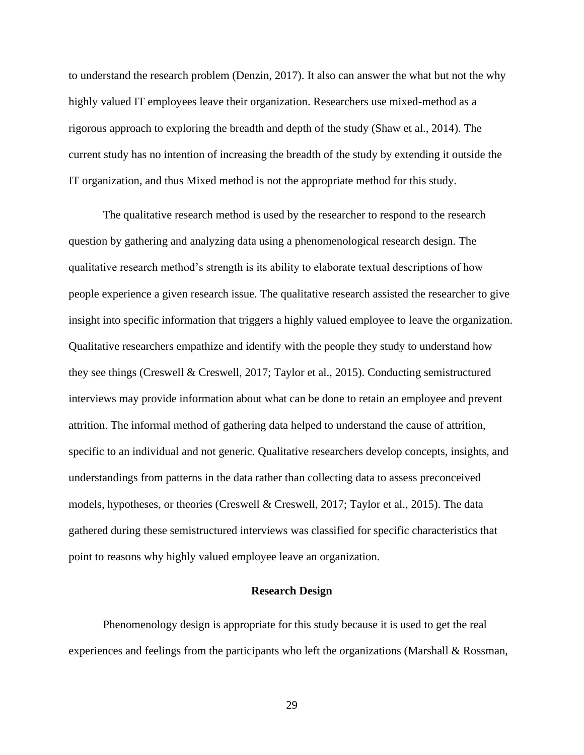to understand the research problem (Denzin, 2017). It also can answer the what but not the why highly valued IT employees leave their organization. Researchers use mixed-method as a rigorous approach to exploring the breadth and depth of the study (Shaw et al., 2014). The current study has no intention of increasing the breadth of the study by extending it outside the IT organization, and thus Mixed method is not the appropriate method for this study.

The qualitative research method is used by the researcher to respond to the research question by gathering and analyzing data using a phenomenological research design. The qualitative research method's strength is its ability to elaborate textual descriptions of how people experience a given research issue. The qualitative research assisted the researcher to give insight into specific information that triggers a highly valued employee to leave the organization. Qualitative researchers empathize and identify with the people they study to understand how they see things (Creswell & Creswell, 2017; Taylor et al., 2015). Conducting semistructured interviews may provide information about what can be done to retain an employee and prevent attrition. The informal method of gathering data helped to understand the cause of attrition, specific to an individual and not generic. Qualitative researchers develop concepts, insights, and understandings from patterns in the data rather than collecting data to assess preconceived models, hypotheses, or theories (Creswell & Creswell, 2017; Taylor et al., 2015). The data gathered during these semistructured interviews was classified for specific characteristics that point to reasons why highly valued employee leave an organization.

## **Research Design**

Phenomenology design is appropriate for this study because it is used to get the real experiences and feelings from the participants who left the organizations (Marshall & Rossman,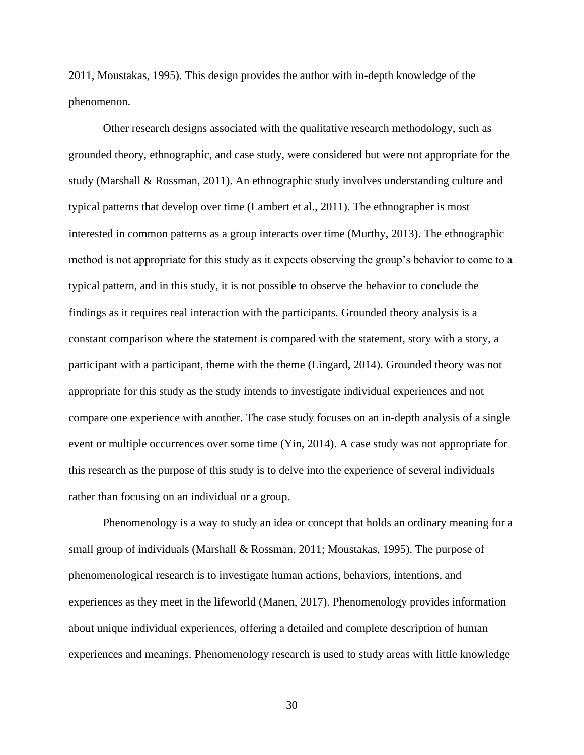2011, Moustakas, 1995). This design provides the author with in-depth knowledge of the phenomenon.

Other research designs associated with the qualitative research methodology, such as grounded theory, ethnographic, and case study, were considered but were not appropriate for the study (Marshall & Rossman, 2011). An ethnographic study involves understanding culture and typical patterns that develop over time (Lambert et al., 2011). The ethnographer is most interested in common patterns as a group interacts over time (Murthy, 2013). The ethnographic method is not appropriate for this study as it expects observing the group's behavior to come to a typical pattern, and in this study, it is not possible to observe the behavior to conclude the findings as it requires real interaction with the participants. Grounded theory analysis is a constant comparison where the statement is compared with the statement, story with a story, a participant with a participant, theme with the theme (Lingard, 2014). Grounded theory was not appropriate for this study as the study intends to investigate individual experiences and not compare one experience with another. The case study focuses on an in-depth analysis of a single event or multiple occurrences over some time (Yin, 2014). A case study was not appropriate for this research as the purpose of this study is to delve into the experience of several individuals rather than focusing on an individual or a group.

Phenomenology is a way to study an idea or concept that holds an ordinary meaning for a small group of individuals (Marshall & Rossman, 2011; Moustakas, 1995). The purpose of phenomenological research is to investigate human actions, behaviors, intentions, and experiences as they meet in the lifeworld (Manen, 2017). Phenomenology provides information about unique individual experiences, offering a detailed and complete description of human experiences and meanings. Phenomenology research is used to study areas with little knowledge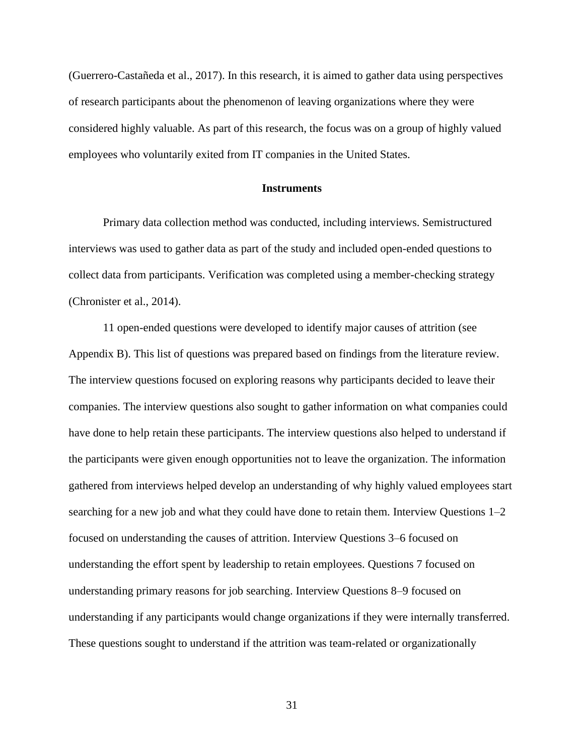(Guerrero-Castañeda et al., 2017). In this research, it is aimed to gather data using perspectives of research participants about the phenomenon of leaving organizations where they were considered highly valuable. As part of this research, the focus was on a group of highly valued employees who voluntarily exited from IT companies in the United States.

### **Instruments**

Primary data collection method was conducted, including interviews. Semistructured interviews was used to gather data as part of the study and included open-ended questions to collect data from participants. Verification was completed using a member-checking strategy (Chronister et al., 2014).

11 open-ended questions were developed to identify major causes of attrition (see Appendix B). This list of questions was prepared based on findings from the literature review. The interview questions focused on exploring reasons why participants decided to leave their companies. The interview questions also sought to gather information on what companies could have done to help retain these participants. The interview questions also helped to understand if the participants were given enough opportunities not to leave the organization. The information gathered from interviews helped develop an understanding of why highly valued employees start searching for a new job and what they could have done to retain them. Interview Questions 1–2 focused on understanding the causes of attrition. Interview Questions 3–6 focused on understanding the effort spent by leadership to retain employees. Questions 7 focused on understanding primary reasons for job searching. Interview Questions 8–9 focused on understanding if any participants would change organizations if they were internally transferred. These questions sought to understand if the attrition was team-related or organizationally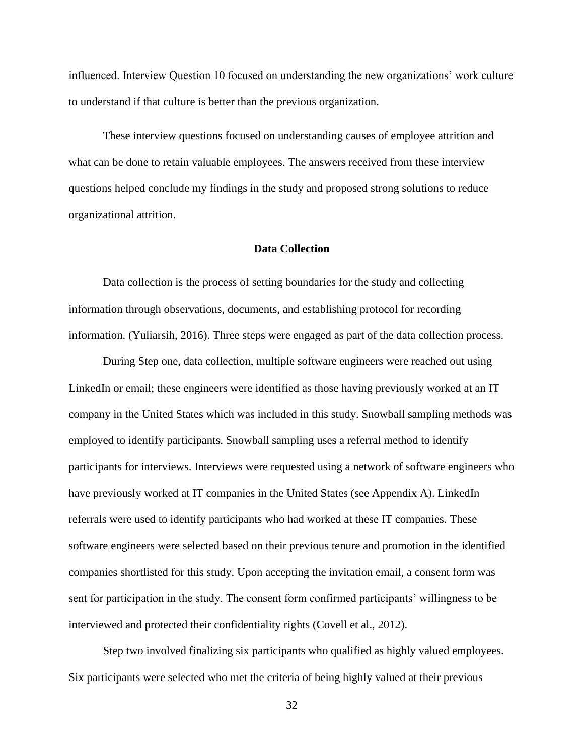influenced. Interview Question 10 focused on understanding the new organizations' work culture to understand if that culture is better than the previous organization.

These interview questions focused on understanding causes of employee attrition and what can be done to retain valuable employees. The answers received from these interview questions helped conclude my findings in the study and proposed strong solutions to reduce organizational attrition.

# **Data Collection**

Data collection is the process of setting boundaries for the study and collecting information through observations, documents, and establishing protocol for recording information. (Yuliarsih, 2016). Three steps were engaged as part of the data collection process.

During Step one, data collection, multiple software engineers were reached out using LinkedIn or email; these engineers were identified as those having previously worked at an IT company in the United States which was included in this study. Snowball sampling methods was employed to identify participants. Snowball sampling uses a referral method to identify participants for interviews. Interviews were requested using a network of software engineers who have previously worked at IT companies in the United States (see Appendix A). LinkedIn referrals were used to identify participants who had worked at these IT companies. These software engineers were selected based on their previous tenure and promotion in the identified companies shortlisted for this study. Upon accepting the invitation email, a consent form was sent for participation in the study. The consent form confirmed participants' willingness to be interviewed and protected their confidentiality rights (Covell et al., 2012).

Step two involved finalizing six participants who qualified as highly valued employees. Six participants were selected who met the criteria of being highly valued at their previous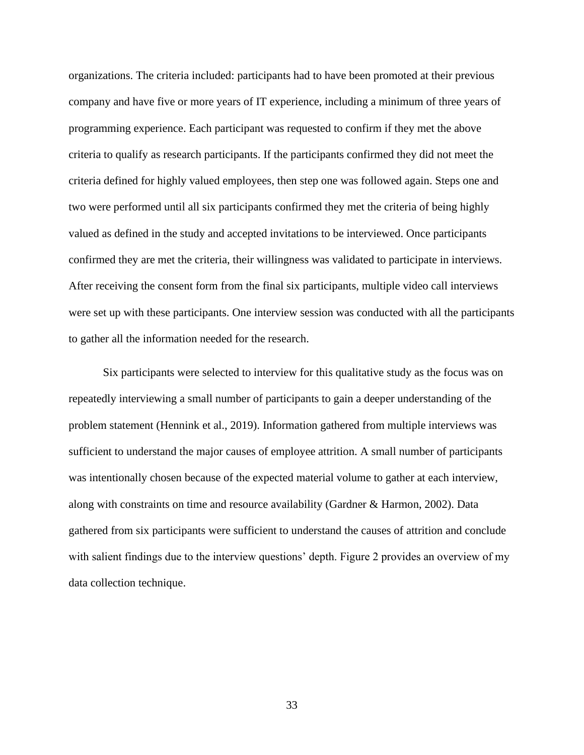organizations. The criteria included: participants had to have been promoted at their previous company and have five or more years of IT experience, including a minimum of three years of programming experience. Each participant was requested to confirm if they met the above criteria to qualify as research participants. If the participants confirmed they did not meet the criteria defined for highly valued employees, then step one was followed again. Steps one and two were performed until all six participants confirmed they met the criteria of being highly valued as defined in the study and accepted invitations to be interviewed. Once participants confirmed they are met the criteria, their willingness was validated to participate in interviews. After receiving the consent form from the final six participants, multiple video call interviews were set up with these participants. One interview session was conducted with all the participants to gather all the information needed for the research.

Six participants were selected to interview for this qualitative study as the focus was on repeatedly interviewing a small number of participants to gain a deeper understanding of the problem statement (Hennink et al., 2019). Information gathered from multiple interviews was sufficient to understand the major causes of employee attrition. A small number of participants was intentionally chosen because of the expected material volume to gather at each interview, along with constraints on time and resource availability (Gardner & Harmon, 2002). Data gathered from six participants were sufficient to understand the causes of attrition and conclude with salient findings due to the interview questions' depth. Figure 2 provides an overview of my data collection technique.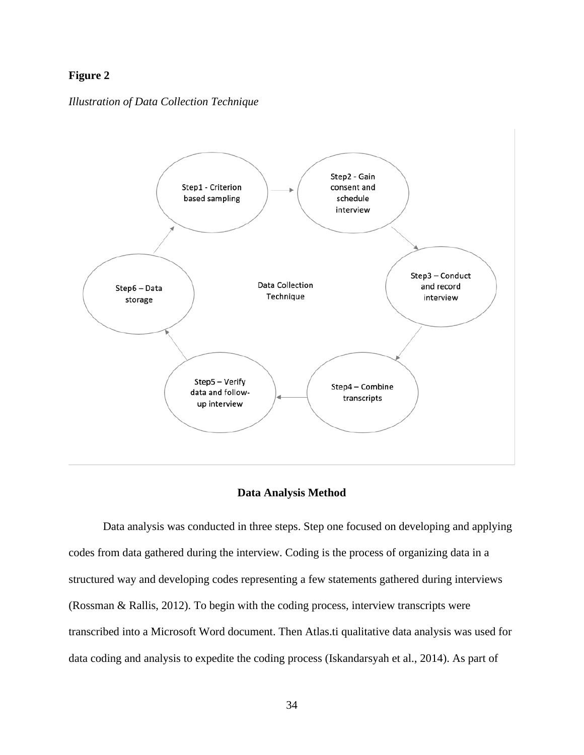# **Figure 2**

### *Illustration of Data Collection Technique*



## **Data Analysis Method**

Data analysis was conducted in three steps. Step one focused on developing and applying codes from data gathered during the interview. Coding is the process of organizing data in a structured way and developing codes representing a few statements gathered during interviews (Rossman & Rallis, 2012). To begin with the coding process, interview transcripts were transcribed into a Microsoft Word document. Then Atlas.ti qualitative data analysis was used for data coding and analysis to expedite the coding process (Iskandarsyah et al., 2014). As part of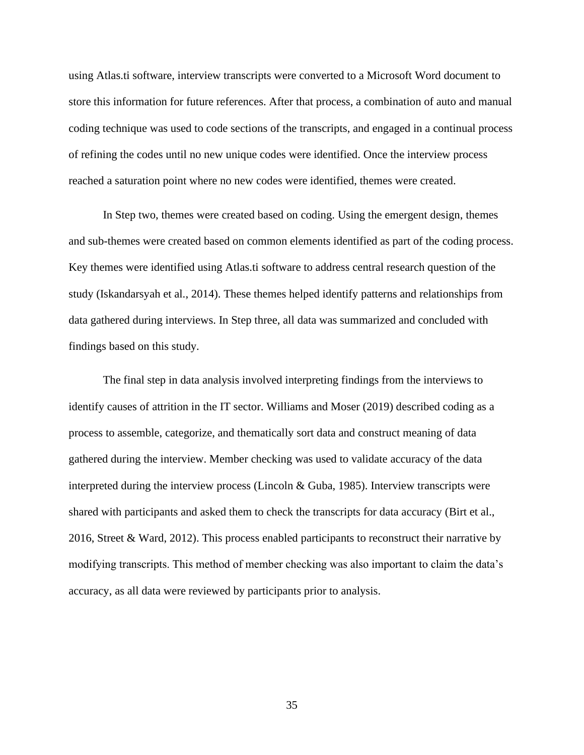using Atlas.ti software, interview transcripts were converted to a Microsoft Word document to store this information for future references. After that process, a combination of auto and manual coding technique was used to code sections of the transcripts, and engaged in a continual process of refining the codes until no new unique codes were identified. Once the interview process reached a saturation point where no new codes were identified, themes were created.

In Step two, themes were created based on coding. Using the emergent design, themes and sub-themes were created based on common elements identified as part of the coding process. Key themes were identified using Atlas.ti software to address central research question of the study (Iskandarsyah et al., 2014). These themes helped identify patterns and relationships from data gathered during interviews. In Step three, all data was summarized and concluded with findings based on this study.

The final step in data analysis involved interpreting findings from the interviews to identify causes of attrition in the IT sector. Williams and Moser (2019) described coding as a process to assemble, categorize, and thematically sort data and construct meaning of data gathered during the interview. Member checking was used to validate accuracy of the data interpreted during the interview process (Lincoln & Guba, 1985). Interview transcripts were shared with participants and asked them to check the transcripts for data accuracy (Birt et al., 2016, Street & Ward, 2012). This process enabled participants to reconstruct their narrative by modifying transcripts. This method of member checking was also important to claim the data's accuracy, as all data were reviewed by participants prior to analysis.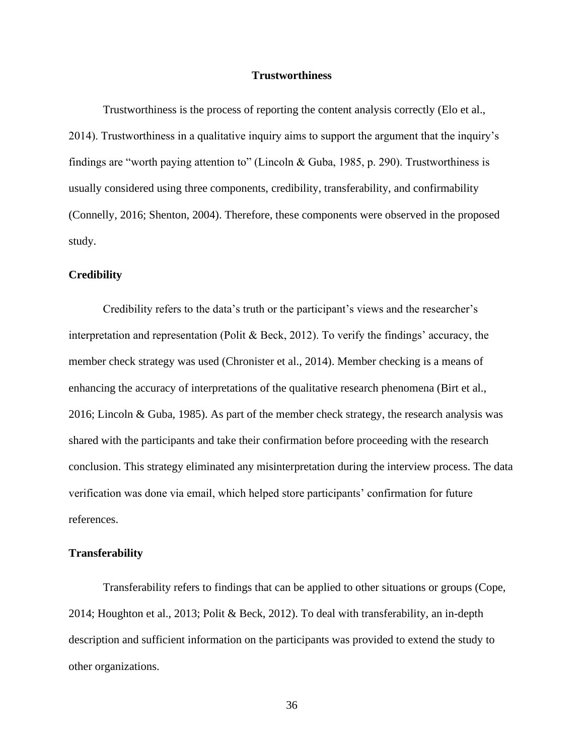### **Trustworthiness**

Trustworthiness is the process of reporting the content analysis correctly (Elo et al., 2014). Trustworthiness in a qualitative inquiry aims to support the argument that the inquiry's findings are "worth paying attention to" (Lincoln & Guba, 1985, p. 290). Trustworthiness is usually considered using three components, credibility, transferability, and confirmability (Connelly, 2016; Shenton, 2004). Therefore, these components were observed in the proposed study.

#### **Credibility**

Credibility refers to the data's truth or the participant's views and the researcher's interpretation and representation (Polit & Beck, 2012). To verify the findings' accuracy, the member check strategy was used (Chronister et al., 2014). Member checking is a means of enhancing the accuracy of interpretations of the qualitative research phenomena (Birt et al., 2016; Lincoln & Guba, 1985). As part of the member check strategy, the research analysis was shared with the participants and take their confirmation before proceeding with the research conclusion. This strategy eliminated any misinterpretation during the interview process. The data verification was done via email, which helped store participants' confirmation for future references.

# **Transferability**

Transferability refers to findings that can be applied to other situations or groups (Cope, 2014; Houghton et al., 2013; Polit & Beck, 2012). To deal with transferability, an in-depth description and sufficient information on the participants was provided to extend the study to other organizations.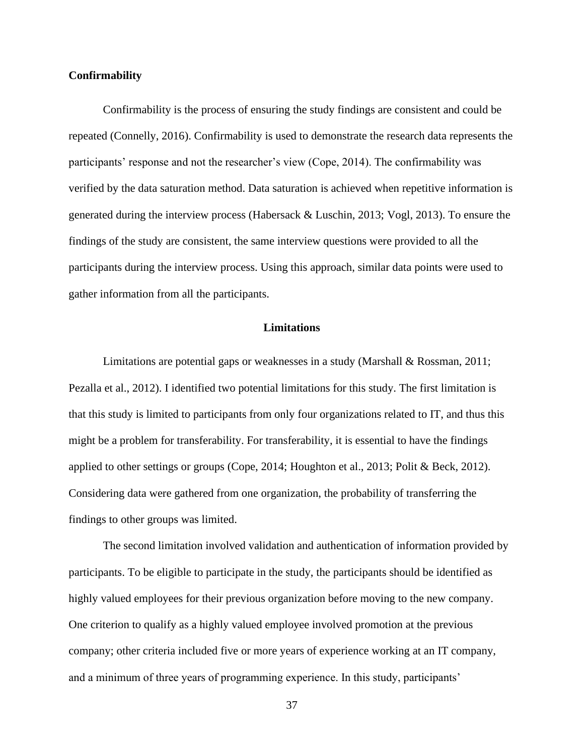## **Confirmability**

Confirmability is the process of ensuring the study findings are consistent and could be repeated (Connelly, 2016). Confirmability is used to demonstrate the research data represents the participants' response and not the researcher's view (Cope, 2014). The confirmability was verified by the data saturation method. Data saturation is achieved when repetitive information is generated during the interview process (Habersack & Luschin, 2013; Vogl, 2013). To ensure the findings of the study are consistent, the same interview questions were provided to all the participants during the interview process. Using this approach, similar data points were used to gather information from all the participants.

# **Limitations**

Limitations are potential gaps or weaknesses in a study (Marshall & Rossman, 2011; Pezalla et al., 2012). I identified two potential limitations for this study. The first limitation is that this study is limited to participants from only four organizations related to IT, and thus this might be a problem for transferability. For transferability, it is essential to have the findings applied to other settings or groups (Cope, 2014; Houghton et al., 2013; Polit & Beck, 2012). Considering data were gathered from one organization, the probability of transferring the findings to other groups was limited.

The second limitation involved validation and authentication of information provided by participants. To be eligible to participate in the study, the participants should be identified as highly valued employees for their previous organization before moving to the new company. One criterion to qualify as a highly valued employee involved promotion at the previous company; other criteria included five or more years of experience working at an IT company, and a minimum of three years of programming experience. In this study, participants'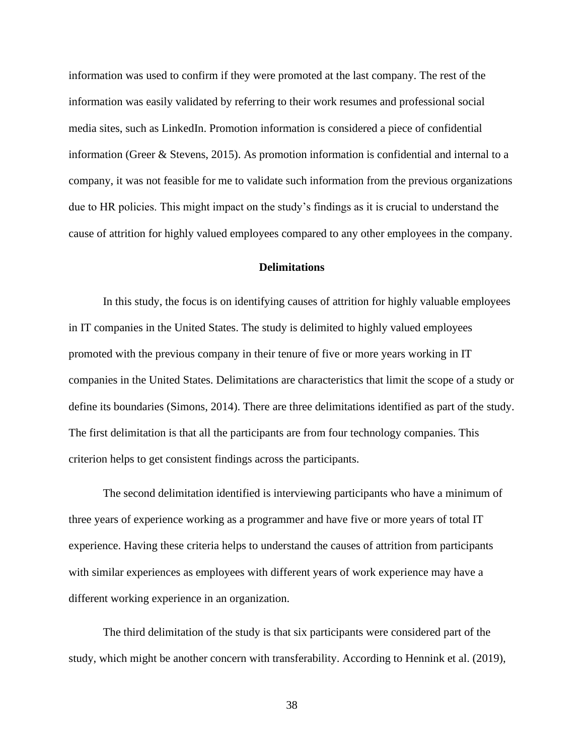information was used to confirm if they were promoted at the last company. The rest of the information was easily validated by referring to their work resumes and professional social media sites, such as LinkedIn. Promotion information is considered a piece of confidential information (Greer & Stevens, 2015). As promotion information is confidential and internal to a company, it was not feasible for me to validate such information from the previous organizations due to HR policies. This might impact on the study's findings as it is crucial to understand the cause of attrition for highly valued employees compared to any other employees in the company.

# **Delimitations**

In this study, the focus is on identifying causes of attrition for highly valuable employees in IT companies in the United States. The study is delimited to highly valued employees promoted with the previous company in their tenure of five or more years working in IT companies in the United States. Delimitations are characteristics that limit the scope of a study or define its boundaries (Simons, 2014). There are three delimitations identified as part of the study. The first delimitation is that all the participants are from four technology companies. This criterion helps to get consistent findings across the participants.

The second delimitation identified is interviewing participants who have a minimum of three years of experience working as a programmer and have five or more years of total IT experience. Having these criteria helps to understand the causes of attrition from participants with similar experiences as employees with different years of work experience may have a different working experience in an organization.

The third delimitation of the study is that six participants were considered part of the study, which might be another concern with transferability. According to Hennink et al. (2019),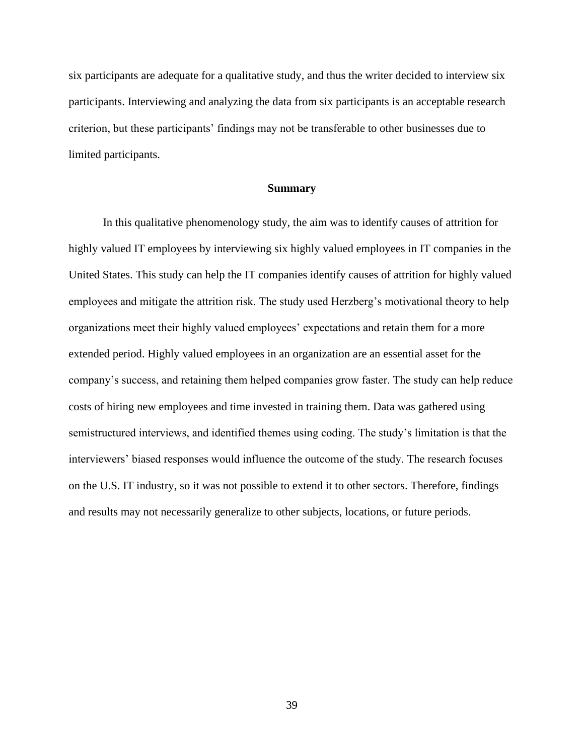six participants are adequate for a qualitative study, and thus the writer decided to interview six participants. Interviewing and analyzing the data from six participants is an acceptable research criterion, but these participants' findings may not be transferable to other businesses due to limited participants.

## **Summary**

In this qualitative phenomenology study, the aim was to identify causes of attrition for highly valued IT employees by interviewing six highly valued employees in IT companies in the United States. This study can help the IT companies identify causes of attrition for highly valued employees and mitigate the attrition risk. The study used Herzberg's motivational theory to help organizations meet their highly valued employees' expectations and retain them for a more extended period. Highly valued employees in an organization are an essential asset for the company's success, and retaining them helped companies grow faster. The study can help reduce costs of hiring new employees and time invested in training them. Data was gathered using semistructured interviews, and identified themes using coding. The study's limitation is that the interviewers' biased responses would influence the outcome of the study. The research focuses on the U.S. IT industry, so it was not possible to extend it to other sectors. Therefore, findings and results may not necessarily generalize to other subjects, locations, or future periods.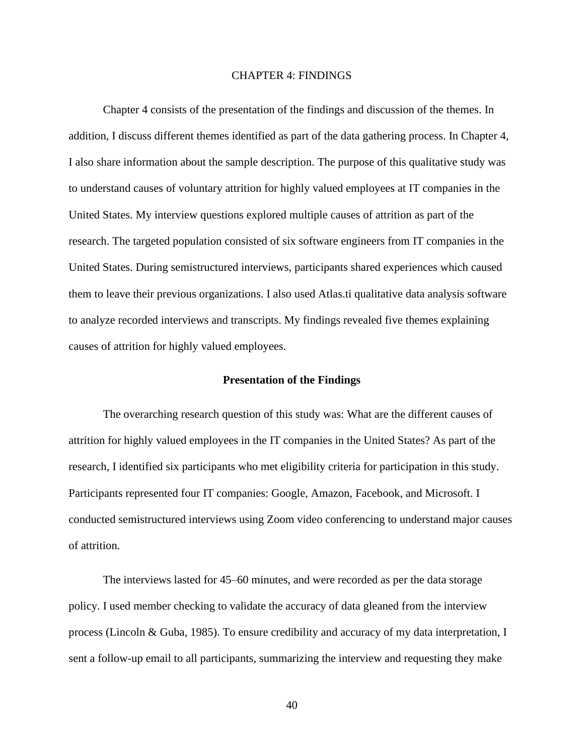## CHAPTER 4: FINDINGS

Chapter 4 consists of the presentation of the findings and discussion of the themes. In addition, I discuss different themes identified as part of the data gathering process. In Chapter 4, I also share information about the sample description. The purpose of this qualitative study was to understand causes of voluntary attrition for highly valued employees at IT companies in the United States. My interview questions explored multiple causes of attrition as part of the research. The targeted population consisted of six software engineers from IT companies in the United States. During semistructured interviews, participants shared experiences which caused them to leave their previous organizations. I also used Atlas.ti qualitative data analysis software to analyze recorded interviews and transcripts. My findings revealed five themes explaining causes of attrition for highly valued employees.

#### **Presentation of the Findings**

The overarching research question of this study was: What are the different causes of attrition for highly valued employees in the IT companies in the United States? As part of the research, I identified six participants who met eligibility criteria for participation in this study. Participants represented four IT companies: Google, Amazon, Facebook, and Microsoft. I conducted semistructured interviews using Zoom video conferencing to understand major causes of attrition.

The interviews lasted for 45–60 minutes, and were recorded as per the data storage policy. I used member checking to validate the accuracy of data gleaned from the interview process (Lincoln & Guba, 1985). To ensure credibility and accuracy of my data interpretation, I sent a follow-up email to all participants, summarizing the interview and requesting they make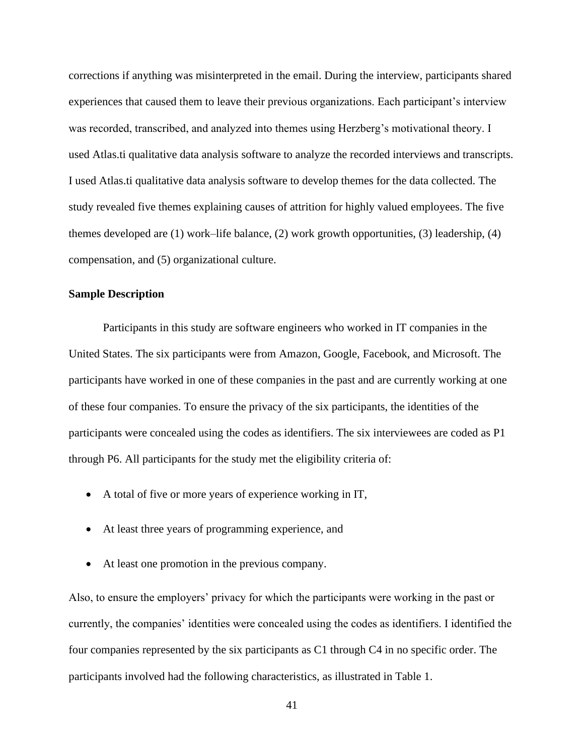corrections if anything was misinterpreted in the email. During the interview, participants shared experiences that caused them to leave their previous organizations. Each participant's interview was recorded, transcribed, and analyzed into themes using Herzberg's motivational theory. I used Atlas.ti qualitative data analysis software to analyze the recorded interviews and transcripts. I used Atlas.ti qualitative data analysis software to develop themes for the data collected. The study revealed five themes explaining causes of attrition for highly valued employees. The five themes developed are (1) work–life balance, (2) work growth opportunities, (3) leadership, (4) compensation, and (5) organizational culture.

# **Sample Description**

Participants in this study are software engineers who worked in IT companies in the United States. The six participants were from Amazon, Google, Facebook, and Microsoft. The participants have worked in one of these companies in the past and are currently working at one of these four companies. To ensure the privacy of the six participants, the identities of the participants were concealed using the codes as identifiers. The six interviewees are coded as P1 through P6. All participants for the study met the eligibility criteria of:

- A total of five or more years of experience working in IT,
- At least three years of programming experience, and
- At least one promotion in the previous company.

Also, to ensure the employers' privacy for which the participants were working in the past or currently, the companies' identities were concealed using the codes as identifiers. I identified the four companies represented by the six participants as C1 through C4 in no specific order. The participants involved had the following characteristics, as illustrated in Table 1.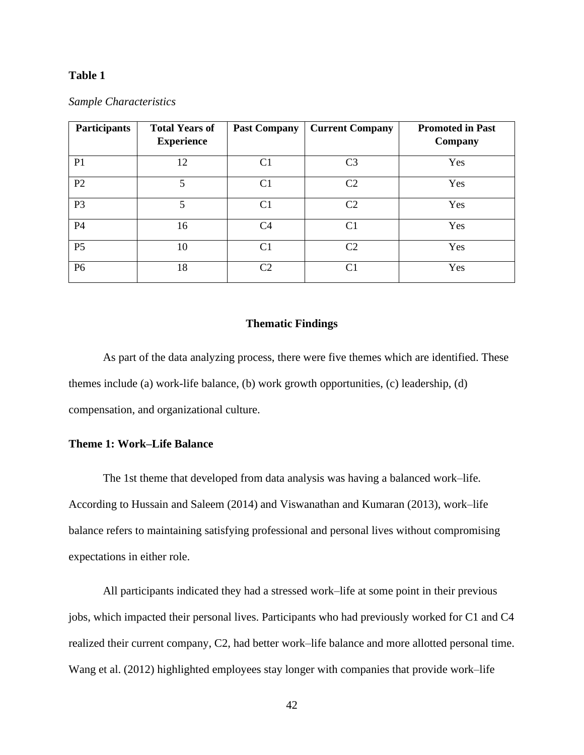# **Table 1**

| <b>Participants</b> | <b>Total Years of</b><br><b>Experience</b> | <b>Past Company</b> | <b>Current Company</b> | <b>Promoted in Past</b><br>Company |
|---------------------|--------------------------------------------|---------------------|------------------------|------------------------------------|
| P <sub>1</sub>      | 12                                         | C <sub>1</sub>      | C3                     | Yes                                |
| P <sub>2</sub>      | 5                                          | C <sub>1</sub>      | C <sub>2</sub>         | Yes                                |
| P <sub>3</sub>      | 5                                          | C <sub>1</sub>      | C2                     | Yes                                |
| P <sub>4</sub>      | 16                                         | C4                  | C <sub>1</sub>         | Yes                                |
| P <sub>5</sub>      | 10                                         | C <sub>1</sub>      | C2                     | Yes                                |
| P <sub>6</sub>      | 18                                         | C2                  | C1                     | Yes                                |

#### *Sample Characteristics*

#### **Thematic Findings**

As part of the data analyzing process, there were five themes which are identified. These themes include (a) work-life balance, (b) work growth opportunities, (c) leadership, (d) compensation, and organizational culture.

### **Theme 1: Work–Life Balance**

The 1st theme that developed from data analysis was having a balanced work–life. According to Hussain and Saleem (2014) and Viswanathan and Kumaran (2013), work–life balance refers to maintaining satisfying professional and personal lives without compromising expectations in either role.

All participants indicated they had a stressed work–life at some point in their previous jobs, which impacted their personal lives. Participants who had previously worked for C1 and C4 realized their current company, C2, had better work–life balance and more allotted personal time. Wang et al. (2012) highlighted employees stay longer with companies that provide work–life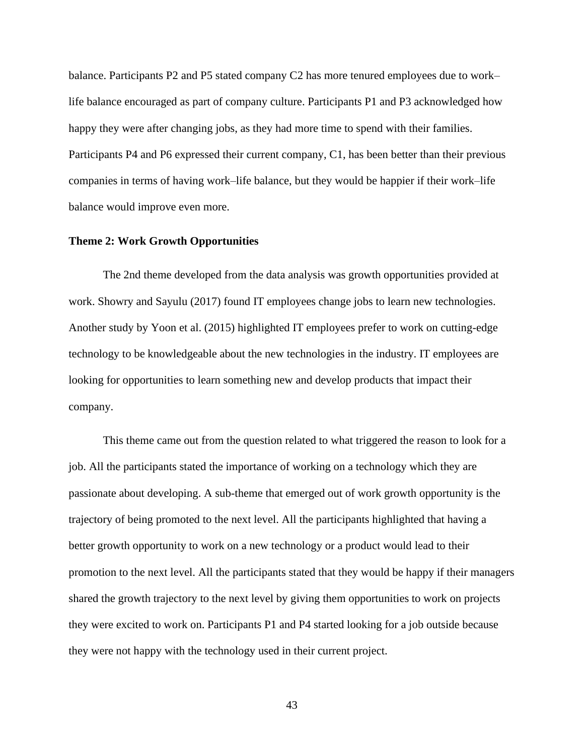balance. Participants P2 and P5 stated company C2 has more tenured employees due to work– life balance encouraged as part of company culture. Participants P1 and P3 acknowledged how happy they were after changing jobs, as they had more time to spend with their families. Participants P4 and P6 expressed their current company, C1, has been better than their previous companies in terms of having work–life balance, but they would be happier if their work–life balance would improve even more.

### **Theme 2: Work Growth Opportunities**

The 2nd theme developed from the data analysis was growth opportunities provided at work. Showry and Sayulu (2017) found IT employees change jobs to learn new technologies. Another study by Yoon et al. (2015) highlighted IT employees prefer to work on cutting-edge technology to be knowledgeable about the new technologies in the industry. IT employees are looking for opportunities to learn something new and develop products that impact their company.

This theme came out from the question related to what triggered the reason to look for a job. All the participants stated the importance of working on a technology which they are passionate about developing. A sub-theme that emerged out of work growth opportunity is the trajectory of being promoted to the next level. All the participants highlighted that having a better growth opportunity to work on a new technology or a product would lead to their promotion to the next level. All the participants stated that they would be happy if their managers shared the growth trajectory to the next level by giving them opportunities to work on projects they were excited to work on. Participants P1 and P4 started looking for a job outside because they were not happy with the technology used in their current project.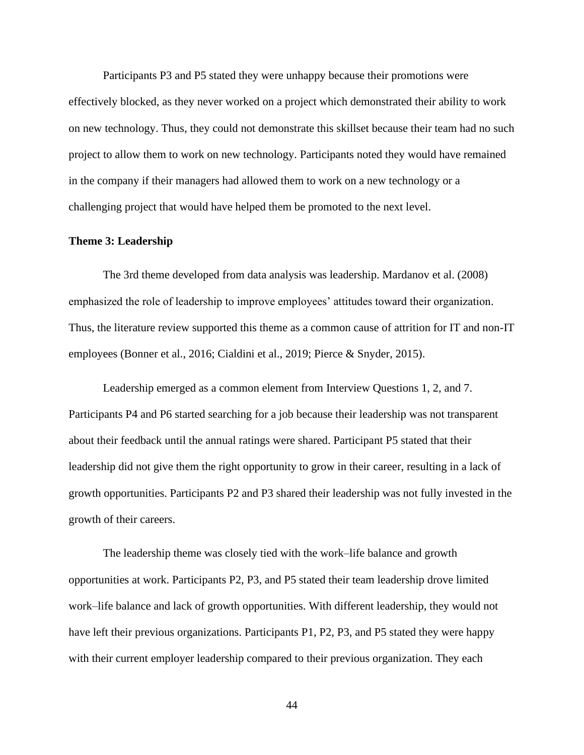Participants P3 and P5 stated they were unhappy because their promotions were effectively blocked, as they never worked on a project which demonstrated their ability to work on new technology. Thus, they could not demonstrate this skillset because their team had no such project to allow them to work on new technology. Participants noted they would have remained in the company if their managers had allowed them to work on a new technology or a challenging project that would have helped them be promoted to the next level.

#### **Theme 3: Leadership**

The 3rd theme developed from data analysis was leadership. Mardanov et al. (2008) emphasized the role of leadership to improve employees' attitudes toward their organization. Thus, the literature review supported this theme as a common cause of attrition for IT and non-IT employees (Bonner et al., 2016; Cialdini et al., 2019; Pierce & Snyder, 2015).

Leadership emerged as a common element from Interview Questions 1, 2, and 7. Participants P4 and P6 started searching for a job because their leadership was not transparent about their feedback until the annual ratings were shared. Participant P5 stated that their leadership did not give them the right opportunity to grow in their career, resulting in a lack of growth opportunities. Participants P2 and P3 shared their leadership was not fully invested in the growth of their careers.

The leadership theme was closely tied with the work–life balance and growth opportunities at work. Participants P2, P3, and P5 stated their team leadership drove limited work–life balance and lack of growth opportunities. With different leadership, they would not have left their previous organizations. Participants P1, P2, P3, and P5 stated they were happy with their current employer leadership compared to their previous organization. They each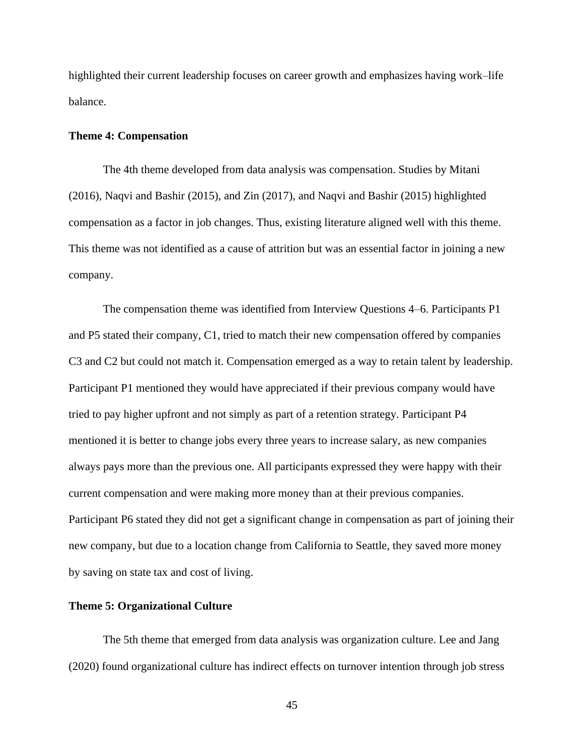highlighted their current leadership focuses on career growth and emphasizes having work–life balance.

# **Theme 4: Compensation**

The 4th theme developed from data analysis was compensation. Studies by Mitani (2016), Naqvi and Bashir (2015), and Zin (2017), and Naqvi and Bashir (2015) highlighted compensation as a factor in job changes. Thus, existing literature aligned well with this theme. This theme was not identified as a cause of attrition but was an essential factor in joining a new company.

The compensation theme was identified from Interview Questions 4–6. Participants P1 and P5 stated their company, C1, tried to match their new compensation offered by companies C3 and C2 but could not match it. Compensation emerged as a way to retain talent by leadership. Participant P1 mentioned they would have appreciated if their previous company would have tried to pay higher upfront and not simply as part of a retention strategy. Participant P4 mentioned it is better to change jobs every three years to increase salary, as new companies always pays more than the previous one. All participants expressed they were happy with their current compensation and were making more money than at their previous companies. Participant P6 stated they did not get a significant change in compensation as part of joining their new company, but due to a location change from California to Seattle, they saved more money by saving on state tax and cost of living.

### **Theme 5: Organizational Culture**

The 5th theme that emerged from data analysis was organization culture. Lee and Jang (2020) found organizational culture has indirect effects on turnover intention through job stress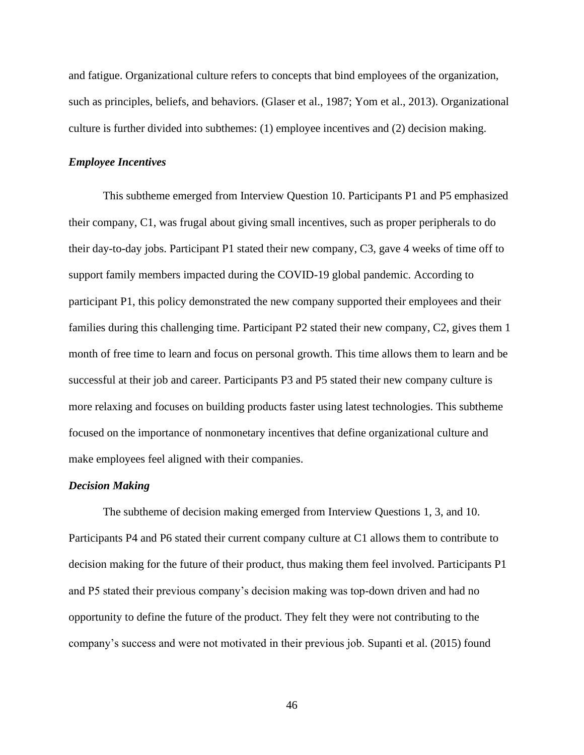and fatigue. Organizational culture refers to concepts that bind employees of the organization, such as principles, beliefs, and behaviors. (Glaser et al., 1987; Yom et al., 2013). Organizational culture is further divided into subthemes: (1) employee incentives and (2) decision making.

# *Employee Incentives*

This subtheme emerged from Interview Question 10. Participants P1 and P5 emphasized their company, C1, was frugal about giving small incentives, such as proper peripherals to do their day-to-day jobs. Participant P1 stated their new company, C3, gave 4 weeks of time off to support family members impacted during the COVID-19 global pandemic. According to participant P1, this policy demonstrated the new company supported their employees and their families during this challenging time. Participant P2 stated their new company, C2, gives them 1 month of free time to learn and focus on personal growth. This time allows them to learn and be successful at their job and career. Participants P3 and P5 stated their new company culture is more relaxing and focuses on building products faster using latest technologies. This subtheme focused on the importance of nonmonetary incentives that define organizational culture and make employees feel aligned with their companies.

#### *Decision Making*

The subtheme of decision making emerged from Interview Questions 1, 3, and 10. Participants P4 and P6 stated their current company culture at C1 allows them to contribute to decision making for the future of their product, thus making them feel involved. Participants P1 and P5 stated their previous company's decision making was top-down driven and had no opportunity to define the future of the product. They felt they were not contributing to the company's success and were not motivated in their previous job. Supanti et al. (2015) found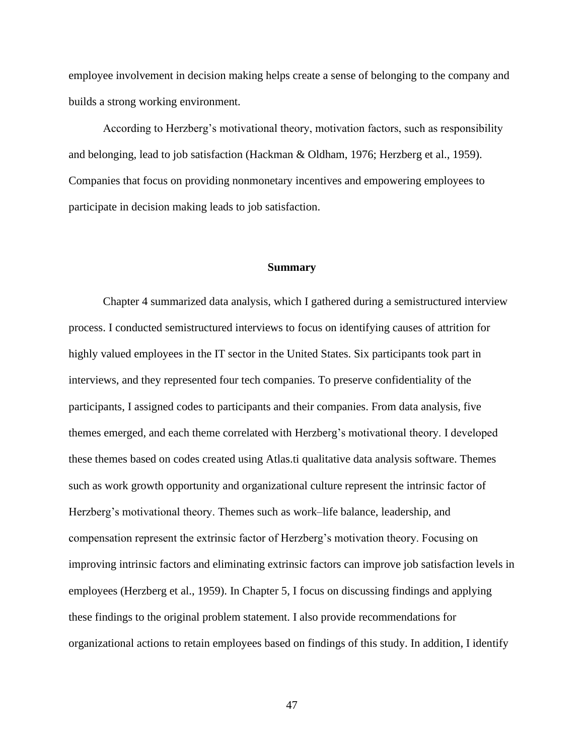employee involvement in decision making helps create a sense of belonging to the company and builds a strong working environment.

According to Herzberg's motivational theory, motivation factors, such as responsibility and belonging, lead to job satisfaction (Hackman & Oldham, 1976; Herzberg et al., 1959). Companies that focus on providing nonmonetary incentives and empowering employees to participate in decision making leads to job satisfaction.

### **Summary**

Chapter 4 summarized data analysis, which I gathered during a semistructured interview process. I conducted semistructured interviews to focus on identifying causes of attrition for highly valued employees in the IT sector in the United States. Six participants took part in interviews, and they represented four tech companies. To preserve confidentiality of the participants, I assigned codes to participants and their companies. From data analysis, five themes emerged, and each theme correlated with Herzberg's motivational theory. I developed these themes based on codes created using Atlas.ti qualitative data analysis software. Themes such as work growth opportunity and organizational culture represent the intrinsic factor of Herzberg's motivational theory. Themes such as work–life balance, leadership, and compensation represent the extrinsic factor of Herzberg's motivation theory. Focusing on improving intrinsic factors and eliminating extrinsic factors can improve job satisfaction levels in employees (Herzberg et al., 1959). In Chapter 5, I focus on discussing findings and applying these findings to the original problem statement. I also provide recommendations for organizational actions to retain employees based on findings of this study. In addition, I identify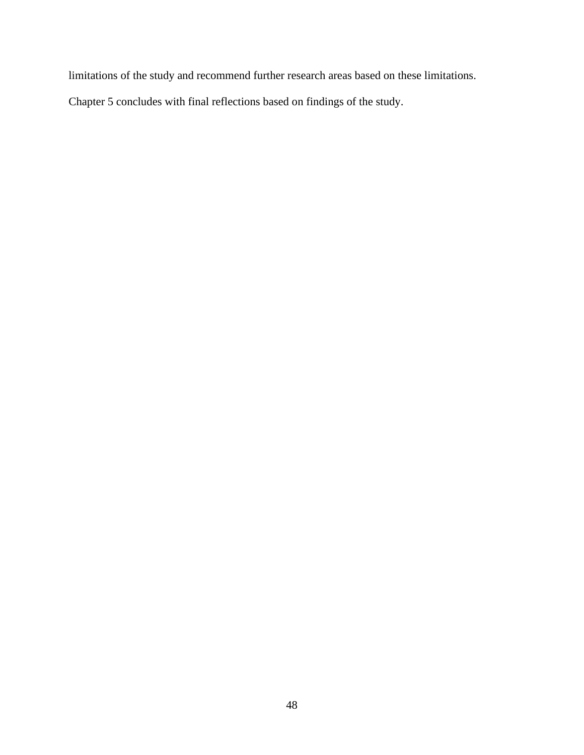limitations of the study and recommend further research areas based on these limitations.

Chapter 5 concludes with final reflections based on findings of the study.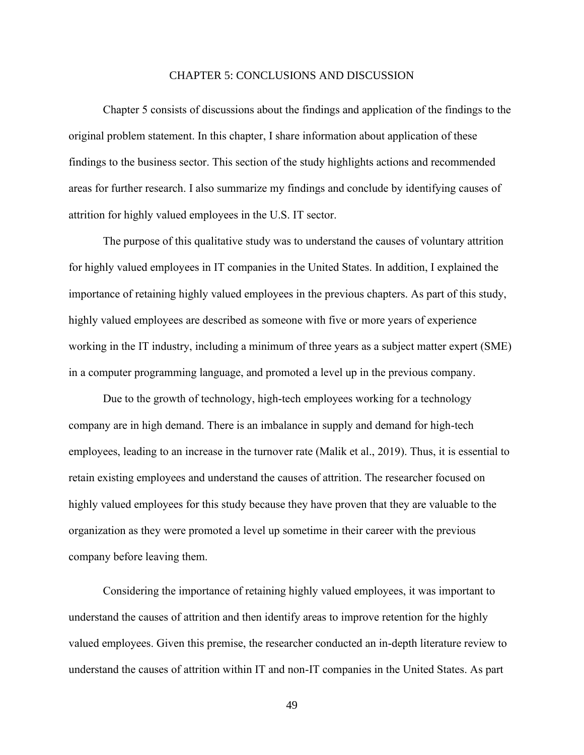### CHAPTER 5: CONCLUSIONS AND DISCUSSION

Chapter 5 consists of discussions about the findings and application of the findings to the original problem statement. In this chapter, I share information about application of these findings to the business sector. This section of the study highlights actions and recommended areas for further research. I also summarize my findings and conclude by identifying causes of attrition for highly valued employees in the U.S. IT sector.

The purpose of this qualitative study was to understand the causes of voluntary attrition for highly valued employees in IT companies in the United States. In addition, I explained the importance of retaining highly valued employees in the previous chapters. As part of this study, highly valued employees are described as someone with five or more years of experience working in the IT industry, including a minimum of three years as a subject matter expert (SME) in a computer programming language, and promoted a level up in the previous company.

Due to the growth of technology, high-tech employees working for a technology company are in high demand. There is an imbalance in supply and demand for high-tech employees, leading to an increase in the turnover rate (Malik et al., 2019). Thus, it is essential to retain existing employees and understand the causes of attrition. The researcher focused on highly valued employees for this study because they have proven that they are valuable to the organization as they were promoted a level up sometime in their career with the previous company before leaving them.

Considering the importance of retaining highly valued employees, it was important to understand the causes of attrition and then identify areas to improve retention for the highly valued employees. Given this premise, the researcher conducted an in-depth literature review to understand the causes of attrition within IT and non-IT companies in the United States. As part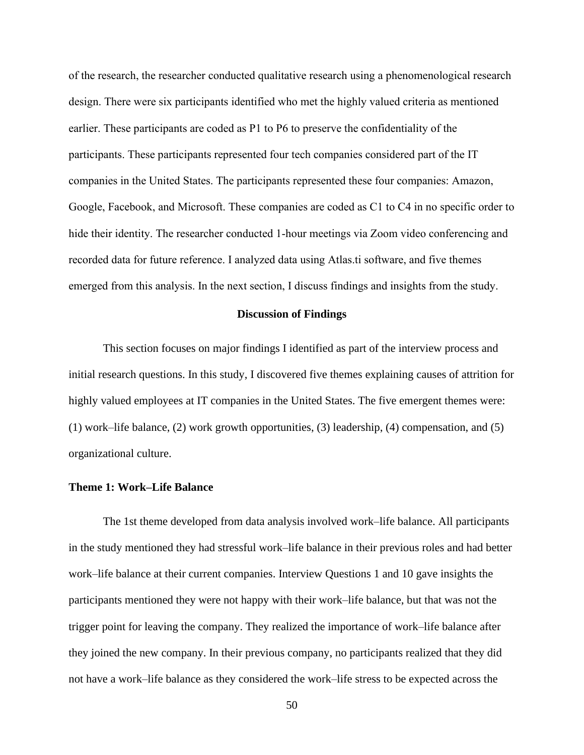of the research, the researcher conducted qualitative research using a phenomenological research design. There were six participants identified who met the highly valued criteria as mentioned earlier. These participants are coded as P1 to P6 to preserve the confidentiality of the participants. These participants represented four tech companies considered part of the IT companies in the United States. The participants represented these four companies: Amazon, Google, Facebook, and Microsoft. These companies are coded as C1 to C4 in no specific order to hide their identity. The researcher conducted 1-hour meetings via Zoom video conferencing and recorded data for future reference. I analyzed data using Atlas.ti software, and five themes emerged from this analysis. In the next section, I discuss findings and insights from the study.

### **Discussion of Findings**

This section focuses on major findings I identified as part of the interview process and initial research questions. In this study, I discovered five themes explaining causes of attrition for highly valued employees at IT companies in the United States. The five emergent themes were: (1) work–life balance, (2) work growth opportunities, (3) leadership, (4) compensation, and (5) organizational culture.

# **Theme 1: Work–Life Balance**

The 1st theme developed from data analysis involved work–life balance. All participants in the study mentioned they had stressful work–life balance in their previous roles and had better work–life balance at their current companies. Interview Questions 1 and 10 gave insights the participants mentioned they were not happy with their work–life balance, but that was not the trigger point for leaving the company. They realized the importance of work–life balance after they joined the new company. In their previous company, no participants realized that they did not have a work–life balance as they considered the work–life stress to be expected across the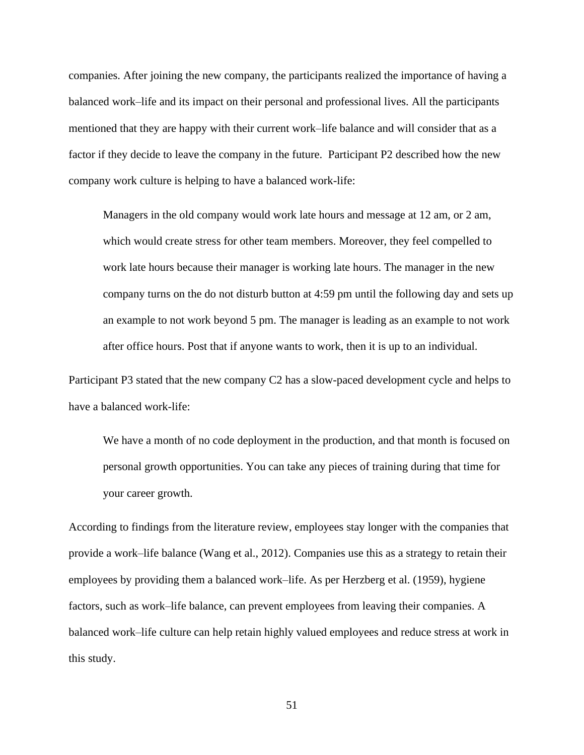companies. After joining the new company, the participants realized the importance of having a balanced work–life and its impact on their personal and professional lives. All the participants mentioned that they are happy with their current work–life balance and will consider that as a factor if they decide to leave the company in the future. Participant P2 described how the new company work culture is helping to have a balanced work-life:

Managers in the old company would work late hours and message at 12 am, or 2 am, which would create stress for other team members. Moreover, they feel compelled to work late hours because their manager is working late hours. The manager in the new company turns on the do not disturb button at 4:59 pm until the following day and sets up an example to not work beyond 5 pm. The manager is leading as an example to not work after office hours. Post that if anyone wants to work, then it is up to an individual.

Participant P3 stated that the new company C2 has a slow-paced development cycle and helps to have a balanced work-life:

We have a month of no code deployment in the production, and that month is focused on personal growth opportunities. You can take any pieces of training during that time for your career growth.

According to findings from the literature review, employees stay longer with the companies that provide a work–life balance (Wang et al., 2012). Companies use this as a strategy to retain their employees by providing them a balanced work–life. As per Herzberg et al. (1959), hygiene factors, such as work–life balance, can prevent employees from leaving their companies. A balanced work–life culture can help retain highly valued employees and reduce stress at work in this study.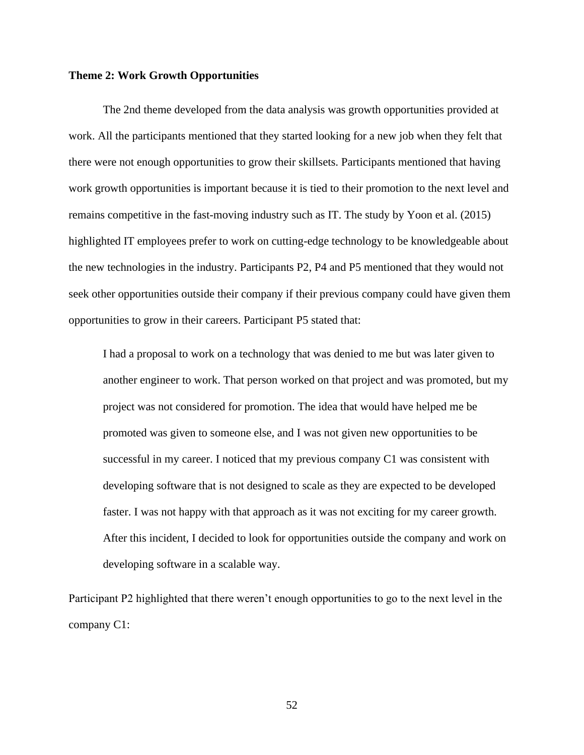#### **Theme 2: Work Growth Opportunities**

The 2nd theme developed from the data analysis was growth opportunities provided at work. All the participants mentioned that they started looking for a new job when they felt that there were not enough opportunities to grow their skillsets. Participants mentioned that having work growth opportunities is important because it is tied to their promotion to the next level and remains competitive in the fast-moving industry such as IT. The study by Yoon et al. (2015) highlighted IT employees prefer to work on cutting-edge technology to be knowledgeable about the new technologies in the industry. Participants P2, P4 and P5 mentioned that they would not seek other opportunities outside their company if their previous company could have given them opportunities to grow in their careers. Participant P5 stated that:

I had a proposal to work on a technology that was denied to me but was later given to another engineer to work. That person worked on that project and was promoted, but my project was not considered for promotion. The idea that would have helped me be promoted was given to someone else, and I was not given new opportunities to be successful in my career. I noticed that my previous company C1 was consistent with developing software that is not designed to scale as they are expected to be developed faster. I was not happy with that approach as it was not exciting for my career growth. After this incident, I decided to look for opportunities outside the company and work on developing software in a scalable way.

Participant P2 highlighted that there weren't enough opportunities to go to the next level in the company C1: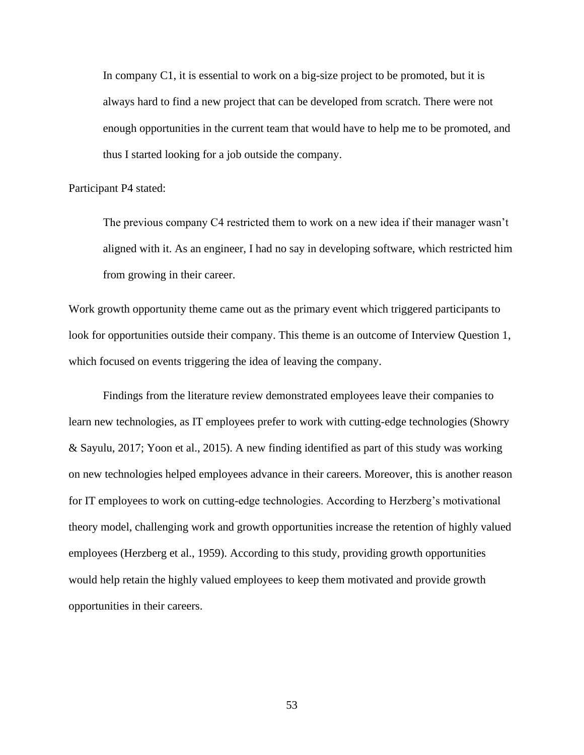In company C1, it is essential to work on a big-size project to be promoted, but it is always hard to find a new project that can be developed from scratch. There were not enough opportunities in the current team that would have to help me to be promoted, and thus I started looking for a job outside the company.

#### Participant P4 stated:

The previous company C4 restricted them to work on a new idea if their manager wasn't aligned with it. As an engineer, I had no say in developing software, which restricted him from growing in their career.

Work growth opportunity theme came out as the primary event which triggered participants to look for opportunities outside their company. This theme is an outcome of Interview Question 1, which focused on events triggering the idea of leaving the company.

Findings from the literature review demonstrated employees leave their companies to learn new technologies, as IT employees prefer to work with cutting-edge technologies (Showry & Sayulu, 2017; Yoon et al., 2015). A new finding identified as part of this study was working on new technologies helped employees advance in their careers. Moreover, this is another reason for IT employees to work on cutting-edge technologies. According to Herzberg's motivational theory model, challenging work and growth opportunities increase the retention of highly valued employees (Herzberg et al., 1959). According to this study, providing growth opportunities would help retain the highly valued employees to keep them motivated and provide growth opportunities in their careers.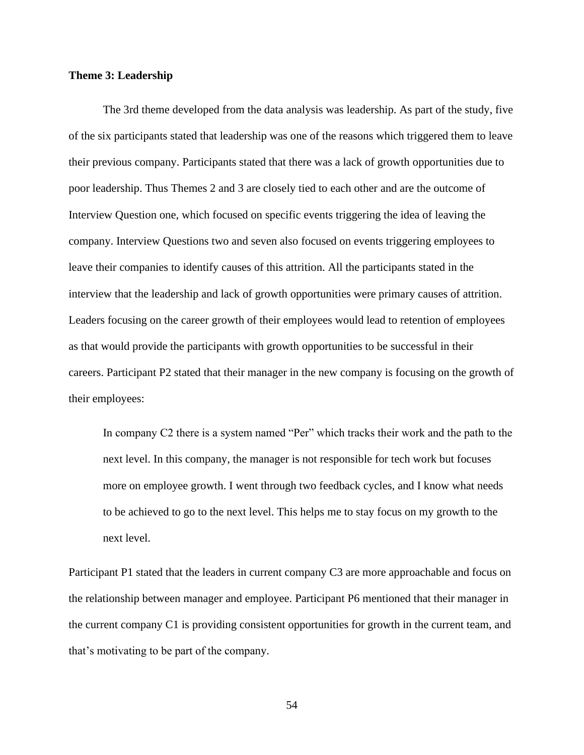# **Theme 3: Leadership**

The 3rd theme developed from the data analysis was leadership. As part of the study, five of the six participants stated that leadership was one of the reasons which triggered them to leave their previous company. Participants stated that there was a lack of growth opportunities due to poor leadership. Thus Themes 2 and 3 are closely tied to each other and are the outcome of Interview Question one, which focused on specific events triggering the idea of leaving the company. Interview Questions two and seven also focused on events triggering employees to leave their companies to identify causes of this attrition. All the participants stated in the interview that the leadership and lack of growth opportunities were primary causes of attrition. Leaders focusing on the career growth of their employees would lead to retention of employees as that would provide the participants with growth opportunities to be successful in their careers. Participant P2 stated that their manager in the new company is focusing on the growth of their employees:

In company C2 there is a system named "Per" which tracks their work and the path to the next level. In this company, the manager is not responsible for tech work but focuses more on employee growth. I went through two feedback cycles, and I know what needs to be achieved to go to the next level. This helps me to stay focus on my growth to the next level.

Participant P1 stated that the leaders in current company C3 are more approachable and focus on the relationship between manager and employee. Participant P6 mentioned that their manager in the current company C1 is providing consistent opportunities for growth in the current team, and that's motivating to be part of the company.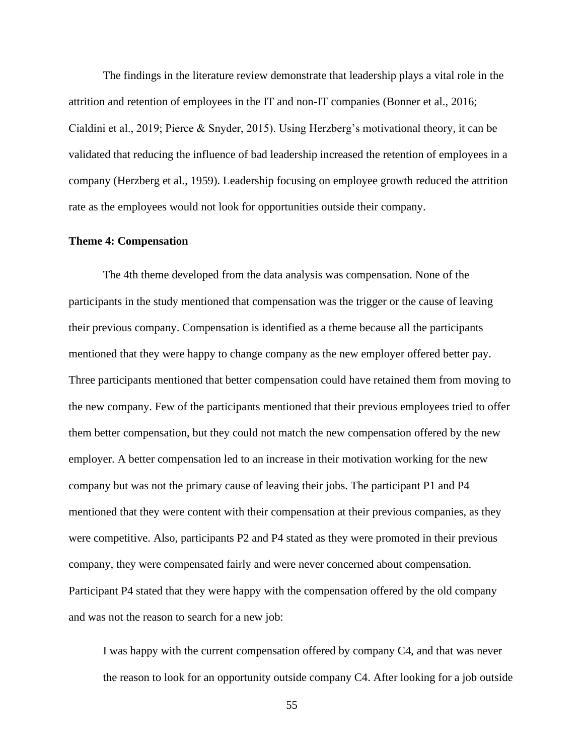The findings in the literature review demonstrate that leadership plays a vital role in the attrition and retention of employees in the IT and non-IT companies (Bonner et al., 2016; Cialdini et al., 2019; Pierce & Snyder, 2015). Using Herzberg's motivational theory, it can be validated that reducing the influence of bad leadership increased the retention of employees in a company (Herzberg et al., 1959). Leadership focusing on employee growth reduced the attrition rate as the employees would not look for opportunities outside their company.

### **Theme 4: Compensation**

The 4th theme developed from the data analysis was compensation. None of the participants in the study mentioned that compensation was the trigger or the cause of leaving their previous company. Compensation is identified as a theme because all the participants mentioned that they were happy to change company as the new employer offered better pay. Three participants mentioned that better compensation could have retained them from moving to the new company. Few of the participants mentioned that their previous employees tried to offer them better compensation, but they could not match the new compensation offered by the new employer. A better compensation led to an increase in their motivation working for the new company but was not the primary cause of leaving their jobs. The participant P1 and P4 mentioned that they were content with their compensation at their previous companies, as they were competitive. Also, participants P2 and P4 stated as they were promoted in their previous company, they were compensated fairly and were never concerned about compensation. Participant P4 stated that they were happy with the compensation offered by the old company and was not the reason to search for a new job:

I was happy with the current compensation offered by company C4, and that was never the reason to look for an opportunity outside company C4. After looking for a job outside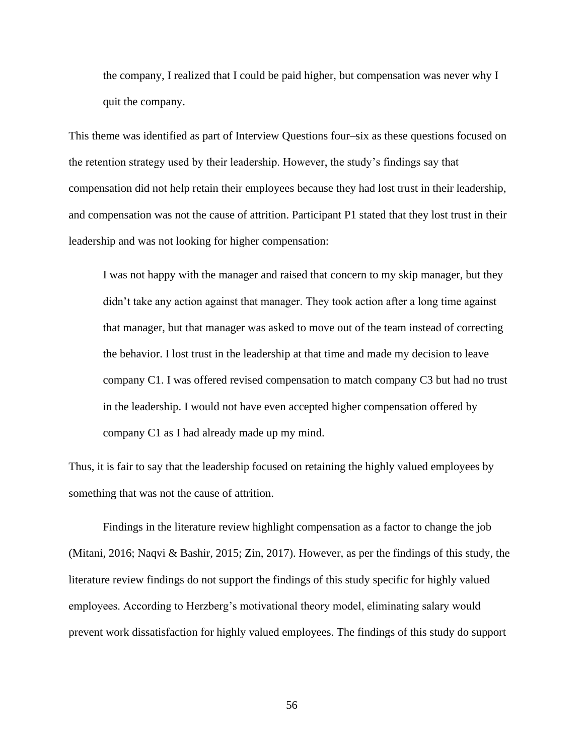the company, I realized that I could be paid higher, but compensation was never why I quit the company.

This theme was identified as part of Interview Questions four–six as these questions focused on the retention strategy used by their leadership. However, the study's findings say that compensation did not help retain their employees because they had lost trust in their leadership, and compensation was not the cause of attrition. Participant P1 stated that they lost trust in their leadership and was not looking for higher compensation:

I was not happy with the manager and raised that concern to my skip manager, but they didn't take any action against that manager. They took action after a long time against that manager, but that manager was asked to move out of the team instead of correcting the behavior. I lost trust in the leadership at that time and made my decision to leave company C1. I was offered revised compensation to match company C3 but had no trust in the leadership. I would not have even accepted higher compensation offered by company C1 as I had already made up my mind.

Thus, it is fair to say that the leadership focused on retaining the highly valued employees by something that was not the cause of attrition.

Findings in the literature review highlight compensation as a factor to change the job (Mitani, 2016; Naqvi & Bashir, 2015; Zin, 2017). However, as per the findings of this study, the literature review findings do not support the findings of this study specific for highly valued employees. According to Herzberg's motivational theory model, eliminating salary would prevent work dissatisfaction for highly valued employees. The findings of this study do support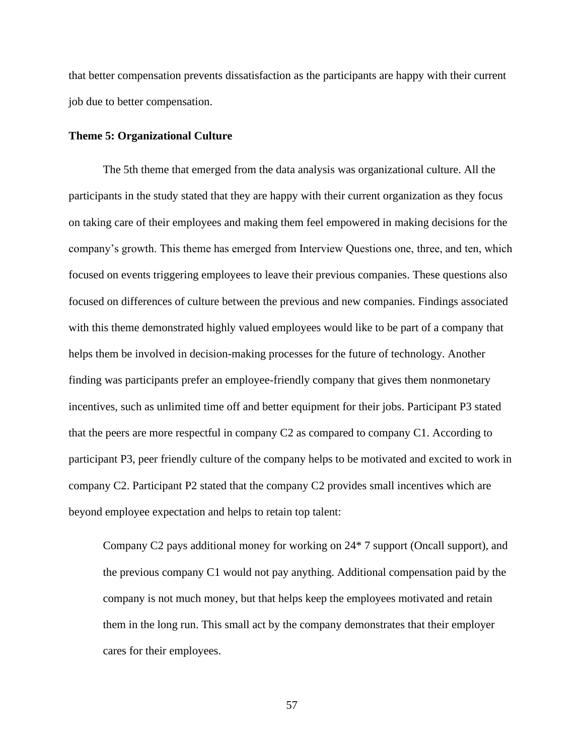that better compensation prevents dissatisfaction as the participants are happy with their current job due to better compensation.

## **Theme 5: Organizational Culture**

The 5th theme that emerged from the data analysis was organizational culture. All the participants in the study stated that they are happy with their current organization as they focus on taking care of their employees and making them feel empowered in making decisions for the company's growth. This theme has emerged from Interview Questions one, three, and ten, which focused on events triggering employees to leave their previous companies. These questions also focused on differences of culture between the previous and new companies. Findings associated with this theme demonstrated highly valued employees would like to be part of a company that helps them be involved in decision-making processes for the future of technology. Another finding was participants prefer an employee-friendly company that gives them nonmonetary incentives, such as unlimited time off and better equipment for their jobs. Participant P3 stated that the peers are more respectful in company C2 as compared to company C1. According to participant P3, peer friendly culture of the company helps to be motivated and excited to work in company C2. Participant P2 stated that the company C2 provides small incentives which are beyond employee expectation and helps to retain top talent:

Company C2 pays additional money for working on 24\* 7 support (Oncall support), and the previous company C1 would not pay anything. Additional compensation paid by the company is not much money, but that helps keep the employees motivated and retain them in the long run. This small act by the company demonstrates that their employer cares for their employees.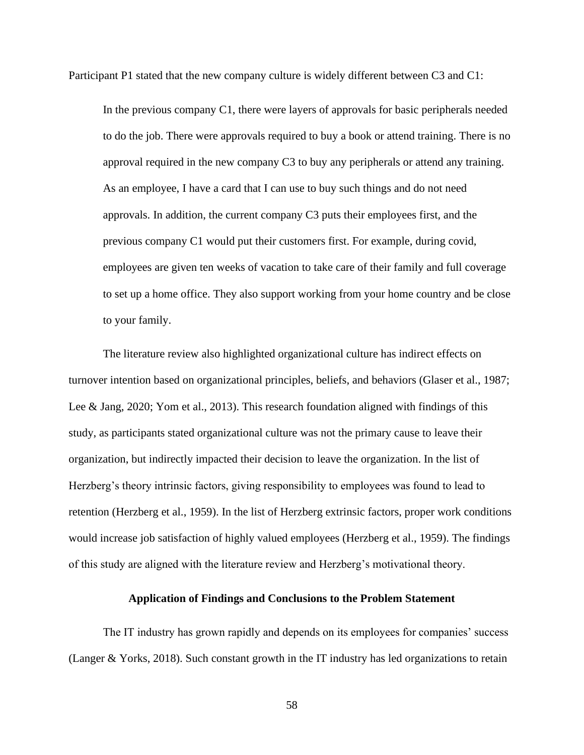Participant P1 stated that the new company culture is widely different between C3 and C1:

In the previous company C1, there were layers of approvals for basic peripherals needed to do the job. There were approvals required to buy a book or attend training. There is no approval required in the new company C3 to buy any peripherals or attend any training. As an employee, I have a card that I can use to buy such things and do not need approvals. In addition, the current company C3 puts their employees first, and the previous company C1 would put their customers first. For example, during covid, employees are given ten weeks of vacation to take care of their family and full coverage to set up a home office. They also support working from your home country and be close to your family.

The literature review also highlighted organizational culture has indirect effects on turnover intention based on organizational principles, beliefs, and behaviors (Glaser et al., 1987; Lee & Jang, 2020; Yom et al., 2013). This research foundation aligned with findings of this study, as participants stated organizational culture was not the primary cause to leave their organization, but indirectly impacted their decision to leave the organization. In the list of Herzberg's theory intrinsic factors, giving responsibility to employees was found to lead to retention (Herzberg et al., 1959). In the list of Herzberg extrinsic factors, proper work conditions would increase job satisfaction of highly valued employees (Herzberg et al., 1959). The findings of this study are aligned with the literature review and Herzberg's motivational theory.

# **Application of Findings and Conclusions to the Problem Statement**

The IT industry has grown rapidly and depends on its employees for companies' success (Langer & Yorks, 2018). Such constant growth in the IT industry has led organizations to retain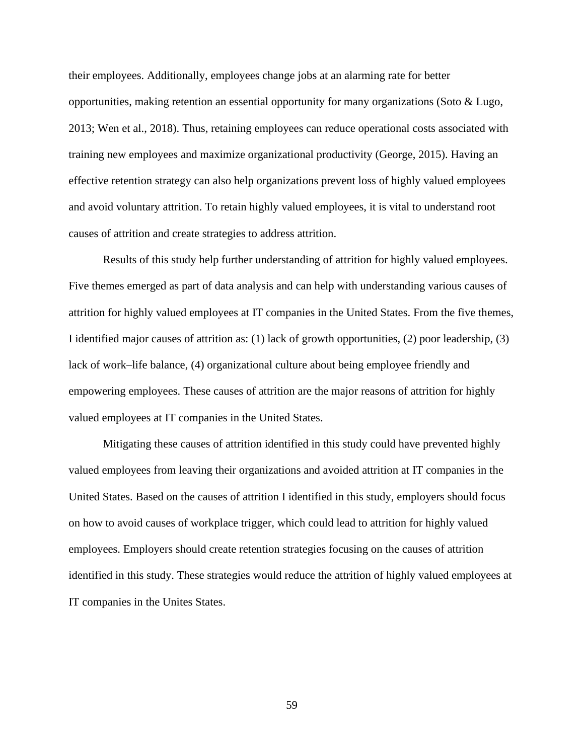their employees. Additionally, employees change jobs at an alarming rate for better opportunities, making retention an essential opportunity for many organizations (Soto & Lugo, 2013; Wen et al., 2018). Thus, retaining employees can reduce operational costs associated with training new employees and maximize organizational productivity (George, 2015). Having an effective retention strategy can also help organizations prevent loss of highly valued employees and avoid voluntary attrition. To retain highly valued employees, it is vital to understand root causes of attrition and create strategies to address attrition.

Results of this study help further understanding of attrition for highly valued employees. Five themes emerged as part of data analysis and can help with understanding various causes of attrition for highly valued employees at IT companies in the United States. From the five themes, I identified major causes of attrition as: (1) lack of growth opportunities, (2) poor leadership, (3) lack of work–life balance, (4) organizational culture about being employee friendly and empowering employees. These causes of attrition are the major reasons of attrition for highly valued employees at IT companies in the United States.

Mitigating these causes of attrition identified in this study could have prevented highly valued employees from leaving their organizations and avoided attrition at IT companies in the United States. Based on the causes of attrition I identified in this study, employers should focus on how to avoid causes of workplace trigger, which could lead to attrition for highly valued employees. Employers should create retention strategies focusing on the causes of attrition identified in this study. These strategies would reduce the attrition of highly valued employees at IT companies in the Unites States.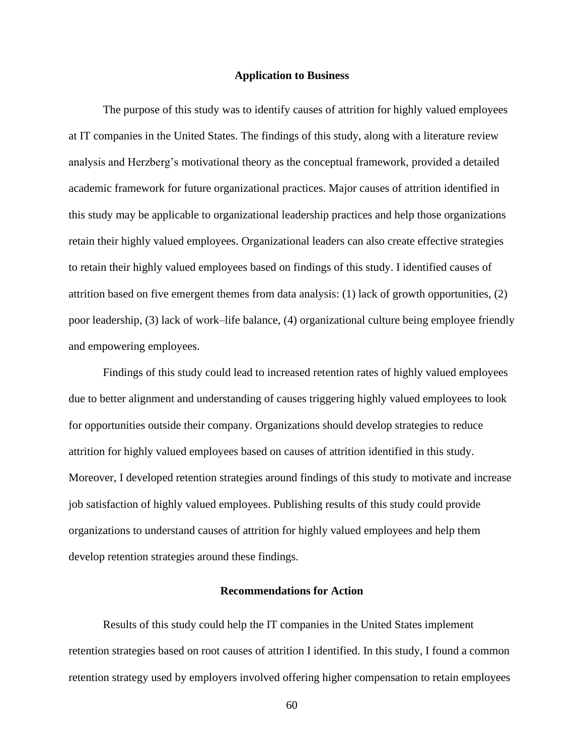#### **Application to Business**

The purpose of this study was to identify causes of attrition for highly valued employees at IT companies in the United States. The findings of this study, along with a literature review analysis and Herzberg's motivational theory as the conceptual framework, provided a detailed academic framework for future organizational practices. Major causes of attrition identified in this study may be applicable to organizational leadership practices and help those organizations retain their highly valued employees. Organizational leaders can also create effective strategies to retain their highly valued employees based on findings of this study. I identified causes of attrition based on five emergent themes from data analysis: (1) lack of growth opportunities, (2) poor leadership, (3) lack of work–life balance, (4) organizational culture being employee friendly and empowering employees.

Findings of this study could lead to increased retention rates of highly valued employees due to better alignment and understanding of causes triggering highly valued employees to look for opportunities outside their company. Organizations should develop strategies to reduce attrition for highly valued employees based on causes of attrition identified in this study. Moreover, I developed retention strategies around findings of this study to motivate and increase job satisfaction of highly valued employees. Publishing results of this study could provide organizations to understand causes of attrition for highly valued employees and help them develop retention strategies around these findings.

#### **Recommendations for Action**

Results of this study could help the IT companies in the United States implement retention strategies based on root causes of attrition I identified. In this study, I found a common retention strategy used by employers involved offering higher compensation to retain employees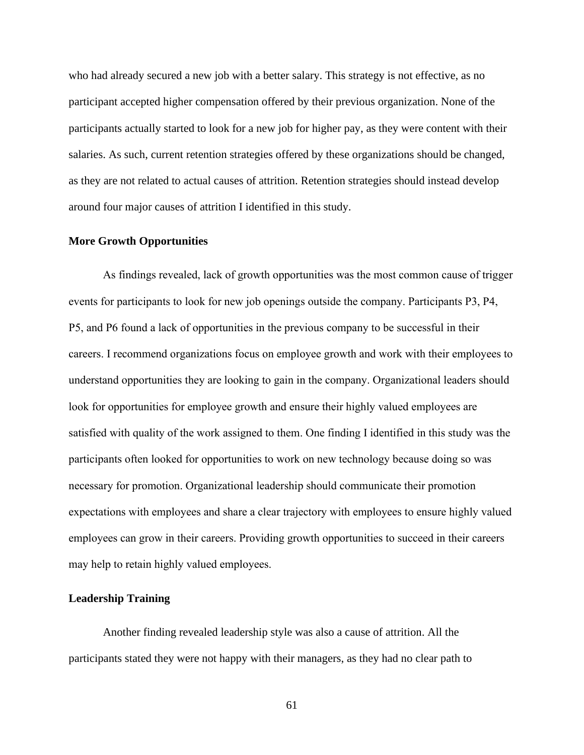who had already secured a new job with a better salary. This strategy is not effective, as no participant accepted higher compensation offered by their previous organization. None of the participants actually started to look for a new job for higher pay, as they were content with their salaries. As such, current retention strategies offered by these organizations should be changed, as they are not related to actual causes of attrition. Retention strategies should instead develop around four major causes of attrition I identified in this study.

### **More Growth Opportunities**

As findings revealed, lack of growth opportunities was the most common cause of trigger events for participants to look for new job openings outside the company. Participants P3, P4, P5, and P6 found a lack of opportunities in the previous company to be successful in their careers. I recommend organizations focus on employee growth and work with their employees to understand opportunities they are looking to gain in the company. Organizational leaders should look for opportunities for employee growth and ensure their highly valued employees are satisfied with quality of the work assigned to them. One finding I identified in this study was the participants often looked for opportunities to work on new technology because doing so was necessary for promotion. Organizational leadership should communicate their promotion expectations with employees and share a clear trajectory with employees to ensure highly valued employees can grow in their careers. Providing growth opportunities to succeed in their careers may help to retain highly valued employees.

### **Leadership Training**

Another finding revealed leadership style was also a cause of attrition. All the participants stated they were not happy with their managers, as they had no clear path to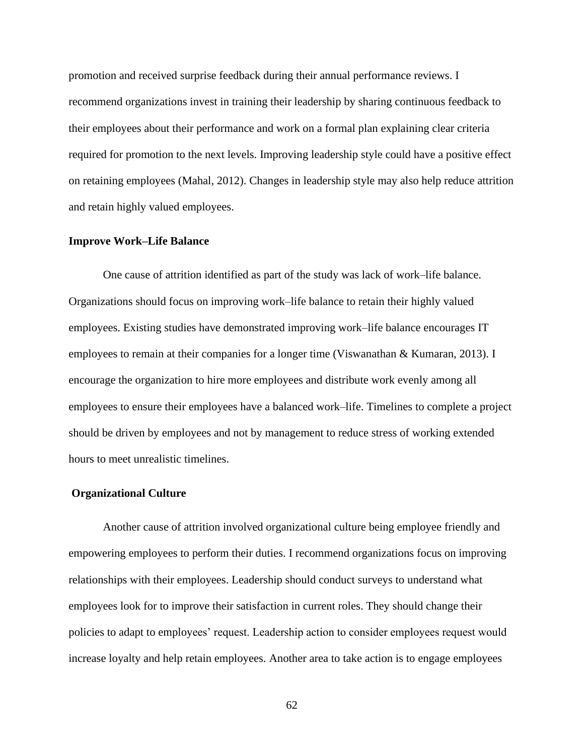promotion and received surprise feedback during their annual performance reviews. I recommend organizations invest in training their leadership by sharing continuous feedback to their employees about their performance and work on a formal plan explaining clear criteria required for promotion to the next levels. Improving leadership style could have a positive effect on retaining employees (Mahal, 2012). Changes in leadership style may also help reduce attrition and retain highly valued employees.

### **Improve Work–Life Balance**

One cause of attrition identified as part of the study was lack of work–life balance. Organizations should focus on improving work–life balance to retain their highly valued employees. Existing studies have demonstrated improving work–life balance encourages IT employees to remain at their companies for a longer time (Viswanathan & Kumaran, 2013). I encourage the organization to hire more employees and distribute work evenly among all employees to ensure their employees have a balanced work–life. Timelines to complete a project should be driven by employees and not by management to reduce stress of working extended hours to meet unrealistic timelines.

### **Organizational Culture**

Another cause of attrition involved organizational culture being employee friendly and empowering employees to perform their duties. I recommend organizations focus on improving relationships with their employees. Leadership should conduct surveys to understand what employees look for to improve their satisfaction in current roles. They should change their policies to adapt to employees' request. Leadership action to consider employees request would increase loyalty and help retain employees. Another area to take action is to engage employees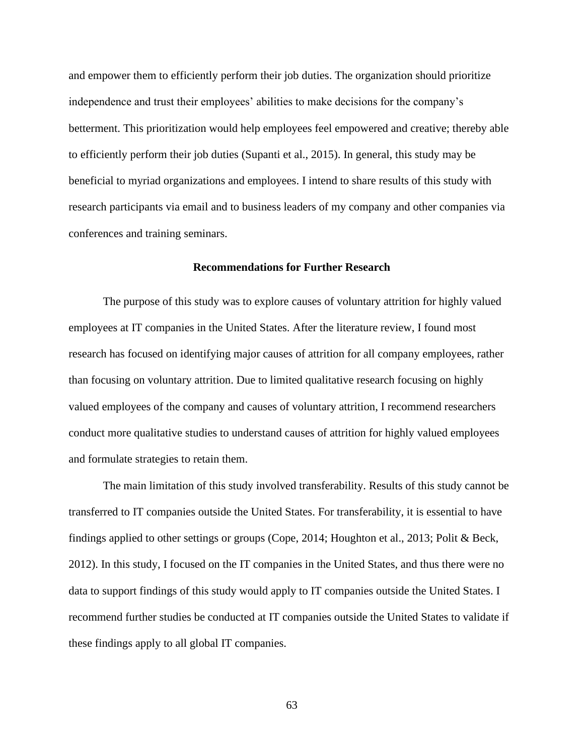and empower them to efficiently perform their job duties. The organization should prioritize independence and trust their employees' abilities to make decisions for the company's betterment. This prioritization would help employees feel empowered and creative; thereby able to efficiently perform their job duties (Supanti et al., 2015). In general, this study may be beneficial to myriad organizations and employees. I intend to share results of this study with research participants via email and to business leaders of my company and other companies via conferences and training seminars.

# **Recommendations for Further Research**

The purpose of this study was to explore causes of voluntary attrition for highly valued employees at IT companies in the United States. After the literature review, I found most research has focused on identifying major causes of attrition for all company employees, rather than focusing on voluntary attrition. Due to limited qualitative research focusing on highly valued employees of the company and causes of voluntary attrition, I recommend researchers conduct more qualitative studies to understand causes of attrition for highly valued employees and formulate strategies to retain them.

The main limitation of this study involved transferability. Results of this study cannot be transferred to IT companies outside the United States. For transferability, it is essential to have findings applied to other settings or groups (Cope, 2014; Houghton et al., 2013; Polit & Beck, 2012). In this study, I focused on the IT companies in the United States, and thus there were no data to support findings of this study would apply to IT companies outside the United States. I recommend further studies be conducted at IT companies outside the United States to validate if these findings apply to all global IT companies.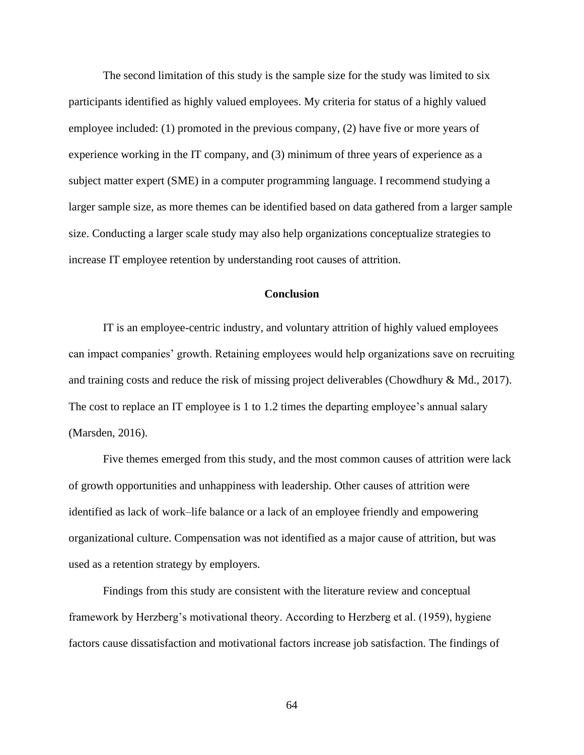The second limitation of this study is the sample size for the study was limited to six participants identified as highly valued employees. My criteria for status of a highly valued employee included: (1) promoted in the previous company, (2) have five or more years of experience working in the IT company, and (3) minimum of three years of experience as a subject matter expert (SME) in a computer programming language. I recommend studying a larger sample size, as more themes can be identified based on data gathered from a larger sample size. Conducting a larger scale study may also help organizations conceptualize strategies to increase IT employee retention by understanding root causes of attrition.

# **Conclusion**

IT is an employee-centric industry, and voluntary attrition of highly valued employees can impact companies' growth. Retaining employees would help organizations save on recruiting and training costs and reduce the risk of missing project deliverables (Chowdhury & Md., 2017). The cost to replace an IT employee is 1 to 1.2 times the departing employee's annual salary (Marsden, 2016).

Five themes emerged from this study, and the most common causes of attrition were lack of growth opportunities and unhappiness with leadership. Other causes of attrition were identified as lack of work–life balance or a lack of an employee friendly and empowering organizational culture. Compensation was not identified as a major cause of attrition, but was used as a retention strategy by employers.

Findings from this study are consistent with the literature review and conceptual framework by Herzberg's motivational theory. According to Herzberg et al. (1959), hygiene factors cause dissatisfaction and motivational factors increase job satisfaction. The findings of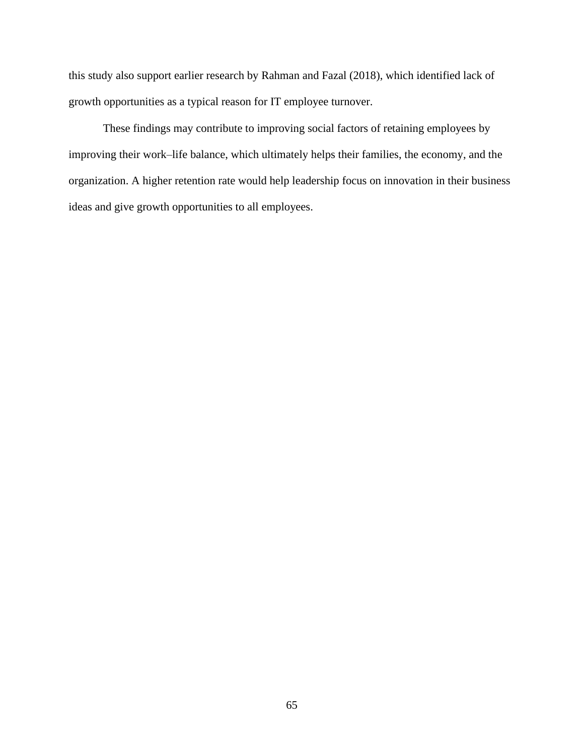this study also support earlier research by Rahman and Fazal (2018), which identified lack of growth opportunities as a typical reason for IT employee turnover.

These findings may contribute to improving social factors of retaining employees by improving their work–life balance, which ultimately helps their families, the economy, and the organization. A higher retention rate would help leadership focus on innovation in their business ideas and give growth opportunities to all employees.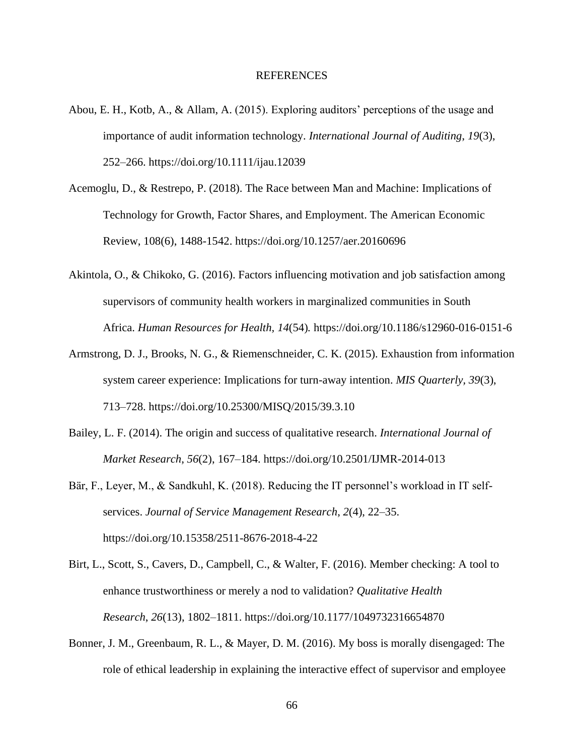#### REFERENCES

- Abou, E. H., Kotb, A., & Allam, A. (2015). Exploring auditors' perceptions of the usage and importance of audit information technology. *International Journal of Auditing*, *19*(3), 252–266. https://doi.org/10.1111/ijau.12039
- Acemoglu, D., & Restrepo, P. (2018). The Race between Man and Machine: Implications of Technology for Growth, Factor Shares, and Employment. The American Economic Review, 108(6), 1488-1542. https://doi.org/10.1257/aer.20160696
- Akintola, O., & Chikoko, G. (2016). Factors influencing motivation and job satisfaction among supervisors of community health workers in marginalized communities in South Africa. *Human Resources for Health, 14*(54)*.* https://doi.org/10.1186/s12960-016-0151-6
- Armstrong, D. J., Brooks, N. G., & Riemenschneider, C. K. (2015). Exhaustion from information system career experience: Implications for turn-away intention. *MIS Quarterly, 39*(3), 713–728. https://doi.org/10.25300/MISQ/2015/39.3.10
- Bailey, L. F. (2014). The origin and success of qualitative research. *International Journal of Market Research*, *56*(2), 167–184. https://doi.org/10.2501/IJMR-2014-013
- Bär, F., Leyer, M., & Sandkuhl, K. (2018). Reducing the IT personnel's workload in IT selfservices. *Journal of Service Management Research*, *2*(4), 22–35. https://doi.org/10.15358/2511-8676-2018-4-22
- Birt, L., Scott, S., Cavers, D., Campbell, C., & Walter, F. (2016). Member checking: A tool to enhance trustworthiness or merely a nod to validation? *Qualitative Health Research*, *26*(13), 1802–1811. https://doi.org/10.1177/1049732316654870
- Bonner, J. M., Greenbaum, R. L., & Mayer, D. M. (2016). My boss is morally disengaged: The role of ethical leadership in explaining the interactive effect of supervisor and employee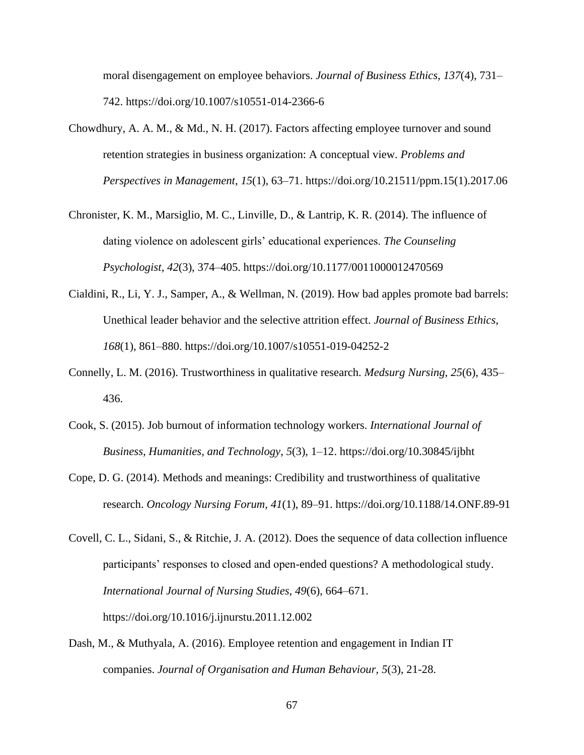moral disengagement on employee behaviors. *Journal of Business Ethics, 137*(4), 731– 742. https://doi.org/10.1007/s10551-014-2366-6

- Chowdhury, A. A. M., & Md., N. H. (2017). Factors affecting employee turnover and sound retention strategies in business organization: A conceptual view. *Problems and Perspectives in Management*, *15*(1), 63–71. https://doi.org/10.21511/ppm.15(1).2017.06
- Chronister, K. M., Marsiglio, M. C., Linville, D., & Lantrip, K. R. (2014). The influence of dating violence on adolescent girls' educational experiences. *The Counseling Psychologist*, *42*(3), 374–405. https://doi.org/10.1177/0011000012470569
- Cialdini, R., Li, Y. J., Samper, A., & Wellman, N. (2019). How bad apples promote bad barrels: Unethical leader behavior and the selective attrition effect. *Journal of Business Ethics, 168*(1), 861–880. https://doi.org/10.1007/s10551-019-04252-2
- Connelly, L. M. (2016). Trustworthiness in qualitative research. *Medsurg Nursing, 25*(6), 435– 436.
- Cook, S. (2015). Job burnout of information technology workers. *International Journal of Business, Humanities, and Technology*, *5*(3), 1–12. https://doi.org/10.30845/ijbht
- Cope, D. G. (2014). Methods and meanings: Credibility and trustworthiness of qualitative research. *Oncology Nursing Forum, 41*(1), 89–91. https://doi.org/10.1188/14.ONF.89-91
- Covell, C. L., Sidani, S., & Ritchie, J. A. (2012). Does the sequence of data collection influence participants' responses to closed and open-ended questions? A methodological study. *International Journal of Nursing Studies, 49*(6), 664–671. https://doi.org/10.1016/j.ijnurstu.2011.12.002
- Dash, M., & Muthyala, A. (2016). Employee retention and engagement in Indian IT companies. *Journal of Organisation and Human Behaviour, 5*(3), 21-28.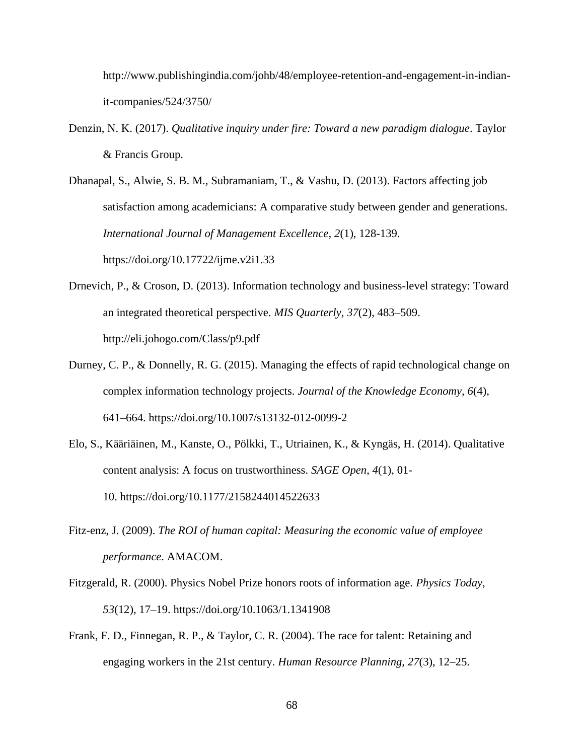http://www.publishingindia.com/johb/48/employee-retention-and-engagement-in-indianit-companies/524/3750/

Denzin, N. K. (2017). *Qualitative inquiry under fire: Toward a new paradigm dialogue*. Taylor & Francis Group.

Dhanapal, S., Alwie, S. B. M., Subramaniam, T., & Vashu, D. (2013). Factors affecting job satisfaction among academicians: A comparative study between gender and generations. *International Journal of Management Excellence*, *2*(1), 128-139. https://doi.org/10.17722/ijme.v2i1.33

- Drnevich, P., & Croson, D. (2013). Information technology and business-level strategy: Toward an integrated theoretical perspective. *MIS Quarterly, 37*(2), 483–509. http://eli.johogo.com/Class/p9.pdf
- Durney, C. P., & Donnelly, R. G. (2015). Managing the effects of rapid technological change on complex information technology projects. *Journal of the Knowledge Economy, 6*(4), 641–664. https://doi.org/10.1007/s13132-012-0099-2
- Elo, S., Kääriäinen, M., Kanste, O., Pölkki, T., Utriainen, K., & Kyngäs, H. (2014). Qualitative content analysis: A focus on trustworthiness. *SAGE Open*, *4*(1), 01- 10. https://doi.org/10.1177/2158244014522633
- Fitz-enz, J. (2009). *The ROI of human capital: Measuring the economic value of employee performance*. AMACOM.
- Fitzgerald, R. (2000). Physics Nobel Prize honors roots of information age. *Physics Today*, *53*(12), 17–19. https://doi.org/10.1063/1.1341908
- Frank, F. D., Finnegan, R. P., & Taylor, C. R. (2004). The race for talent: Retaining and engaging workers in the 21st century. *Human Resource Planning, 27*(3), 12–25.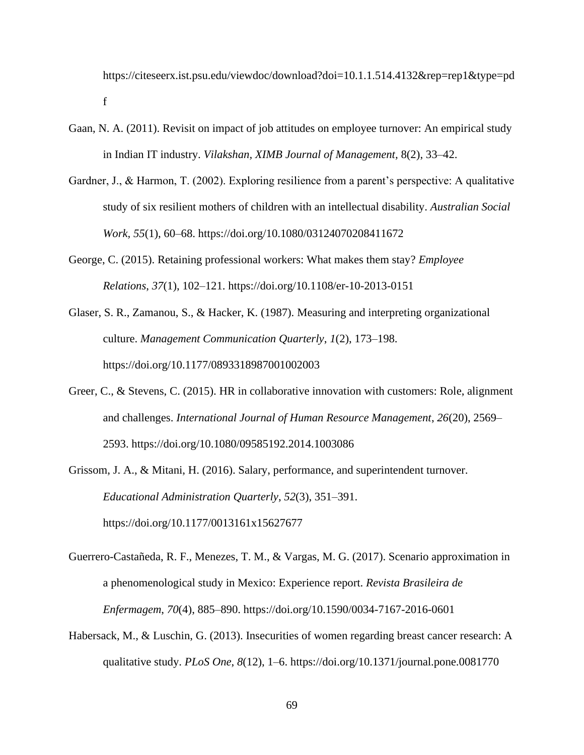https://citeseerx.ist.psu.edu/viewdoc/download?doi=10.1.1.514.4132&rep=rep1&type=pd f

- Gaan, N. A. (2011). Revisit on impact of job attitudes on employee turnover: An empirical study in Indian IT industry. *Vilakshan, XIMB Journal of Management,* 8(2), 33–42.
- Gardner, J., & Harmon, T. (2002). Exploring resilience from a parent's perspective: A qualitative study of six resilient mothers of children with an intellectual disability. *Australian Social Work, 55*(1), 60–68. https://doi.org/10.1080/03124070208411672
- George, C. (2015). Retaining professional workers: What makes them stay? *Employee Relations*, *37*(1), 102–121. https://doi.org/10.1108/er-10-2013-0151
- Glaser, S. R., Zamanou, S., & Hacker, K. (1987). Measuring and interpreting organizational culture. *Management Communication Quarterly*, *1*(2), 173–198. https://doi.org/10.1177/0893318987001002003
- Greer, C., & Stevens, C. (2015). HR in collaborative innovation with customers: Role, alignment and challenges. *International Journal of Human Resource Management*, *26*(20), 2569– 2593. https://doi.org/10.1080/09585192.2014.1003086
- Grissom, J. A., & Mitani, H. (2016). Salary, performance, and superintendent turnover. *Educational Administration Quarterly*, *52*(3), 351–391. https://doi.org/10.1177/0013161x15627677
- Guerrero-Castañeda, R. F., Menezes, T. M., & Vargas, M. G. (2017). Scenario approximation in a phenomenological study in Mexico: Experience report. *Revista Brasileira de Enfermagem*, *70*(4), 885–890. https://doi.org/10.1590/0034-7167-2016-0601
- Habersack, M., & Luschin, G. (2013). Insecurities of women regarding breast cancer research: A qualitative study. *PLoS One*, *8*(12), 1–6. https://doi.org/10.1371/journal.pone.0081770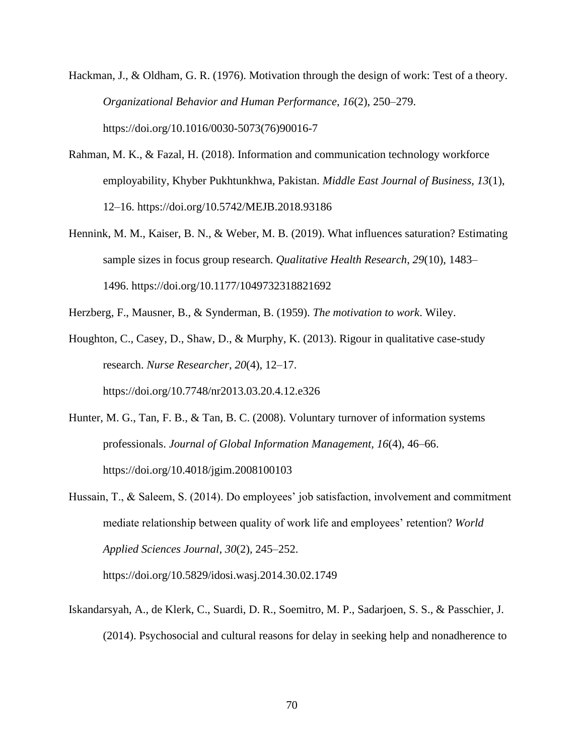- Hackman, J., & Oldham, G. R. (1976). Motivation through the design of work: Test of a theory. *Organizational Behavior and Human Performance*, *16*(2), 250–279. https://doi.org/10.1016/0030-5073(76)90016-7
- Rahman, M. K., & Fazal, H. (2018). Information and communication technology workforce employability, Khyber Pukhtunkhwa, Pakistan. *Middle East Journal of Business, 13*(1), 12–16. https://doi.org/10.5742/MEJB.2018.93186
- Hennink, M. M., Kaiser, B. N., & Weber, M. B. (2019). What influences saturation? Estimating sample sizes in focus group research. *Qualitative Health Research*, *29*(10), 1483– 1496. https://doi.org/10.1177/1049732318821692
- Herzberg, F., Mausner, B., & Synderman, B. (1959). *The motivation to work*. Wiley.
- Houghton, C., Casey, D., Shaw, D., & Murphy, K. (2013). Rigour in qualitative case-study research. *Nurse Researcher*, *20*(4), 12–17. https://doi.org/10.7748/nr2013.03.20.4.12.e326
- Hunter, M. G., Tan, F. B., & Tan, B. C. (2008). Voluntary turnover of information systems professionals. *Journal of Global Information Management, 16*(4), 46–66. https://doi.org/10.4018/jgim.2008100103
- Hussain, T., & Saleem, S. (2014). Do employees' job satisfaction, involvement and commitment mediate relationship between quality of work life and employees' retention? *World Applied Sciences Journal*, *30*(2), 245–252.

https://doi.org/10.5829/idosi.wasj.2014.30.02.1749

Iskandarsyah, A., de Klerk, C., Suardi, D. R., Soemitro, M. P., Sadarjoen, S. S., & Passchier, J. (2014). Psychosocial and cultural reasons for delay in seeking help and nonadherence to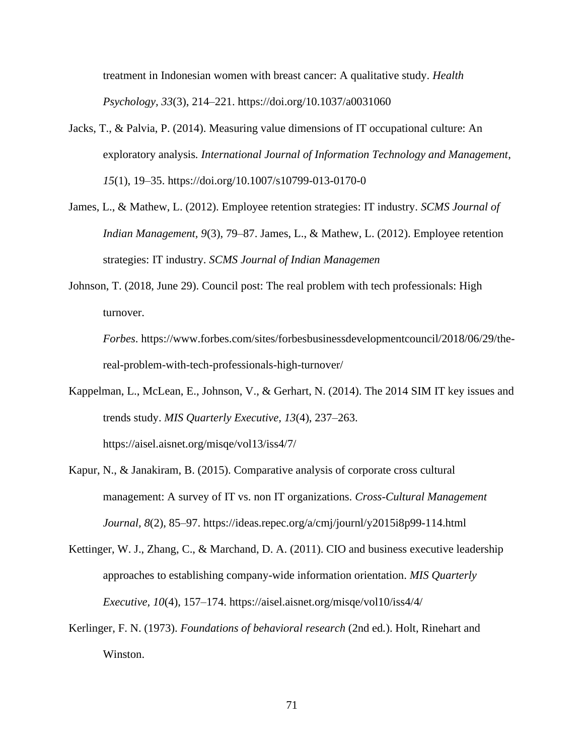treatment in Indonesian women with breast cancer: A qualitative study. *Health Psychology, 33*(3), 214–221. https://doi.org/10.1037/a0031060

- Jacks, T., & Palvia, P. (2014). Measuring value dimensions of IT occupational culture: An exploratory analysis*. International Journal of Information Technology and Management*, *15*(1), 19–35. https://doi.org/10.1007/s10799-013-0170-0
- James, L., & Mathew, L. (2012). Employee retention strategies: IT industry. *SCMS Journal of Indian Management, 9*(3), 79–87. James, L., & Mathew, L. (2012). Employee retention strategies: IT industry. *SCMS Journal of Indian Managemen*
- Johnson, T. (2018, June 29). Council post: The real problem with tech professionals: High turnover.

*Forbes*. https://www.forbes.com/sites/forbesbusinessdevelopmentcouncil/2018/06/29/thereal-problem-with-tech-professionals-high-turnover/

- Kappelman, L., McLean, E., Johnson, V., & Gerhart, N. (2014). The 2014 SIM IT key issues and trends study. *MIS Quarterly Executive, 13*(4), 237–263. https://aisel.aisnet.org/misqe/vol13/iss4/7/
- Kapur, N., & Janakiram, B. (2015). Comparative analysis of corporate cross cultural management: A survey of IT vs. non IT organizations. *Cross-Cultural Management Journal, 8*(2), 85–97. https://ideas.repec.org/a/cmj/journl/y2015i8p99-114.html
- Kettinger, W. J., Zhang, C., & Marchand, D. A. (2011). CIO and business executive leadership approaches to establishing company-wide information orientation. *MIS Quarterly Executive, 10*(4), 157–174. https://aisel.aisnet.org/misqe/vol10/iss4/4/
- Kerlinger, F. N. (1973). *Foundations of behavioral research* (2nd ed*.*). Holt, Rinehart and Winston.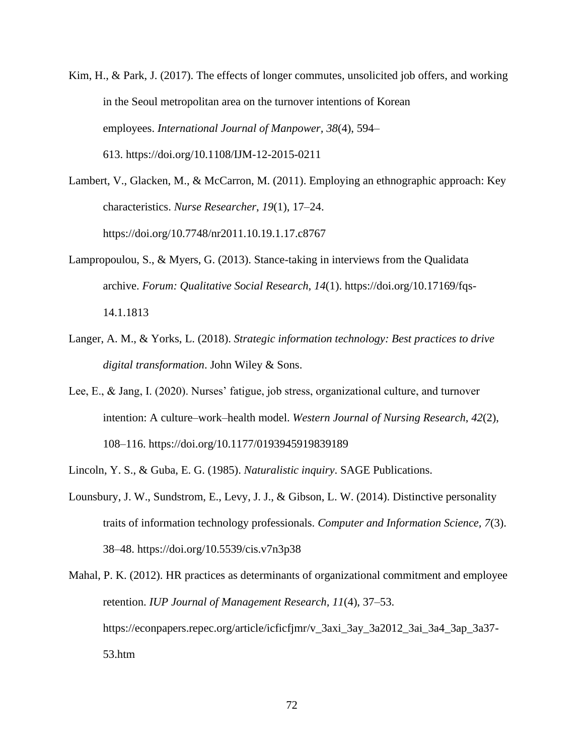- Kim, H., & Park, J. (2017). The effects of longer commutes, unsolicited job offers, and working in the Seoul metropolitan area on the turnover intentions of Korean employees. *International Journal of Manpower, 38*(4), 594– 613. https://doi.org/10.1108/IJM-12-2015-0211
- Lambert, V., Glacken, M., & McCarron, M. (2011). Employing an ethnographic approach: Key characteristics. *Nurse Researcher*, *19*(1), 17–24. https://doi.org/10.7748/nr2011.10.19.1.17.c8767
- Lampropoulou, S., & Myers, G. (2013). Stance-taking in interviews from the Qualidata archive. *Forum: Qualitative Social Research, 14*(1). https://doi.org/10.17169/fqs-14.1.1813
- Langer, A. M., & Yorks, L. (2018). *Strategic information technology: Best practices to drive digital transformation*. John Wiley & Sons.
- Lee, E., & Jang, I. (2020). Nurses' fatigue, job stress, organizational culture, and turnover intention: A culture–work–health model. *Western Journal of Nursing Research*, *42*(2), 108–116. https://doi.org/10.1177/0193945919839189
- Lincoln, Y. S., & Guba, E. G. (1985). *Naturalistic inquiry*. SAGE Publications.
- Lounsbury, J. W., Sundstrom, E., Levy, J. J., & Gibson, L. W. (2014). Distinctive personality traits of information technology professionals. *Computer and Information Science, 7*(3). 38–48. https://doi.org/10.5539/cis.v7n3p38

Mahal, P. K. (2012). HR practices as determinants of organizational commitment and employee retention. *IUP Journal of Management Research, 11*(4), 37–53. https://econpapers.repec.org/article/icficfjmr/v\_3axi\_3ay\_3a2012\_3ai\_3a4\_3ap\_3a37- 53.htm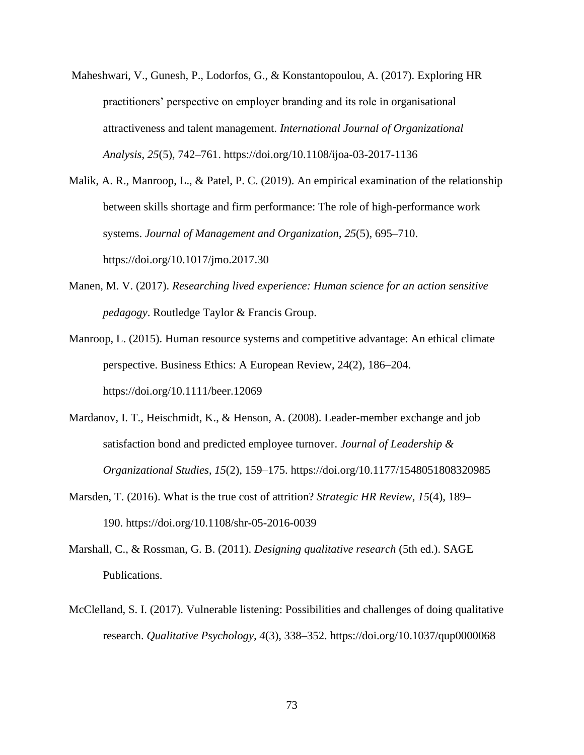Maheshwari, V., Gunesh, P., Lodorfos, G., & Konstantopoulou, A. (2017). Exploring HR practitioners' perspective on employer branding and its role in organisational attractiveness and talent management. *International Journal of Organizational Analysis*, *25*(5), 742–761. https://doi.org/10.1108/ijoa-03-2017-1136

Malik, A. R., Manroop, L., & Patel, P. C. (2019). An empirical examination of the relationship between skills shortage and firm performance: The role of high-performance work systems. *Journal of Management and Organization, 25*(5), 695–710. https://doi.org/10.1017/jmo.2017.30

- Manen, M. V. (2017). *Researching lived experience: Human science for an action sensitive pedagogy*. Routledge Taylor & Francis Group.
- Manroop, L. (2015). Human resource systems and competitive advantage: An ethical climate perspective. Business Ethics: A European Review, 24(2), 186–204. https://doi.org/10.1111/beer.12069
- Mardanov, I. T., Heischmidt, K., & Henson, A. (2008). Leader-member exchange and job satisfaction bond and predicted employee turnover. *Journal of Leadership & Organizational Studies*, *15*(2), 159–175. https://doi.org/10.1177/1548051808320985
- Marsden, T. (2016). What is the true cost of attrition? *Strategic HR Review*, *15*(4), 189– 190. https://doi.org/10.1108/shr-05-2016-0039
- Marshall, C., & Rossman, G. B. (2011). *Designing qualitative research* (5th ed.). SAGE Publications.
- McClelland, S. I. (2017). Vulnerable listening: Possibilities and challenges of doing qualitative research. *Qualitative Psychology, 4*(3), 338–352. https://doi.org/10.1037/qup0000068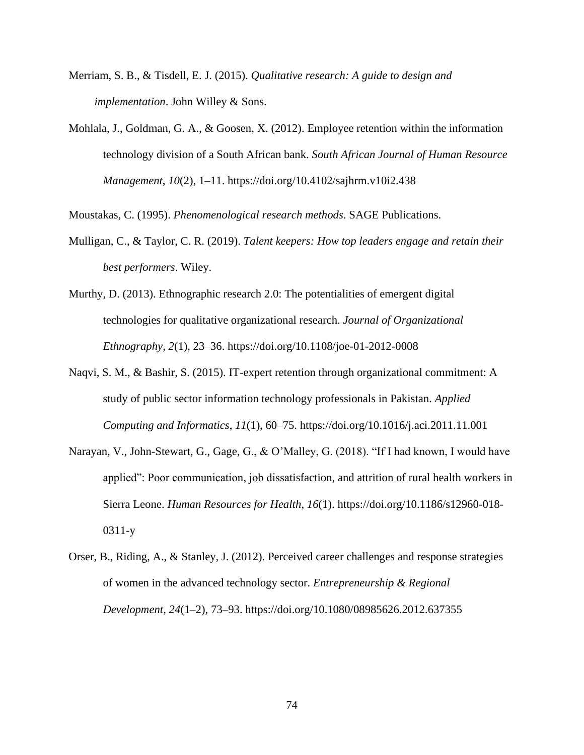- Merriam, S. B., & Tisdell, E. J. (2015). *Qualitative research: A guide to design and implementation*. John Willey & Sons.
- Mohlala, J., Goldman, G. A., & Goosen, X. (2012). Employee retention within the information technology division of a South African bank. *South African Journal of Human Resource Management, 10*(2), 1–11. https://doi.org/10.4102/sajhrm.v10i2.438

Moustakas, C. (1995). *Phenomenological research methods*. SAGE Publications.

- Mulligan, C., & Taylor, C. R. (2019). *Talent keepers: How top leaders engage and retain their best performers*. Wiley.
- Murthy, D. (2013). Ethnographic research 2.0: The potentialities of emergent digital technologies for qualitative organizational research. *Journal of Organizational Ethnography, 2*(1), 23–36. https://doi.org/10.1108/joe-01-2012-0008
- Naqvi, S. M., & Bashir, S. (2015). IT-expert retention through organizational commitment: A study of public sector information technology professionals in Pakistan. *Applied Computing and Informatics*, *11*(1), 60–75. https://doi.org/10.1016/j.aci.2011.11.001
- Narayan, V., John-Stewart, G., Gage, G., & O'Malley, G. (2018). "If I had known, I would have applied": Poor communication, job dissatisfaction, and attrition of rural health workers in Sierra Leone. *Human Resources for Health*, *16*(1). https://doi.org/10.1186/s12960-018- 0311-y
- Orser, B., Riding, A., & Stanley, J. (2012). Perceived career challenges and response strategies of women in the advanced technology sector. *Entrepreneurship & Regional Development, 24*(1–2), 73–93. https://doi.org/10.1080/08985626.2012.637355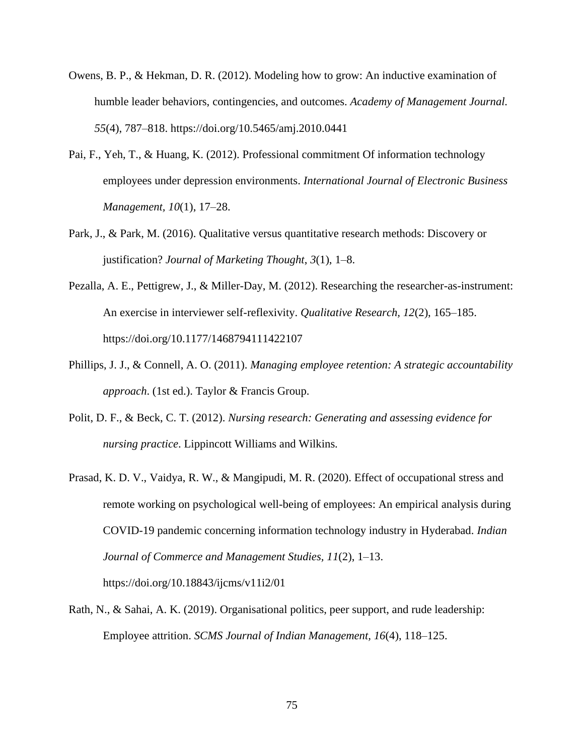- Owens, B. P., & Hekman, D. R. (2012). Modeling how to grow: An inductive examination of humble leader behaviors, contingencies, and outcomes. *Academy of Management Journal. 55*(4), 787–818. https://doi.org/10.5465/amj.2010.0441
- Pai, F., Yeh, T., & Huang, K. (2012). Professional commitment Of information technology employees under depression environments. *International Journal of Electronic Business Management, 10*(1), 17–28.
- Park, J., & Park, M. (2016). Qualitative versus quantitative research methods: Discovery or justification? *Journal of Marketing Thought*, *3*(1), 1–8.
- Pezalla, A. E., Pettigrew, J., & Miller-Day, M. (2012). Researching the researcher-as-instrument: An exercise in interviewer self-reflexivity. *Qualitative Research, 12*(2), 165–185. https://doi.org/10.1177/1468794111422107
- Phillips, J. J., & Connell, A. O. (2011). *Managing employee retention: A strategic accountability approach*. (1st ed.). Taylor & Francis Group.
- Polit, D. F., & Beck, C. T. (2012). *Nursing research: Generating and assessing evidence for nursing practice*. Lippincott Williams and Wilkins.
- Prasad, K. D. V., Vaidya, R. W., & Mangipudi, M. R. (2020). Effect of occupational stress and remote working on psychological well-being of employees: An empirical analysis during COVID-19 pandemic concerning information technology industry in Hyderabad. *Indian Journal of Commerce and Management Studies, 11*(2), 1–13.

https://doi.org/10.18843/ijcms/v11i2/01

Rath, N., & Sahai, A. K. (2019). Organisational politics, peer support, and rude leadership: Employee attrition. *SCMS Journal of Indian Management, 16*(4), 118–125.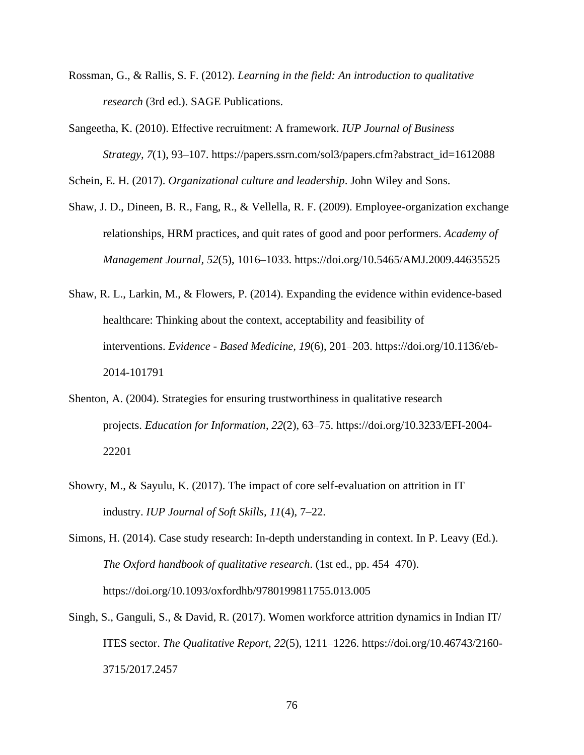- Rossman, G., & Rallis, S. F. (2012). *Learning in the field: An introduction to qualitative research* (3rd ed.). SAGE Publications.
- Sangeetha, K. (2010). Effective recruitment: A framework. *IUP Journal of Business Strategy, 7*(1), 93–107. https://papers.ssrn.com/sol3/papers.cfm?abstract\_id=1612088

Schein, E. H. (2017). *Organizational culture and leadership*. John Wiley and Sons.

- Shaw, J. D., Dineen, B. R., Fang, R., & Vellella, R. F. (2009). Employee-organization exchange relationships, HRM practices, and quit rates of good and poor performers. *Academy of Management Journal, 52*(5), 1016–1033. https://doi.org/10.5465/AMJ.2009.44635525
- Shaw, R. L., Larkin, M., & Flowers, P. (2014). Expanding the evidence within evidence-based healthcare: Thinking about the context, acceptability and feasibility of interventions. *Evidence - Based Medicine, 19*(6), 201–203. https://doi.org/10.1136/eb-2014-101791
- Shenton, A. (2004). Strategies for ensuring trustworthiness in qualitative research projects. *Education for Information*, *22*(2), 63–75. https://doi.org/10.3233/EFI-2004- 22201
- Showry, M., & Sayulu, K. (2017). The impact of core self-evaluation on attrition in IT industry. *IUP Journal of Soft Skills, 11*(4), 7–22.
- Simons, H. (2014). Case study research: In-depth understanding in context. In P. Leavy (Ed.). *The Oxford handbook of qualitative research*. (1st ed., pp. 454–470). https://doi.org/10.1093/oxfordhb/9780199811755.013.005
- Singh, S., Ganguli, S., & David, R. (2017). Women workforce attrition dynamics in Indian IT/ ITES sector. *The Qualitative Report, 22*(5), 1211–1226. https://doi.org/10.46743/2160- 3715/2017.2457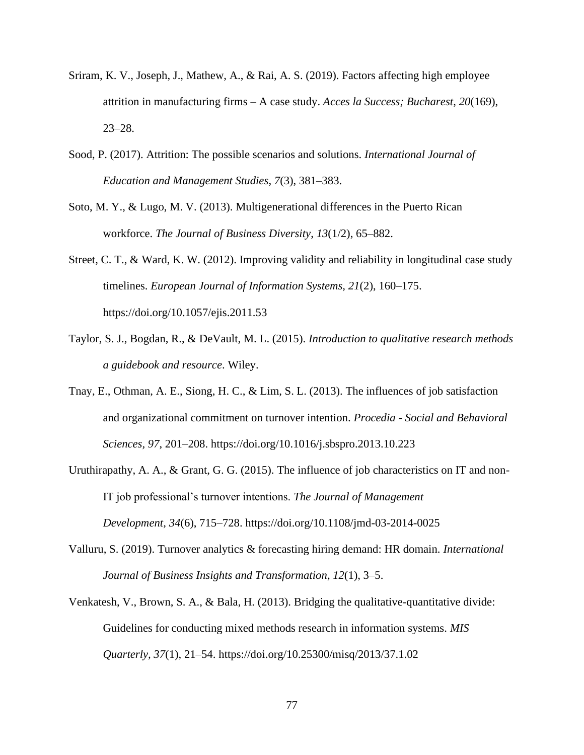- Sriram, K. V., Joseph, J., Mathew, A., & Rai, A. S. (2019). Factors affecting high employee attrition in manufacturing firms – A case study. *Acces la Success; Bucharest*, *20*(169), 23–28.
- Sood, P. (2017). Attrition: The possible scenarios and solutions. *International Journal of Education and Management Studies*, *7*(3), 381–383.
- Soto, M. Y., & Lugo, M. V. (2013). Multigenerational differences in the Puerto Rican workforce. *The Journal of Business Diversity*, *13*(1/2), 65–882.
- Street, C. T., & Ward, K. W. (2012). Improving validity and reliability in longitudinal case study timelines. *European Journal of Information Systems, 21*(2), 160–175. https://doi.org/10.1057/ejis.2011.53
- Taylor, S. J., Bogdan, R., & DeVault, M. L. (2015). *Introduction to qualitative research methods a guidebook and resource*. Wiley.
- Tnay, E., Othman, A. E., Siong, H. C., & Lim, S. L. (2013). The influences of job satisfaction and organizational commitment on turnover intention. *Procedia - Social and Behavioral Sciences, 97*, 201–208. https://doi.org/10.1016/j.sbspro.2013.10.223
- Uruthirapathy, A. A., & Grant, G. G. (2015). The influence of job characteristics on IT and non-IT job professional's turnover intentions. *The Journal of Management Development, 34*(6), 715–728. https://doi.org/10.1108/jmd-03-2014-0025
- Valluru, S. (2019). Turnover analytics & forecasting hiring demand: HR domain. *International Journal of Business Insights and Transformation*, *12*(1), 3–5.
- Venkatesh, V., Brown, S. A., & Bala, H. (2013). Bridging the qualitative-quantitative divide: Guidelines for conducting mixed methods research in information systems. *MIS Quarterly, 37*(1), 21–54. https://doi.org/10.25300/misq/2013/37.1.02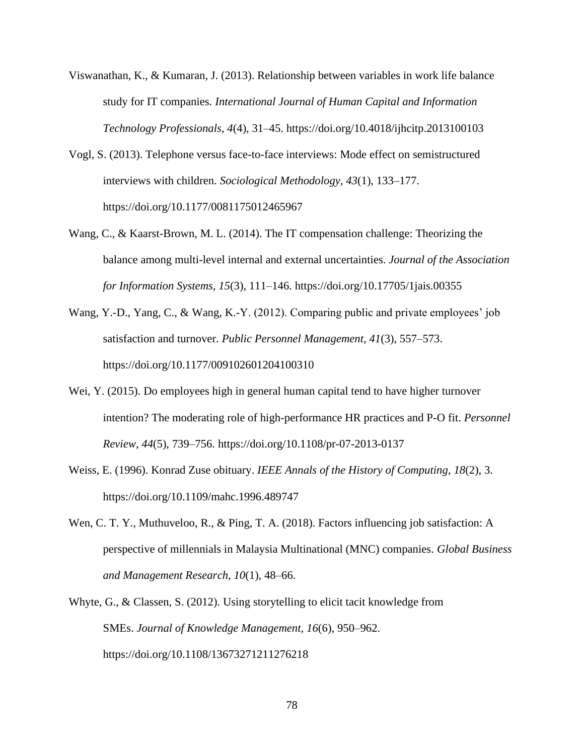- Viswanathan, K., & Kumaran, J. (2013). Relationship between variables in work life balance study for IT companies. *International Journal of Human Capital and Information Technology Professionals*, *4*(4), 31–45. https://doi.org/10.4018/ijhcitp.2013100103
- Vogl, S. (2013). Telephone versus face-to-face interviews: Mode effect on semistructured interviews with children. *Sociological Methodology, 43*(1), 133–177. https://doi.org/10.1177/0081175012465967
- Wang, C., & Kaarst-Brown, M. L. (2014). The IT compensation challenge: Theorizing the balance among multi-level internal and external uncertainties. *Journal of the Association for Information Systems, 15*(3), 111–146. https://doi.org/10.17705/1jais.00355
- Wang, Y.-D., Yang, C., & Wang, K.-Y. (2012). Comparing public and private employees' job satisfaction and turnover. *Public Personnel Management*, *41*(3), 557–573. https://doi.org/10.1177/009102601204100310
- Wei, Y. (2015). Do employees high in general human capital tend to have higher turnover intention? The moderating role of high-performance HR practices and P-O fit. *Personnel Review*, *44*(5), 739–756. https://doi.org/10.1108/pr-07-2013-0137
- Weiss, E. (1996). Konrad Zuse obituary. *IEEE Annals of the History of Computing*, *18*(2), 3. https://doi.org/10.1109/mahc.1996.489747
- Wen, C. T. Y., Muthuveloo, R., & Ping, T. A. (2018). Factors influencing job satisfaction: A perspective of millennials in Malaysia Multinational (MNC) companies. *Global Business and Management Research, 10*(1), 48–66.
- Whyte, G., & Classen, S. (2012). Using storytelling to elicit tacit knowledge from SMEs. *Journal of Knowledge Management, 16*(6), 950–962. https://doi.org/10.1108/13673271211276218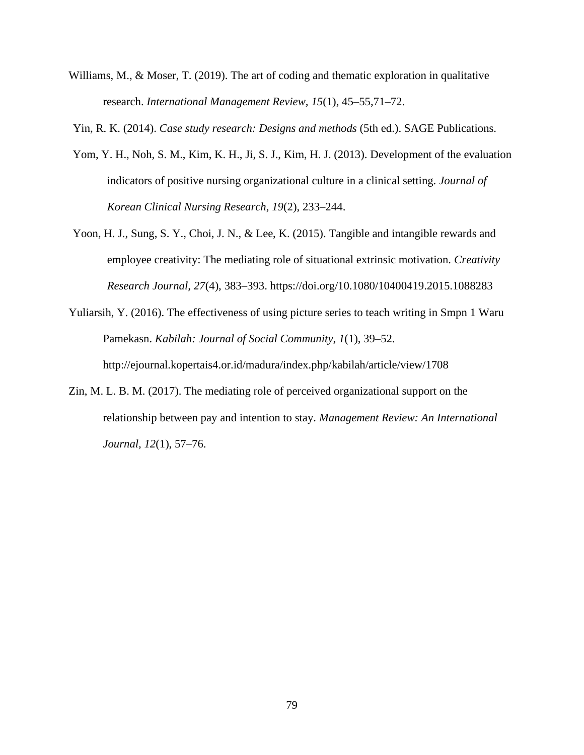Williams, M., & Moser, T. (2019). The art of coding and thematic exploration in qualitative research. *International Management Review, 15*(1), 45–55,71–72.

Yin, R. K. (2014). *Case study research: Designs and methods* (5th ed.). SAGE Publications.

- Yom, Y. H., Noh, S. M., Kim, K. H., Ji, S. J., Kim, H. J. (2013). Development of the evaluation indicators of positive nursing organizational culture in a clinical setting. *Journal of Korean Clinical Nursing Research*, *19*(2), 233–244.
- Yoon, H. J., Sung, S. Y., Choi, J. N., & Lee, K. (2015). Tangible and intangible rewards and employee creativity: The mediating role of situational extrinsic motivation. *Creativity Research Journal, 27*(4), 383–393. https://doi.org/10.1080/10400419.2015.1088283
- Yuliarsih, Y. (2016). The effectiveness of using picture series to teach writing in Smpn 1 Waru Pamekasn. *Kabilah: Journal of Social Community*, *1*(1), 39–52. http://ejournal.kopertais4.or.id/madura/index.php/kabilah/article/view/1708
- Zin, M. L. B. M. (2017). The mediating role of perceived organizational support on the relationship between pay and intention to stay. *Management Review: An International Journal, 12*(1), 57–76.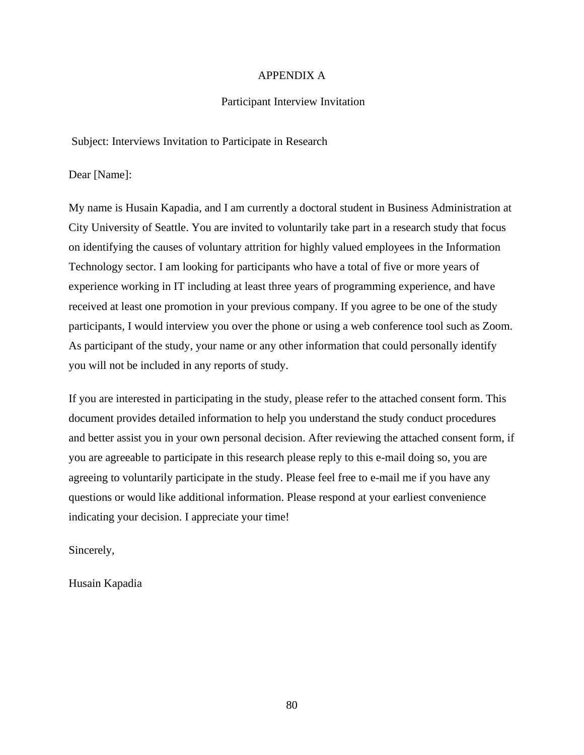# APPENDIX A

## Participant Interview Invitation

Subject: Interviews Invitation to Participate in Research

Dear [Name]:

My name is Husain Kapadia, and I am currently a doctoral student in Business Administration at City University of Seattle. You are invited to voluntarily take part in a research study that focus on identifying the causes of voluntary attrition for highly valued employees in the Information Technology sector. I am looking for participants who have a total of five or more years of experience working in IT including at least three years of programming experience, and have received at least one promotion in your previous company. If you agree to be one of the study participants, I would interview you over the phone or using a web conference tool such as Zoom. As participant of the study, your name or any other information that could personally identify you will not be included in any reports of study.

If you are interested in participating in the study, please refer to the attached consent form. This document provides detailed information to help you understand the study conduct procedures and better assist you in your own personal decision. After reviewing the attached consent form, if you are agreeable to participate in this research please reply to this e-mail doing so, you are agreeing to voluntarily participate in the study. Please feel free to e-mail me if you have any questions or would like additional information. Please respond at your earliest convenience indicating your decision. I appreciate your time!

Sincerely,

Husain Kapadia